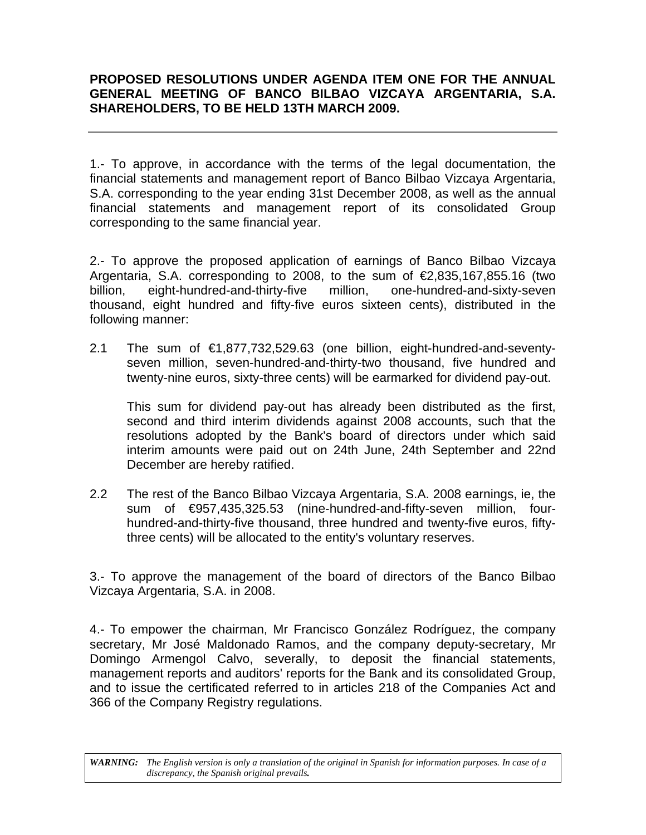# **PROPOSED RESOLUTIONS UNDER AGENDA ITEM ONE FOR THE ANNUAL GENERAL MEETING OF BANCO BILBAO VIZCAYA ARGENTARIA, S.A. SHAREHOLDERS, TO BE HELD 13TH MARCH 2009.**

1.- To approve, in accordance with the terms of the legal documentation, the financial statements and management report of Banco Bilbao Vizcaya Argentaria, S.A. corresponding to the year ending 31st December 2008, as well as the annual financial statements and management report of its consolidated Group corresponding to the same financial year.

2.- To approve the proposed application of earnings of Banco Bilbao Vizcaya Argentaria, S.A. corresponding to 2008, to the sum of  $E$ ,835,167,855.16 (two billion, eight-hundred-and-thirty-five million, one-hundred-and-sixty-seven thousand, eight hundred and fifty-five euros sixteen cents), distributed in the following manner:

2.1 The sum of €1,877,732,529.63 (one billion, eight-hundred-and-seventyseven million, seven-hundred-and-thirty-two thousand, five hundred and twenty-nine euros, sixty-three cents) will be earmarked for dividend pay-out.

This sum for dividend pay-out has already been distributed as the first, second and third interim dividends against 2008 accounts, such that the resolutions adopted by the Bank's board of directors under which said interim amounts were paid out on 24th June, 24th September and 22nd December are hereby ratified.

2.2 The rest of the Banco Bilbao Vizcaya Argentaria, S.A. 2008 earnings, ie, the sum of €957,435,325.53 (nine-hundred-and-fifty-seven million, fourhundred-and-thirty-five thousand, three hundred and twenty-five euros, fiftythree cents) will be allocated to the entity's voluntary reserves.

3.- To approve the management of the board of directors of the Banco Bilbao Vizcaya Argentaria, S.A. in 2008.

4.- To empower the chairman, Mr Francisco González Rodríguez, the company secretary, Mr José Maldonado Ramos, and the company deputy-secretary, Mr Domingo Armengol Calvo, severally, to deposit the financial statements, management reports and auditors' reports for the Bank and its consolidated Group, and to issue the certificated referred to in articles 218 of the Companies Act and 366 of the Company Registry regulations.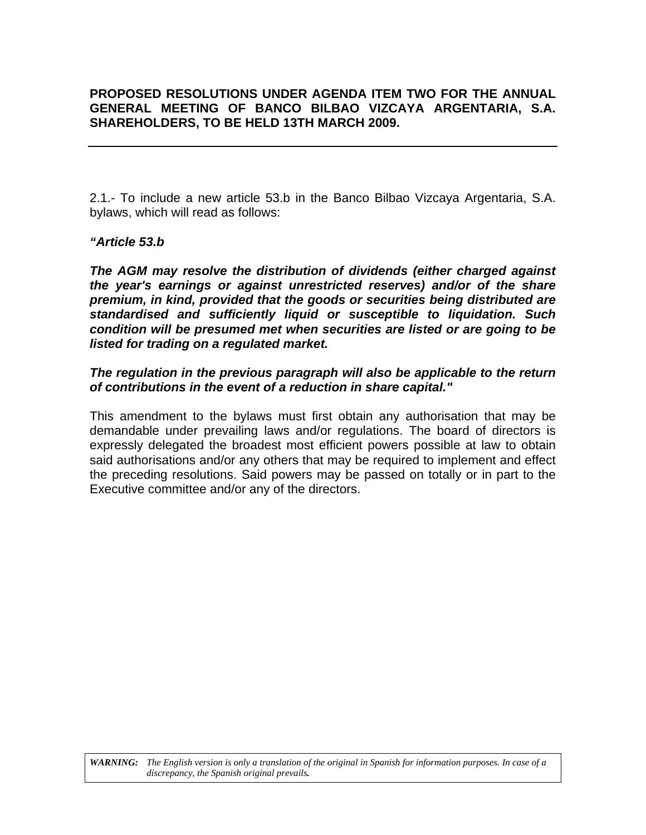# **PROPOSED RESOLUTIONS UNDER AGENDA ITEM TWO FOR THE ANNUAL GENERAL MEETING OF BANCO BILBAO VIZCAYA ARGENTARIA, S.A. SHAREHOLDERS, TO BE HELD 13TH MARCH 2009.**

2.1.- To include a new article 53.b in the Banco Bilbao Vizcaya Argentaria, S.A. bylaws, which will read as follows:

# *"Article 53.b*

*The AGM may resolve the distribution of dividends (either charged against the year's earnings or against unrestricted reserves) and/or of the share premium, in kind, provided that the goods or securities being distributed are standardised and sufficiently liquid or susceptible to liquidation. Such condition will be presumed met when securities are listed or are going to be listed for trading on a regulated market.* 

# *The regulation in the previous paragraph will also be applicable to the return of contributions in the event of a reduction in share capital."*

This amendment to the bylaws must first obtain any authorisation that may be demandable under prevailing laws and/or regulations. The board of directors is expressly delegated the broadest most efficient powers possible at law to obtain said authorisations and/or any others that may be required to implement and effect the preceding resolutions. Said powers may be passed on totally or in part to the Executive committee and/or any of the directors.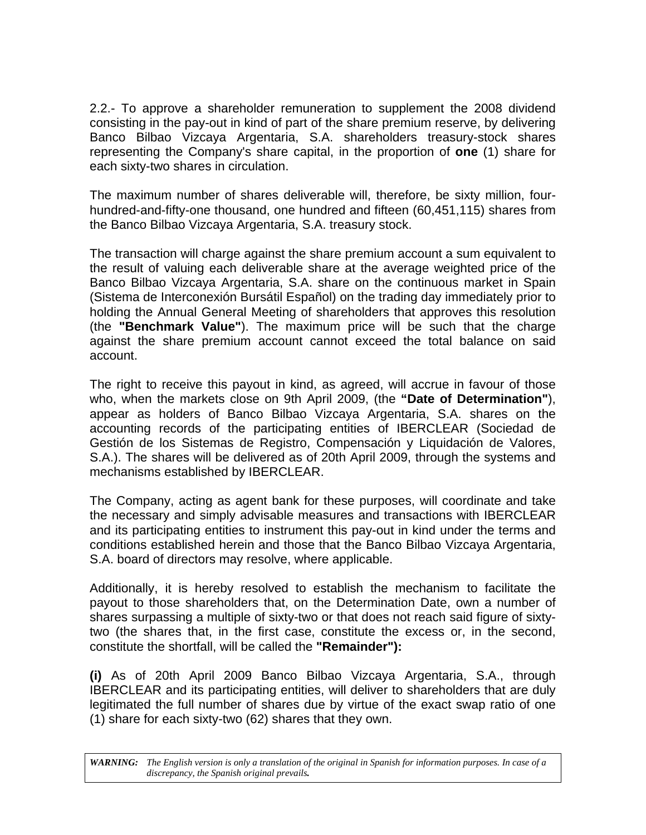2.2.- To approve a shareholder remuneration to supplement the 2008 dividend consisting in the pay-out in kind of part of the share premium reserve, by delivering Banco Bilbao Vizcaya Argentaria, S.A. shareholders treasury-stock shares representing the Company's share capital, in the proportion of **one** (1) share for each sixty-two shares in circulation.

The maximum number of shares deliverable will, therefore, be sixty million, fourhundred-and-fifty-one thousand, one hundred and fifteen (60,451,115) shares from the Banco Bilbao Vizcaya Argentaria, S.A. treasury stock.

The transaction will charge against the share premium account a sum equivalent to the result of valuing each deliverable share at the average weighted price of the Banco Bilbao Vizcaya Argentaria, S.A. share on the continuous market in Spain (Sistema de Interconexión Bursátil Español) on the trading day immediately prior to holding the Annual General Meeting of shareholders that approves this resolution (the **"Benchmark Value"**). The maximum price will be such that the charge against the share premium account cannot exceed the total balance on said account.

The right to receive this payout in kind, as agreed, will accrue in favour of those who, when the markets close on 9th April 2009, (the **"Date of Determination"**), appear as holders of Banco Bilbao Vizcaya Argentaria, S.A. shares on the accounting records of the participating entities of IBERCLEAR (Sociedad de Gestión de los Sistemas de Registro, Compensación y Liquidación de Valores, S.A.). The shares will be delivered as of 20th April 2009, through the systems and mechanisms established by IBERCLEAR.

The Company, acting as agent bank for these purposes, will coordinate and take the necessary and simply advisable measures and transactions with IBERCLEAR and its participating entities to instrument this pay-out in kind under the terms and conditions established herein and those that the Banco Bilbao Vizcaya Argentaria, S.A. board of directors may resolve, where applicable.

Additionally, it is hereby resolved to establish the mechanism to facilitate the payout to those shareholders that, on the Determination Date, own a number of shares surpassing a multiple of sixty-two or that does not reach said figure of sixtytwo (the shares that, in the first case, constitute the excess or, in the second, constitute the shortfall, will be called the **"Remainder"):** 

**(i)** As of 20th April 2009 Banco Bilbao Vizcaya Argentaria, S.A., through IBERCLEAR and its participating entities, will deliver to shareholders that are duly legitimated the full number of shares due by virtue of the exact swap ratio of one (1) share for each sixty-two (62) shares that they own.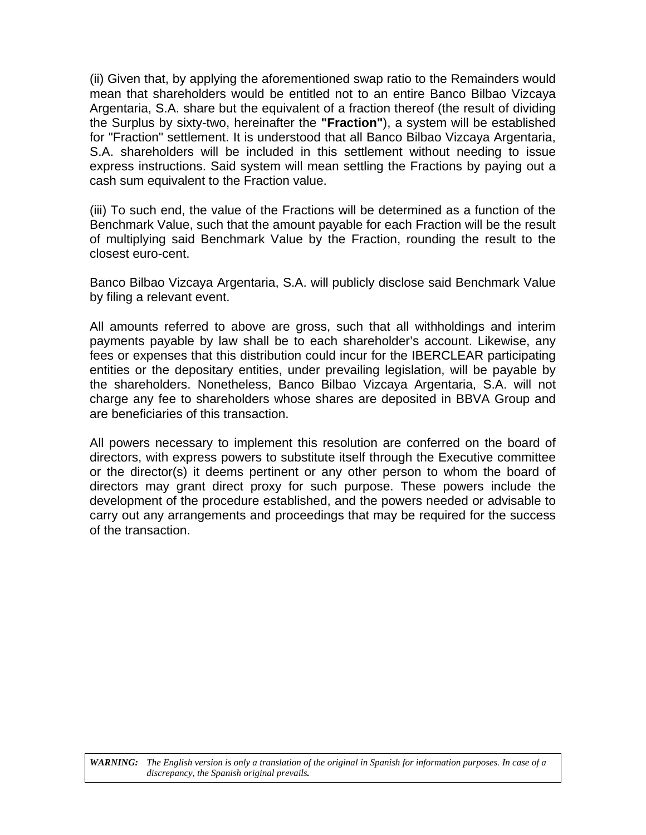(ii) Given that, by applying the aforementioned swap ratio to the Remainders would mean that shareholders would be entitled not to an entire Banco Bilbao Vizcaya Argentaria, S.A. share but the equivalent of a fraction thereof (the result of dividing the Surplus by sixty-two, hereinafter the **"Fraction"**), a system will be established for "Fraction" settlement. It is understood that all Banco Bilbao Vizcaya Argentaria, S.A. shareholders will be included in this settlement without needing to issue express instructions. Said system will mean settling the Fractions by paying out a cash sum equivalent to the Fraction value.

(iii) To such end, the value of the Fractions will be determined as a function of the Benchmark Value, such that the amount payable for each Fraction will be the result of multiplying said Benchmark Value by the Fraction, rounding the result to the closest euro-cent.

Banco Bilbao Vizcaya Argentaria, S.A. will publicly disclose said Benchmark Value by filing a relevant event.

All amounts referred to above are gross, such that all withholdings and interim payments payable by law shall be to each shareholder's account. Likewise, any fees or expenses that this distribution could incur for the IBERCLEAR participating entities or the depositary entities, under prevailing legislation, will be payable by the shareholders. Nonetheless, Banco Bilbao Vizcaya Argentaria, S.A. will not charge any fee to shareholders whose shares are deposited in BBVA Group and are beneficiaries of this transaction.

All powers necessary to implement this resolution are conferred on the board of directors, with express powers to substitute itself through the Executive committee or the director(s) it deems pertinent or any other person to whom the board of directors may grant direct proxy for such purpose. These powers include the development of the procedure established, and the powers needed or advisable to carry out any arrangements and proceedings that may be required for the success of the transaction.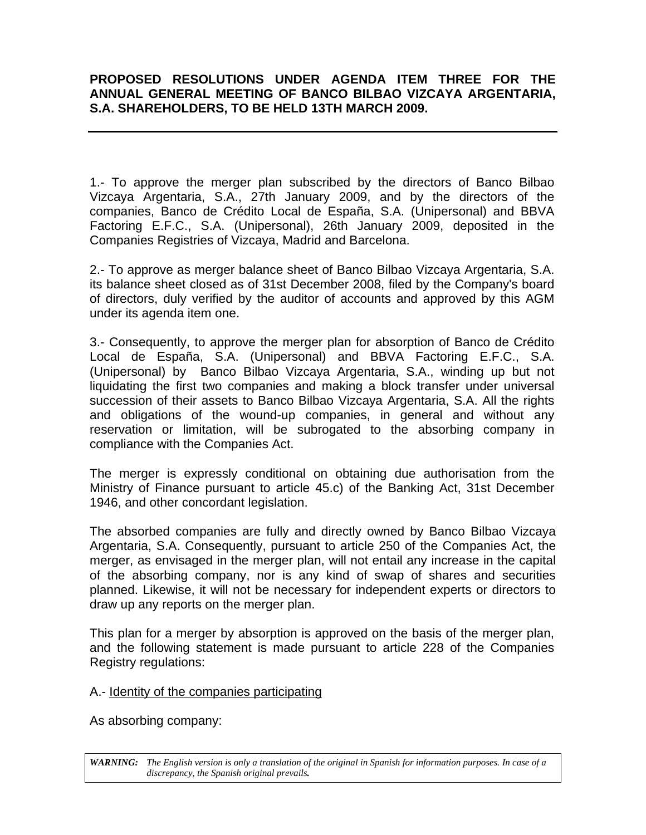# **PROPOSED RESOLUTIONS UNDER AGENDA ITEM THREE FOR THE ANNUAL GENERAL MEETING OF BANCO BILBAO VIZCAYA ARGENTARIA, S.A. SHAREHOLDERS, TO BE HELD 13TH MARCH 2009.**

1.- To approve the merger plan subscribed by the directors of Banco Bilbao Vizcaya Argentaria, S.A., 27th January 2009, and by the directors of the companies, Banco de Crédito Local de España, S.A. (Unipersonal) and BBVA Factoring E.F.C., S.A. (Unipersonal), 26th January 2009, deposited in the Companies Registries of Vizcaya, Madrid and Barcelona.

2.- To approve as merger balance sheet of Banco Bilbao Vizcaya Argentaria, S.A. its balance sheet closed as of 31st December 2008, filed by the Company's board of directors, duly verified by the auditor of accounts and approved by this AGM under its agenda item one.

3.- Consequently, to approve the merger plan for absorption of Banco de Crédito Local de España, S.A. (Unipersonal) and BBVA Factoring E.F.C., S.A. (Unipersonal) by Banco Bilbao Vizcaya Argentaria, S.A., winding up but not liquidating the first two companies and making a block transfer under universal succession of their assets to Banco Bilbao Vizcaya Argentaria, S.A. All the rights and obligations of the wound-up companies, in general and without any reservation or limitation, will be subrogated to the absorbing company in compliance with the Companies Act.

The merger is expressly conditional on obtaining due authorisation from the Ministry of Finance pursuant to article 45.c) of the Banking Act, 31st December 1946, and other concordant legislation.

The absorbed companies are fully and directly owned by Banco Bilbao Vizcaya Argentaria, S.A. Consequently, pursuant to article 250 of the Companies Act, the merger, as envisaged in the merger plan, will not entail any increase in the capital of the absorbing company, nor is any kind of swap of shares and securities planned. Likewise, it will not be necessary for independent experts or directors to draw up any reports on the merger plan.

This plan for a merger by absorption is approved on the basis of the merger plan, and the following statement is made pursuant to article 228 of the Companies Registry regulations:

# A.- Identity of the companies participating

As absorbing company: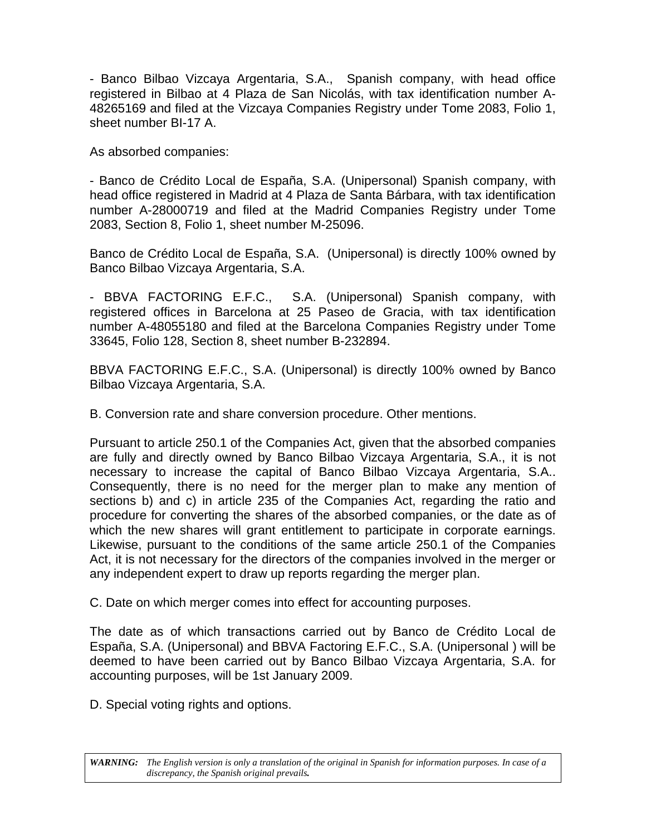- Banco Bilbao Vizcaya Argentaria, S.A., Spanish company, with head office registered in Bilbao at 4 Plaza de San Nicolás, with tax identification number A-48265169 and filed at the Vizcaya Companies Registry under Tome 2083, Folio 1, sheet number BI-17 A.

As absorbed companies:

- Banco de Crédito Local de España, S.A. (Unipersonal) Spanish company, with head office registered in Madrid at 4 Plaza de Santa Bárbara, with tax identification number A-28000719 and filed at the Madrid Companies Registry under Tome 2083, Section 8, Folio 1, sheet number M-25096.

Banco de Crédito Local de España, S.A. (Unipersonal) is directly 100% owned by Banco Bilbao Vizcaya Argentaria, S.A.

- BBVA FACTORING E.F.C., S.A. (Unipersonal) Spanish company, with registered offices in Barcelona at 25 Paseo de Gracia, with tax identification number A-48055180 and filed at the Barcelona Companies Registry under Tome 33645, Folio 128, Section 8, sheet number B-232894.

BBVA FACTORING E.F.C., S.A. (Unipersonal) is directly 100% owned by Banco Bilbao Vizcaya Argentaria, S.A.

B. Conversion rate and share conversion procedure. Other mentions.

Pursuant to article 250.1 of the Companies Act, given that the absorbed companies are fully and directly owned by Banco Bilbao Vizcaya Argentaria, S.A., it is not necessary to increase the capital of Banco Bilbao Vizcaya Argentaria, S.A.. Consequently, there is no need for the merger plan to make any mention of sections b) and c) in article 235 of the Companies Act, regarding the ratio and procedure for converting the shares of the absorbed companies, or the date as of which the new shares will grant entitlement to participate in corporate earnings. Likewise, pursuant to the conditions of the same article 250.1 of the Companies Act, it is not necessary for the directors of the companies involved in the merger or any independent expert to draw up reports regarding the merger plan.

C. Date on which merger comes into effect for accounting purposes.

The date as of which transactions carried out by Banco de Crédito Local de España, S.A. (Unipersonal) and BBVA Factoring E.F.C., S.A. (Unipersonal ) will be deemed to have been carried out by Banco Bilbao Vizcaya Argentaria, S.A. for accounting purposes, will be 1st January 2009.

D. Special voting rights and options.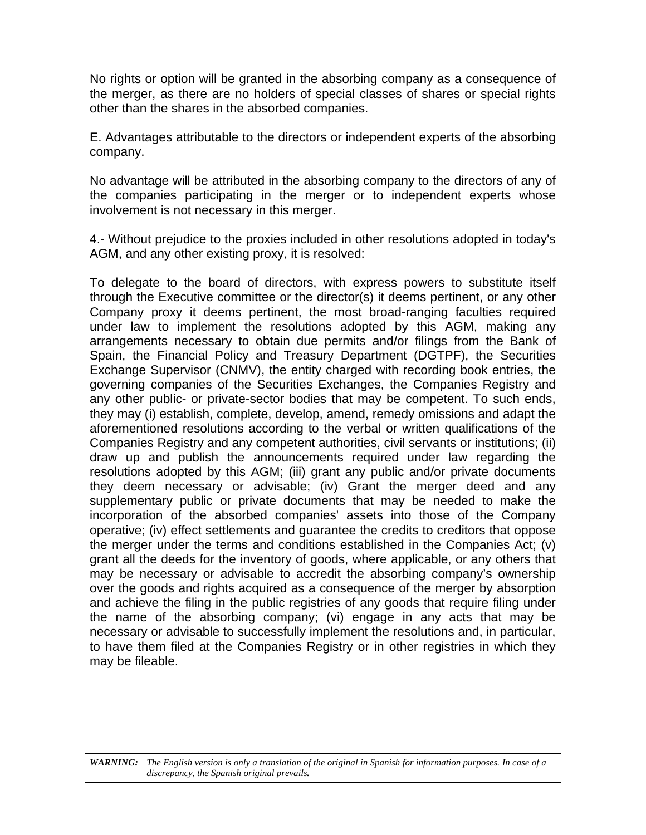No rights or option will be granted in the absorbing company as a consequence of the merger, as there are no holders of special classes of shares or special rights other than the shares in the absorbed companies.

E. Advantages attributable to the directors or independent experts of the absorbing company.

No advantage will be attributed in the absorbing company to the directors of any of the companies participating in the merger or to independent experts whose involvement is not necessary in this merger.

4.- Without prejudice to the proxies included in other resolutions adopted in today's AGM, and any other existing proxy, it is resolved:

To delegate to the board of directors, with express powers to substitute itself through the Executive committee or the director(s) it deems pertinent, or any other Company proxy it deems pertinent, the most broad-ranging faculties required under law to implement the resolutions adopted by this AGM, making any arrangements necessary to obtain due permits and/or filings from the Bank of Spain, the Financial Policy and Treasury Department (DGTPF), the Securities Exchange Supervisor (CNMV), the entity charged with recording book entries, the governing companies of the Securities Exchanges, the Companies Registry and any other public- or private-sector bodies that may be competent. To such ends, they may (i) establish, complete, develop, amend, remedy omissions and adapt the aforementioned resolutions according to the verbal or written qualifications of the Companies Registry and any competent authorities, civil servants or institutions; (ii) draw up and publish the announcements required under law regarding the resolutions adopted by this AGM; (iii) grant any public and/or private documents they deem necessary or advisable; (iv) Grant the merger deed and any supplementary public or private documents that may be needed to make the incorporation of the absorbed companies' assets into those of the Company operative; (iv) effect settlements and guarantee the credits to creditors that oppose the merger under the terms and conditions established in the Companies Act; (v) grant all the deeds for the inventory of goods, where applicable, or any others that may be necessary or advisable to accredit the absorbing company's ownership over the goods and rights acquired as a consequence of the merger by absorption and achieve the filing in the public registries of any goods that require filing under the name of the absorbing company; (vi) engage in any acts that may be necessary or advisable to successfully implement the resolutions and, in particular, to have them filed at the Companies Registry or in other registries in which they may be fileable.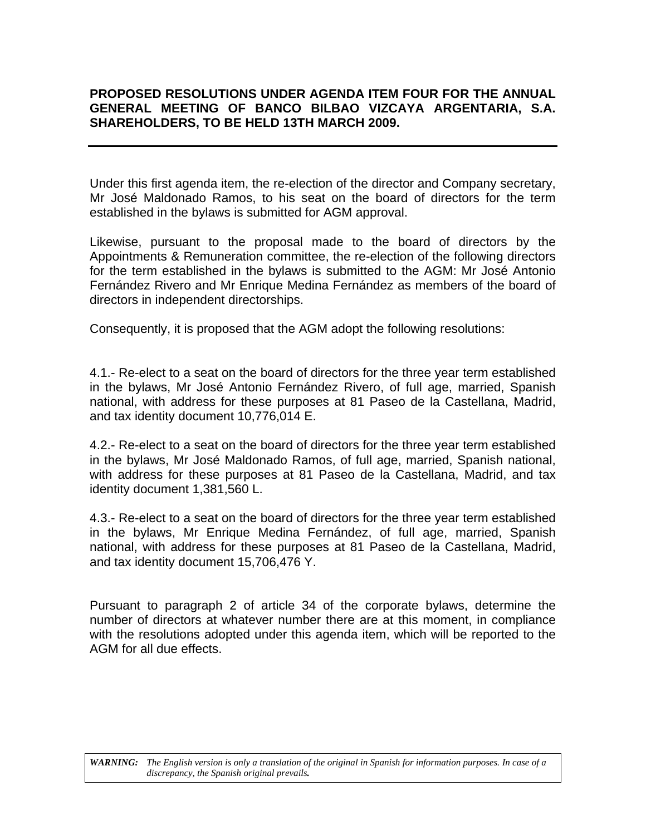# **PROPOSED RESOLUTIONS UNDER AGENDA ITEM FOUR FOR THE ANNUAL GENERAL MEETING OF BANCO BILBAO VIZCAYA ARGENTARIA, S.A. SHAREHOLDERS, TO BE HELD 13TH MARCH 2009.**

Under this first agenda item, the re-election of the director and Company secretary, Mr José Maldonado Ramos, to his seat on the board of directors for the term established in the bylaws is submitted for AGM approval.

Likewise, pursuant to the proposal made to the board of directors by the Appointments & Remuneration committee, the re-election of the following directors for the term established in the bylaws is submitted to the AGM: Mr José Antonio Fernández Rivero and Mr Enrique Medina Fernández as members of the board of directors in independent directorships.

Consequently, it is proposed that the AGM adopt the following resolutions:

4.1.- Re-elect to a seat on the board of directors for the three year term established in the bylaws, Mr José Antonio Fernández Rivero, of full age, married, Spanish national, with address for these purposes at 81 Paseo de la Castellana, Madrid, and tax identity document 10,776,014 E.

4.2.- Re-elect to a seat on the board of directors for the three year term established in the bylaws, Mr José Maldonado Ramos, of full age, married, Spanish national, with address for these purposes at 81 Paseo de la Castellana, Madrid, and tax identity document 1,381,560 L.

4.3.- Re-elect to a seat on the board of directors for the three year term established in the bylaws, Mr Enrique Medina Fernández, of full age, married, Spanish national, with address for these purposes at 81 Paseo de la Castellana, Madrid, and tax identity document 15,706,476 Y.

Pursuant to paragraph 2 of article 34 of the corporate bylaws, determine the number of directors at whatever number there are at this moment, in compliance with the resolutions adopted under this agenda item, which will be reported to the AGM for all due effects.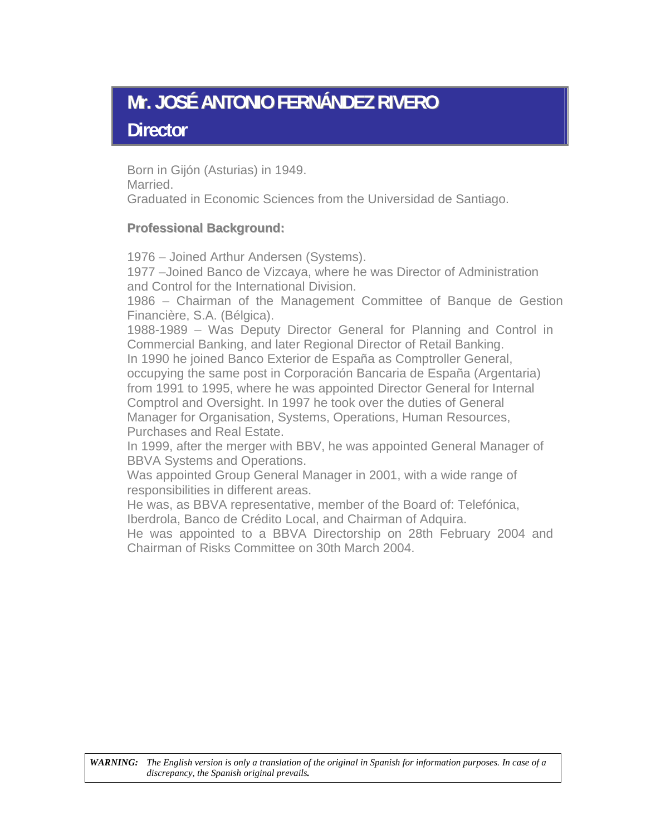# **Mr. JOSÉ ANTONIO FERNÁNDEZ RIVERO Director**

Born in Gijón (Asturias) in 1949. Married. Graduated in Economic Sciences from the Universidad de Santiago.

# **Professional Background:**

1976 – Joined Arthur Andersen (Systems).

1977 –Joined Banco de Vizcaya, where he was Director of Administration and Control for the International Division.

1986 – Chairman of the Management Committee of Banque de Gestion Financière, S.A. (Bélgica).

1988-1989 – Was Deputy Director General for Planning and Control in Commercial Banking, and later Regional Director of Retail Banking.

In 1990 he joined Banco Exterior de España as Comptroller General, occupying the same post in Corporación Bancaria de España (Argentaria)

from 1991 to 1995, where he was appointed Director General for Internal Comptrol and Oversight. In 1997 he took over the duties of General Manager for Organisation, Systems, Operations, Human Resources,

Purchases and Real Estate.

In 1999, after the merger with BBV, he was appointed General Manager of BBVA Systems and Operations.

Was appointed Group General Manager in 2001, with a wide range of responsibilities in different areas.

He was, as BBVA representative, member of the Board of: Telefónica, Iberdrola, Banco de Crédito Local, and Chairman of Adquira.

He was appointed to a BBVA Directorship on 28th February 2004 and Chairman of Risks Committee on 30th March 2004.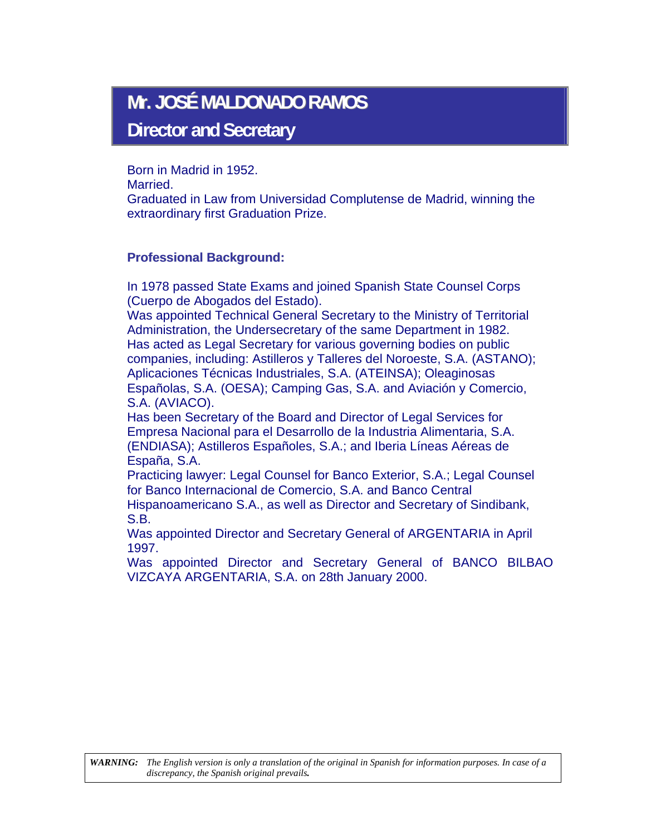# **Mr. JOSÉ MALDONADO RAMOS**

**Director and Secretary** 

Born in Madrid in 1952.

Married.

Graduated in Law from Universidad Complutense de Madrid, winning the extraordinary first Graduation Prize.

# **Professional Background:**

In 1978 passed State Exams and joined Spanish State Counsel Corps (Cuerpo de Abogados del Estado).

Was appointed Technical General Secretary to the Ministry of Territorial Administration, the Undersecretary of the same Department in 1982. Has acted as Legal Secretary for various governing bodies on public companies, including: Astilleros y Talleres del Noroeste, S.A. (ASTANO); Aplicaciones Técnicas Industriales, S.A. (ATEINSA); Oleaginosas Españolas, S.A. (OESA); Camping Gas, S.A. and Aviación y Comercio, S.A. (AVIACO).

Has been Secretary of the Board and Director of Legal Services for Empresa Nacional para el Desarrollo de la Industria Alimentaria, S.A. (ENDIASA); Astilleros Españoles, S.A.; and Iberia Líneas Aéreas de España, S.A.

Practicing lawyer: Legal Counsel for Banco Exterior, S.A.; Legal Counsel for Banco Internacional de Comercio, S.A. and Banco Central

Hispanoamericano S.A., as well as Director and Secretary of Sindibank, S.B.

Was appointed Director and Secretary General of ARGENTARIA in April 1997.

Was appointed Director and Secretary General of BANCO BILBAO VIZCAYA ARGENTARIA, S.A. on 28th January 2000.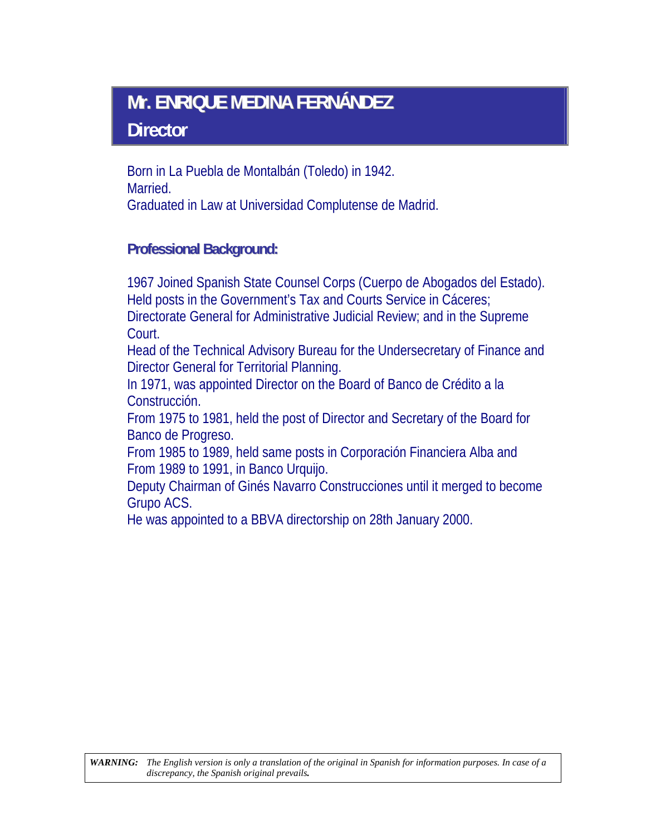# **Mr. ENRIQUE MEDINA FERNÁNDEZ Director**

Born in La Puebla de Montalbán (Toledo) in 1942. Married. Graduated in Law at Universidad Complutense de Madrid.

# **Professional Background:**

1967 Joined Spanish State Counsel Corps (Cuerpo de Abogados del Estado). Held posts in the Government's Tax and Courts Service in Cáceres;

Directorate General for Administrative Judicial Review; and in the Supreme Court.

Head of the Technical Advisory Bureau for the Undersecretary of Finance and Director General for Territorial Planning.

In 1971, was appointed Director on the Board of Banco de Crédito a la Construcción.

From 1975 to 1981, held the post of Director and Secretary of the Board for Banco de Progreso.

From 1985 to 1989, held same posts in Corporación Financiera Alba and From 1989 to 1991, in Banco Urquijo.

Deputy Chairman of Ginés Navarro Construcciones until it merged to become Grupo ACS.

He was appointed to a BBVA directorship on 28th January 2000.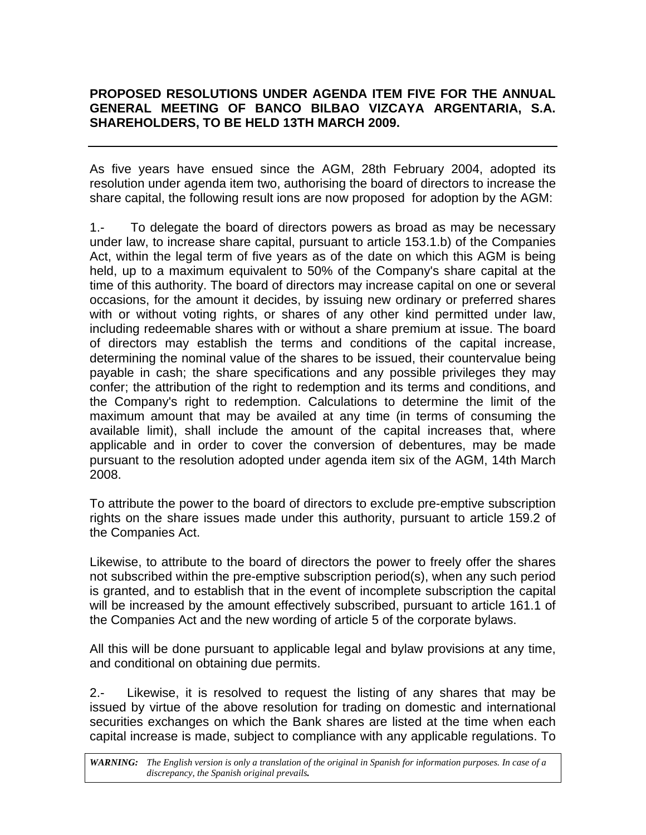# **PROPOSED RESOLUTIONS UNDER AGENDA ITEM FIVE FOR THE ANNUAL GENERAL MEETING OF BANCO BILBAO VIZCAYA ARGENTARIA, S.A. SHAREHOLDERS, TO BE HELD 13TH MARCH 2009.**

As five years have ensued since the AGM, 28th February 2004, adopted its resolution under agenda item two, authorising the board of directors to increase the share capital, the following result ions are now proposed for adoption by the AGM:

1.- To delegate the board of directors powers as broad as may be necessary under law, to increase share capital, pursuant to article 153.1.b) of the Companies Act, within the legal term of five years as of the date on which this AGM is being held, up to a maximum equivalent to 50% of the Company's share capital at the time of this authority. The board of directors may increase capital on one or several occasions, for the amount it decides, by issuing new ordinary or preferred shares with or without voting rights, or shares of any other kind permitted under law, including redeemable shares with or without a share premium at issue. The board of directors may establish the terms and conditions of the capital increase, determining the nominal value of the shares to be issued, their countervalue being payable in cash; the share specifications and any possible privileges they may confer; the attribution of the right to redemption and its terms and conditions, and the Company's right to redemption. Calculations to determine the limit of the maximum amount that may be availed at any time (in terms of consuming the available limit), shall include the amount of the capital increases that, where applicable and in order to cover the conversion of debentures, may be made pursuant to the resolution adopted under agenda item six of the AGM, 14th March 2008.

To attribute the power to the board of directors to exclude pre-emptive subscription rights on the share issues made under this authority, pursuant to article 159.2 of the Companies Act.

Likewise, to attribute to the board of directors the power to freely offer the shares not subscribed within the pre-emptive subscription period(s), when any such period is granted, and to establish that in the event of incomplete subscription the capital will be increased by the amount effectively subscribed, pursuant to article 161.1 of the Companies Act and the new wording of article 5 of the corporate bylaws.

All this will be done pursuant to applicable legal and bylaw provisions at any time, and conditional on obtaining due permits.

2.- Likewise, it is resolved to request the listing of any shares that may be issued by virtue of the above resolution for trading on domestic and international securities exchanges on which the Bank shares are listed at the time when each capital increase is made, subject to compliance with any applicable regulations. To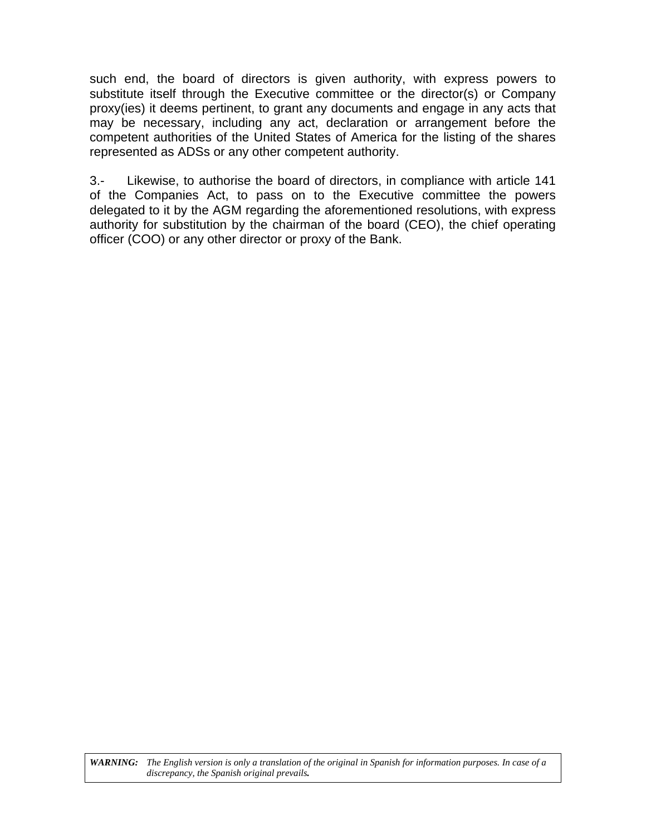such end, the board of directors is given authority, with express powers to substitute itself through the Executive committee or the director(s) or Company proxy(ies) it deems pertinent, to grant any documents and engage in any acts that may be necessary, including any act, declaration or arrangement before the competent authorities of the United States of America for the listing of the shares represented as ADSs or any other competent authority.

3.- Likewise, to authorise the board of directors, in compliance with article 141 of the Companies Act, to pass on to the Executive committee the powers delegated to it by the AGM regarding the aforementioned resolutions, with express authority for substitution by the chairman of the board (CEO), the chief operating officer (COO) or any other director or proxy of the Bank.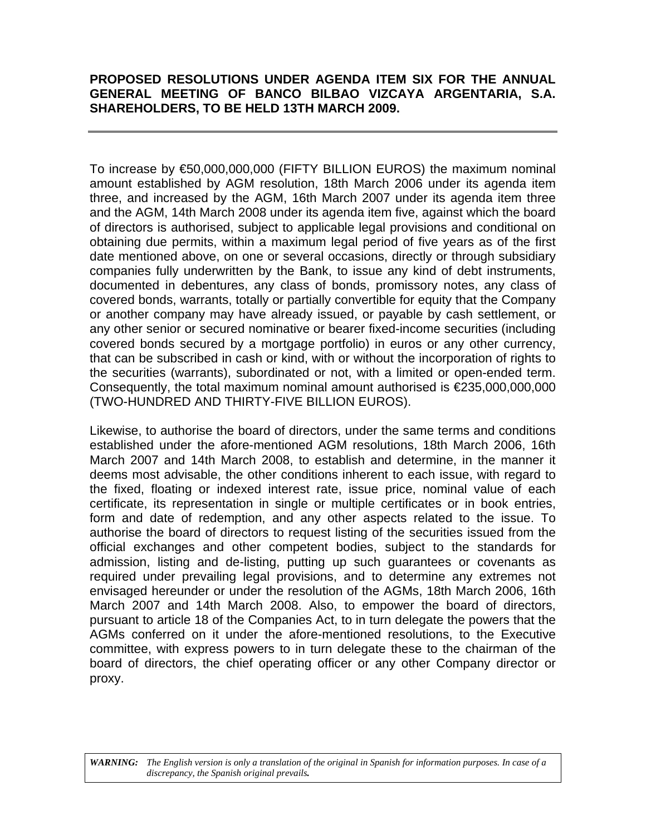# **PROPOSED RESOLUTIONS UNDER AGENDA ITEM SIX FOR THE ANNUAL GENERAL MEETING OF BANCO BILBAO VIZCAYA ARGENTARIA, S.A. SHAREHOLDERS, TO BE HELD 13TH MARCH 2009.**

To increase by €50,000,000,000 (FIFTY BILLION EUROS) the maximum nominal amount established by AGM resolution, 18th March 2006 under its agenda item three, and increased by the AGM, 16th March 2007 under its agenda item three and the AGM, 14th March 2008 under its agenda item five, against which the board of directors is authorised, subject to applicable legal provisions and conditional on obtaining due permits, within a maximum legal period of five years as of the first date mentioned above, on one or several occasions, directly or through subsidiary companies fully underwritten by the Bank, to issue any kind of debt instruments, documented in debentures, any class of bonds, promissory notes, any class of covered bonds, warrants, totally or partially convertible for equity that the Company or another company may have already issued, or payable by cash settlement, or any other senior or secured nominative or bearer fixed-income securities (including covered bonds secured by a mortgage portfolio) in euros or any other currency, that can be subscribed in cash or kind, with or without the incorporation of rights to the securities (warrants), subordinated or not, with a limited or open-ended term. Consequently, the total maximum nominal amount authorised is  $\epsilon$ 235,000,000,000 (TWO-HUNDRED AND THIRTY-FIVE BILLION EUROS).

Likewise, to authorise the board of directors, under the same terms and conditions established under the afore-mentioned AGM resolutions, 18th March 2006, 16th March 2007 and 14th March 2008, to establish and determine, in the manner it deems most advisable, the other conditions inherent to each issue, with regard to the fixed, floating or indexed interest rate, issue price, nominal value of each certificate, its representation in single or multiple certificates or in book entries, form and date of redemption, and any other aspects related to the issue. To authorise the board of directors to request listing of the securities issued from the official exchanges and other competent bodies, subject to the standards for admission, listing and de-listing, putting up such guarantees or covenants as required under prevailing legal provisions, and to determine any extremes not envisaged hereunder or under the resolution of the AGMs, 18th March 2006, 16th March 2007 and 14th March 2008. Also, to empower the board of directors, pursuant to article 18 of the Companies Act, to in turn delegate the powers that the AGMs conferred on it under the afore-mentioned resolutions, to the Executive committee, with express powers to in turn delegate these to the chairman of the board of directors, the chief operating officer or any other Company director or proxy.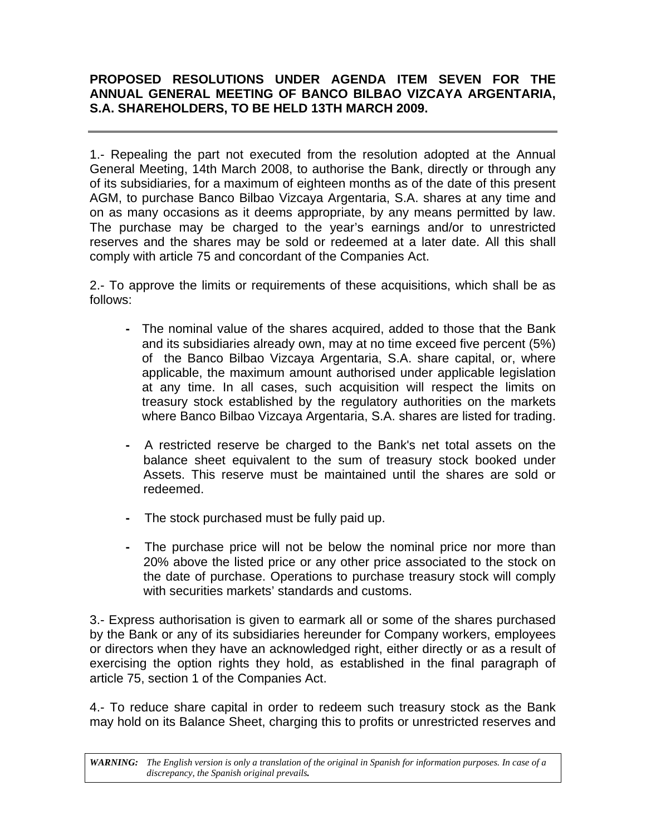# **PROPOSED RESOLUTIONS UNDER AGENDA ITEM SEVEN FOR THE ANNUAL GENERAL MEETING OF BANCO BILBAO VIZCAYA ARGENTARIA, S.A. SHAREHOLDERS, TO BE HELD 13TH MARCH 2009.**

1.- Repealing the part not executed from the resolution adopted at the Annual General Meeting, 14th March 2008, to authorise the Bank, directly or through any of its subsidiaries, for a maximum of eighteen months as of the date of this present AGM, to purchase Banco Bilbao Vizcaya Argentaria, S.A. shares at any time and on as many occasions as it deems appropriate, by any means permitted by law. The purchase may be charged to the year's earnings and/or to unrestricted reserves and the shares may be sold or redeemed at a later date. All this shall comply with article 75 and concordant of the Companies Act.

2.- To approve the limits or requirements of these acquisitions, which shall be as follows:

- **-** The nominal value of the shares acquired, added to those that the Bank and its subsidiaries already own, may at no time exceed five percent (5%) of the Banco Bilbao Vizcaya Argentaria, S.A. share capital, or, where applicable, the maximum amount authorised under applicable legislation at any time. In all cases, such acquisition will respect the limits on treasury stock established by the regulatory authorities on the markets where Banco Bilbao Vizcaya Argentaria, S.A. shares are listed for trading.
- **-** A restricted reserve be charged to the Bank's net total assets on the balance sheet equivalent to the sum of treasury stock booked under Assets. This reserve must be maintained until the shares are sold or redeemed.
- **-** The stock purchased must be fully paid up.
- **-** The purchase price will not be below the nominal price nor more than 20% above the listed price or any other price associated to the stock on the date of purchase. Operations to purchase treasury stock will comply with securities markets' standards and customs.

3.- Express authorisation is given to earmark all or some of the shares purchased by the Bank or any of its subsidiaries hereunder for Company workers, employees or directors when they have an acknowledged right, either directly or as a result of exercising the option rights they hold, as established in the final paragraph of article 75, section 1 of the Companies Act.

4.- To reduce share capital in order to redeem such treasury stock as the Bank may hold on its Balance Sheet, charging this to profits or unrestricted reserves and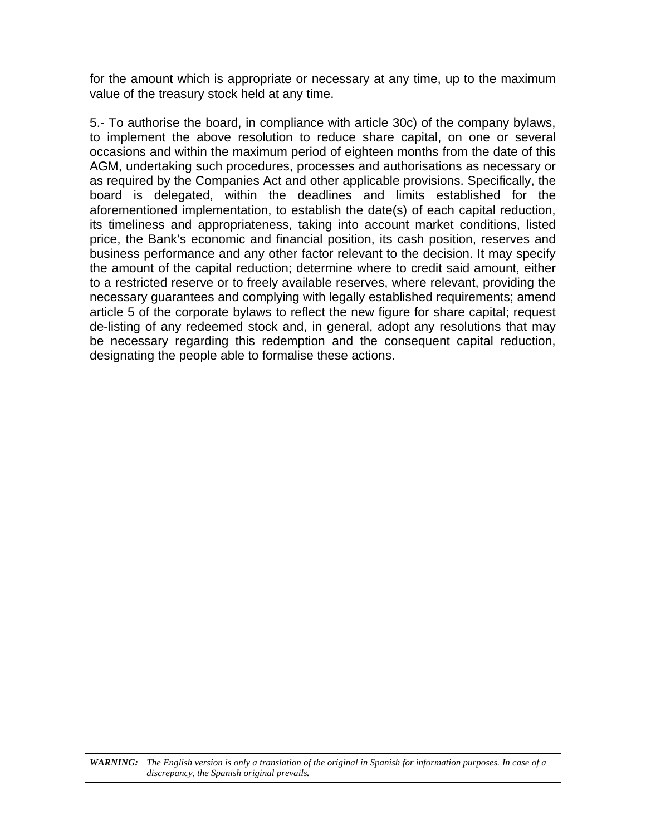for the amount which is appropriate or necessary at any time, up to the maximum value of the treasury stock held at any time.

5.- To authorise the board, in compliance with article 30c) of the company bylaws, to implement the above resolution to reduce share capital, on one or several occasions and within the maximum period of eighteen months from the date of this AGM, undertaking such procedures, processes and authorisations as necessary or as required by the Companies Act and other applicable provisions. Specifically, the board is delegated, within the deadlines and limits established for the aforementioned implementation, to establish the date(s) of each capital reduction, its timeliness and appropriateness, taking into account market conditions, listed price, the Bank's economic and financial position, its cash position, reserves and business performance and any other factor relevant to the decision. It may specify the amount of the capital reduction; determine where to credit said amount, either to a restricted reserve or to freely available reserves, where relevant, providing the necessary guarantees and complying with legally established requirements; amend article 5 of the corporate bylaws to reflect the new figure for share capital; request de-listing of any redeemed stock and, in general, adopt any resolutions that may be necessary regarding this redemption and the consequent capital reduction, designating the people able to formalise these actions.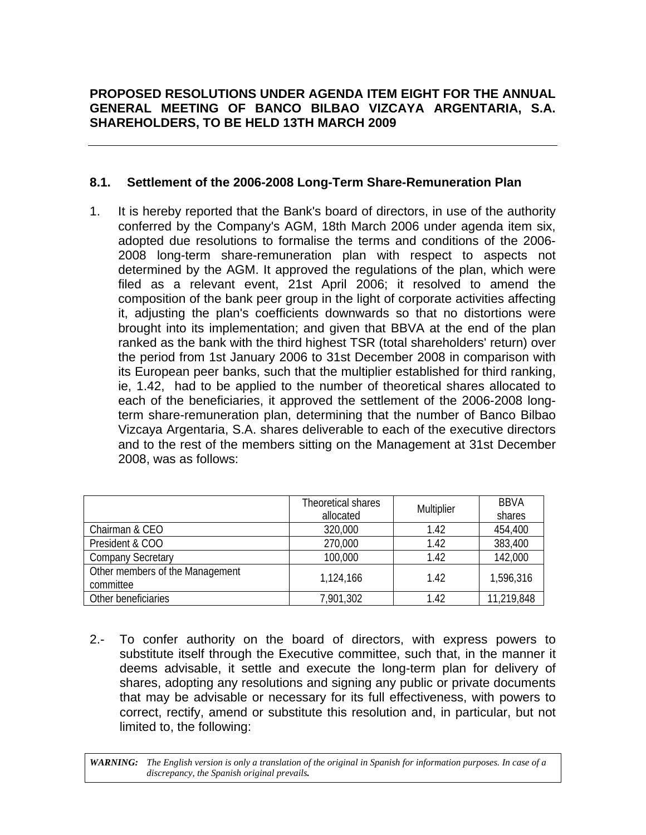# **8.1. Settlement of the 2006-2008 Long-Term Share-Remuneration Plan**

1. It is hereby reported that the Bank's board of directors, in use of the authority conferred by the Company's AGM, 18th March 2006 under agenda item six, adopted due resolutions to formalise the terms and conditions of the 2006- 2008 long-term share-remuneration plan with respect to aspects not determined by the AGM. It approved the regulations of the plan, which were filed as a relevant event, 21st April 2006; it resolved to amend the composition of the bank peer group in the light of corporate activities affecting it, adjusting the plan's coefficients downwards so that no distortions were brought into its implementation; and given that BBVA at the end of the plan ranked as the bank with the third highest TSR (total shareholders' return) over the period from 1st January 2006 to 31st December 2008 in comparison with its European peer banks, such that the multiplier established for third ranking, ie, 1.42, had to be applied to the number of theoretical shares allocated to each of the beneficiaries, it approved the settlement of the 2006-2008 longterm share-remuneration plan, determining that the number of Banco Bilbao Vizcaya Argentaria, S.A. shares deliverable to each of the executive directors and to the rest of the members sitting on the Management at 31st December 2008, was as follows:

|                                              | Theoretical shares<br>allocated | Multiplier | <b>BBVA</b><br>shares |
|----------------------------------------------|---------------------------------|------------|-----------------------|
| Chairman & CEO                               | 320,000                         | 1.42       | 454,400               |
| President & COO                              | 270,000                         | 1.42       | 383,400               |
| <b>Company Secretary</b>                     | 100,000                         | 1.42       | 142,000               |
| Other members of the Management<br>committee | 1,124,166                       | 1.42       | 1,596,316             |
| Other beneficiaries                          | 7,901,302                       | 1.42       | 11,219,848            |

2.- To confer authority on the board of directors, with express powers to substitute itself through the Executive committee, such that, in the manner it deems advisable, it settle and execute the long-term plan for delivery of shares, adopting any resolutions and signing any public or private documents that may be advisable or necessary for its full effectiveness, with powers to correct, rectify, amend or substitute this resolution and, in particular, but not limited to, the following: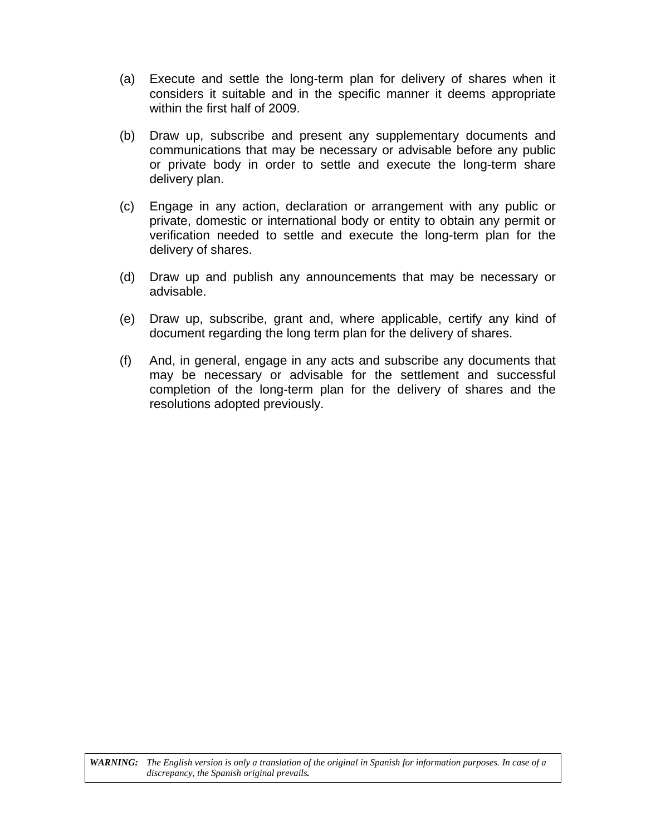- (a) Execute and settle the long-term plan for delivery of shares when it considers it suitable and in the specific manner it deems appropriate within the first half of 2009.
- (b) Draw up, subscribe and present any supplementary documents and communications that may be necessary or advisable before any public or private body in order to settle and execute the long-term share delivery plan.
- (c) Engage in any action, declaration or arrangement with any public or private, domestic or international body or entity to obtain any permit or verification needed to settle and execute the long-term plan for the delivery of shares.
- (d) Draw up and publish any announcements that may be necessary or advisable.
- (e) Draw up, subscribe, grant and, where applicable, certify any kind of document regarding the long term plan for the delivery of shares.
- (f) And, in general, engage in any acts and subscribe any documents that may be necessary or advisable for the settlement and successful completion of the long-term plan for the delivery of shares and the resolutions adopted previously.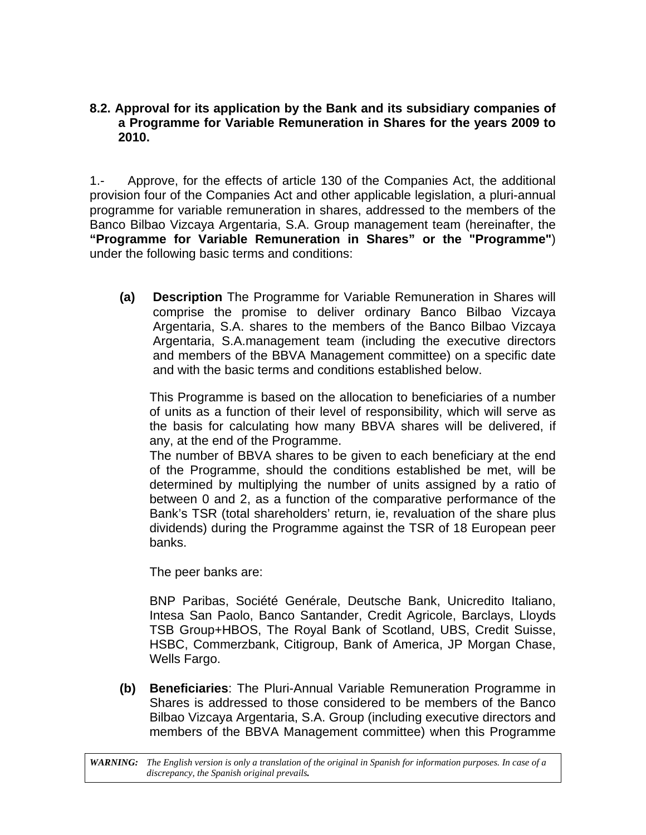# **8.2. Approval for its application by the Bank and its subsidiary companies of a Programme for Variable Remuneration in Shares for the years 2009 to 2010.**

1.- Approve, for the effects of article 130 of the Companies Act, the additional provision four of the Companies Act and other applicable legislation, a pluri-annual programme for variable remuneration in shares, addressed to the members of the Banco Bilbao Vizcaya Argentaria, S.A. Group management team (hereinafter, the **"Programme for Variable Remuneration in Shares" or the "Programme"**) under the following basic terms and conditions:

**(a) Description** The Programme for Variable Remuneration in Shares will comprise the promise to deliver ordinary Banco Bilbao Vizcaya Argentaria, S.A. shares to the members of the Banco Bilbao Vizcaya Argentaria, S.A.management team (including the executive directors and members of the BBVA Management committee) on a specific date and with the basic terms and conditions established below.

This Programme is based on the allocation to beneficiaries of a number of units as a function of their level of responsibility, which will serve as the basis for calculating how many BBVA shares will be delivered, if any, at the end of the Programme.

The number of BBVA shares to be given to each beneficiary at the end of the Programme, should the conditions established be met, will be determined by multiplying the number of units assigned by a ratio of between 0 and 2, as a function of the comparative performance of the Bank's TSR (total shareholders' return, ie, revaluation of the share plus dividends) during the Programme against the TSR of 18 European peer banks.

The peer banks are:

BNP Paribas, Société Genérale, Deutsche Bank, Unicredito Italiano, Intesa San Paolo, Banco Santander, Credit Agricole, Barclays, Lloyds TSB Group+HBOS, The Royal Bank of Scotland, UBS, Credit Suisse, HSBC, Commerzbank, Citigroup, Bank of America, JP Morgan Chase, Wells Fargo.

**(b) Beneficiaries**: The Pluri-Annual Variable Remuneration Programme in Shares is addressed to those considered to be members of the Banco Bilbao Vizcaya Argentaria, S.A. Group (including executive directors and members of the BBVA Management committee) when this Programme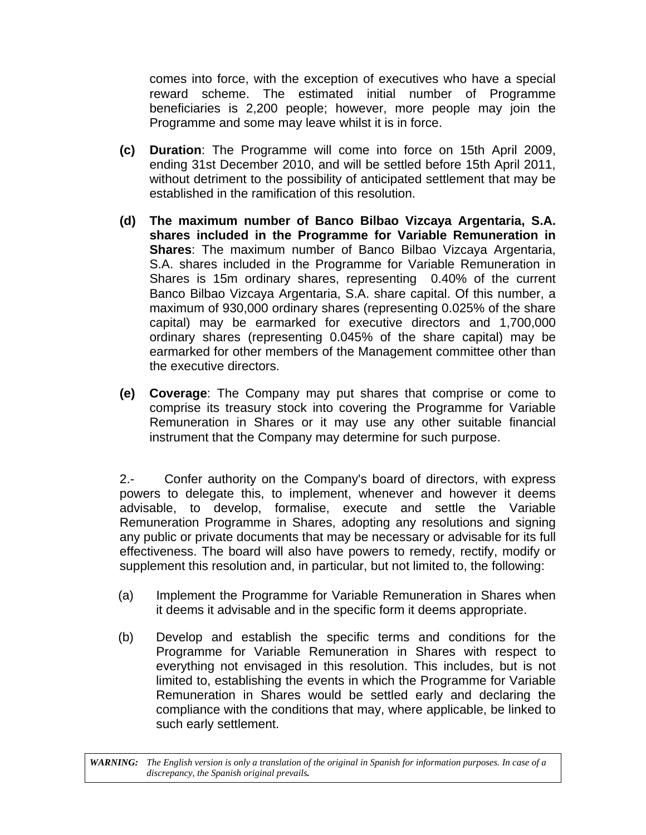comes into force, with the exception of executives who have a special reward scheme. The estimated initial number of Programme beneficiaries is 2,200 people; however, more people may join the Programme and some may leave whilst it is in force.

- **(c) Duration**: The Programme will come into force on 15th April 2009, ending 31st December 2010, and will be settled before 15th April 2011, without detriment to the possibility of anticipated settlement that may be established in the ramification of this resolution.
- **(d) The maximum number of Banco Bilbao Vizcaya Argentaria, S.A. shares included in the Programme for Variable Remuneration in Shares**: The maximum number of Banco Bilbao Vizcaya Argentaria, S.A. shares included in the Programme for Variable Remuneration in Shares is 15m ordinary shares, representing 0.40% of the current Banco Bilbao Vizcaya Argentaria, S.A. share capital. Of this number, a maximum of 930,000 ordinary shares (representing 0.025% of the share capital) may be earmarked for executive directors and 1,700,000 ordinary shares (representing 0.045% of the share capital) may be earmarked for other members of the Management committee other than the executive directors.
- **(e) Coverage**: The Company may put shares that comprise or come to comprise its treasury stock into covering the Programme for Variable Remuneration in Shares or it may use any other suitable financial instrument that the Company may determine for such purpose.

2.- Confer authority on the Company's board of directors, with express powers to delegate this, to implement, whenever and however it deems advisable, to develop, formalise, execute and settle the Variable Remuneration Programme in Shares, adopting any resolutions and signing any public or private documents that may be necessary or advisable for its full effectiveness. The board will also have powers to remedy, rectify, modify or supplement this resolution and, in particular, but not limited to, the following:

- (a) Implement the Programme for Variable Remuneration in Shares when it deems it advisable and in the specific form it deems appropriate.
- (b) Develop and establish the specific terms and conditions for the Programme for Variable Remuneration in Shares with respect to everything not envisaged in this resolution. This includes, but is not limited to, establishing the events in which the Programme for Variable Remuneration in Shares would be settled early and declaring the compliance with the conditions that may, where applicable, be linked to such early settlement.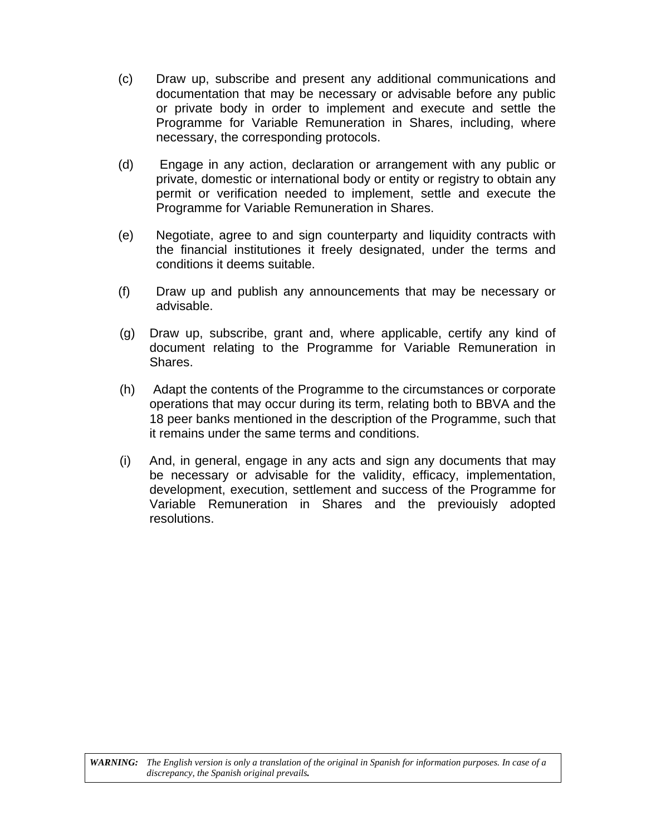- (c) Draw up, subscribe and present any additional communications and documentation that may be necessary or advisable before any public or private body in order to implement and execute and settle the Programme for Variable Remuneration in Shares, including, where necessary, the corresponding protocols.
- (d) Engage in any action, declaration or arrangement with any public or private, domestic or international body or entity or registry to obtain any permit or verification needed to implement, settle and execute the Programme for Variable Remuneration in Shares.
- (e) Negotiate, agree to and sign counterparty and liquidity contracts with the financial institutiones it freely designated, under the terms and conditions it deems suitable.
- (f) Draw up and publish any announcements that may be necessary or advisable.
- (g) Draw up, subscribe, grant and, where applicable, certify any kind of document relating to the Programme for Variable Remuneration in Shares.
- (h) Adapt the contents of the Programme to the circumstances or corporate operations that may occur during its term, relating both to BBVA and the 18 peer banks mentioned in the description of the Programme, such that it remains under the same terms and conditions.
- (i) And, in general, engage in any acts and sign any documents that may be necessary or advisable for the validity, efficacy, implementation, development, execution, settlement and success of the Programme for Variable Remuneration in Shares and the previouisly adopted resolutions.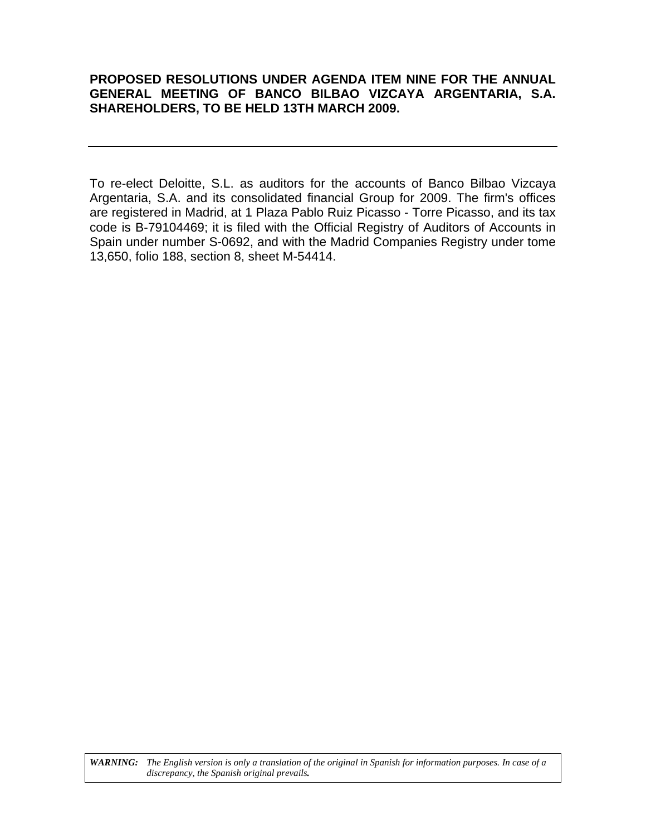# **PROPOSED RESOLUTIONS UNDER AGENDA ITEM NINE FOR THE ANNUAL GENERAL MEETING OF BANCO BILBAO VIZCAYA ARGENTARIA, S.A. SHAREHOLDERS, TO BE HELD 13TH MARCH 2009.**

To re-elect Deloitte, S.L. as auditors for the accounts of Banco Bilbao Vizcaya Argentaria, S.A. and its consolidated financial Group for 2009. The firm's offices are registered in Madrid, at 1 Plaza Pablo Ruiz Picasso - Torre Picasso, and its tax code is B-79104469; it is filed with the Official Registry of Auditors of Accounts in Spain under number S-0692, and with the Madrid Companies Registry under tome 13,650, folio 188, section 8, sheet M-54414.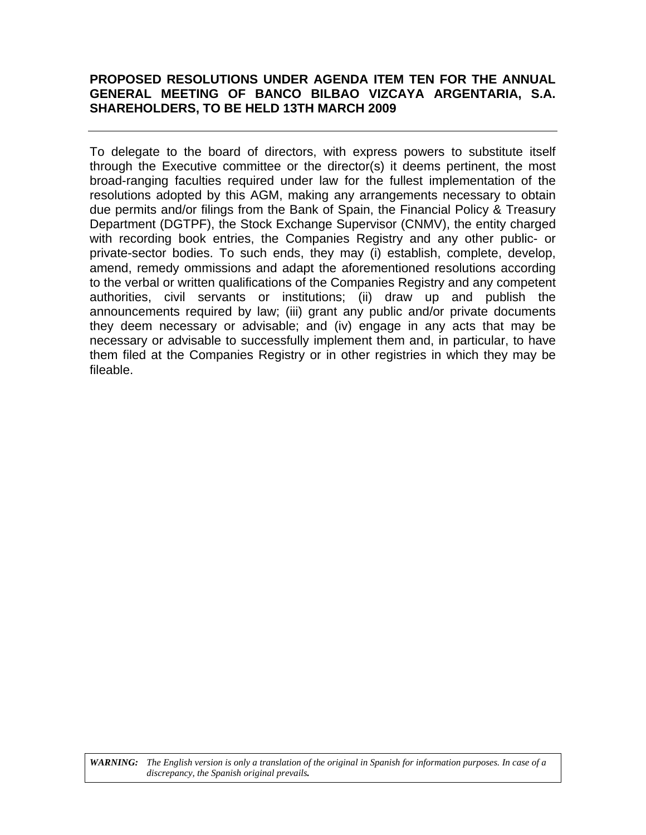# **PROPOSED RESOLUTIONS UNDER AGENDA ITEM TEN FOR THE ANNUAL GENERAL MEETING OF BANCO BILBAO VIZCAYA ARGENTARIA, S.A. SHAREHOLDERS, TO BE HELD 13TH MARCH 2009**

To delegate to the board of directors, with express powers to substitute itself through the Executive committee or the director(s) it deems pertinent, the most broad-ranging faculties required under law for the fullest implementation of the resolutions adopted by this AGM, making any arrangements necessary to obtain due permits and/or filings from the Bank of Spain, the Financial Policy & Treasury Department (DGTPF), the Stock Exchange Supervisor (CNMV), the entity charged with recording book entries, the Companies Registry and any other public- or private-sector bodies. To such ends, they may (i) establish, complete, develop, amend, remedy ommissions and adapt the aforementioned resolutions according to the verbal or written qualifications of the Companies Registry and any competent authorities, civil servants or institutions; (ii) draw up and publish the announcements required by law; (iii) grant any public and/or private documents they deem necessary or advisable; and (iv) engage in any acts that may be necessary or advisable to successfully implement them and, in particular, to have them filed at the Companies Registry or in other registries in which they may be fileable.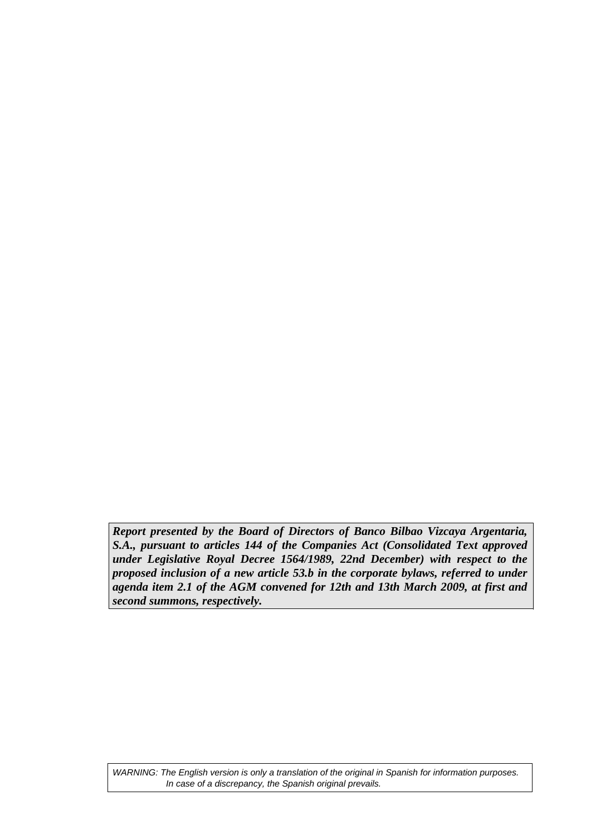*Report presented by the Board of Directors of Banco Bilbao Vizcaya Argentaria, S.A., pursuant to articles 144 of the Companies Act (Consolidated Text approved under Legislative Royal Decree 1564/1989, 22nd December) with respect to the proposed inclusion of a new article 53.b in the corporate bylaws, referred to under agenda item 2.1 of the AGM convened for 12th and 13th March 2009, at first and second summons, respectively.*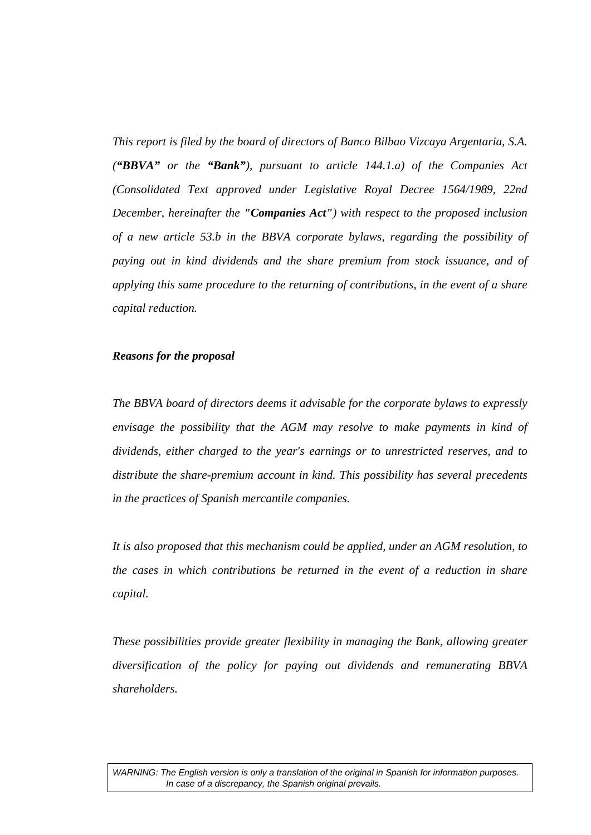*This report is filed by the board of directors of Banco Bilbao Vizcaya Argentaria, S.A. ("BBVA" or the "Bank"), pursuant to article 144.1.a) of the Companies Act (Consolidated Text approved under Legislative Royal Decree 1564/1989, 22nd December, hereinafter the "Companies Act") with respect to the proposed inclusion of a new article 53.b in the BBVA corporate bylaws, regarding the possibility of paying out in kind dividends and the share premium from stock issuance, and of applying this same procedure to the returning of contributions, in the event of a share capital reduction.* 

#### *Reasons for the proposal*

*The BBVA board of directors deems it advisable for the corporate bylaws to expressly envisage the possibility that the AGM may resolve to make payments in kind of dividends, either charged to the year's earnings or to unrestricted reserves, and to distribute the share-premium account in kind. This possibility has several precedents in the practices of Spanish mercantile companies.* 

*It is also proposed that this mechanism could be applied, under an AGM resolution, to the cases in which contributions be returned in the event of a reduction in share capital.* 

*These possibilities provide greater flexibility in managing the Bank, allowing greater diversification of the policy for paying out dividends and remunerating BBVA shareholders.*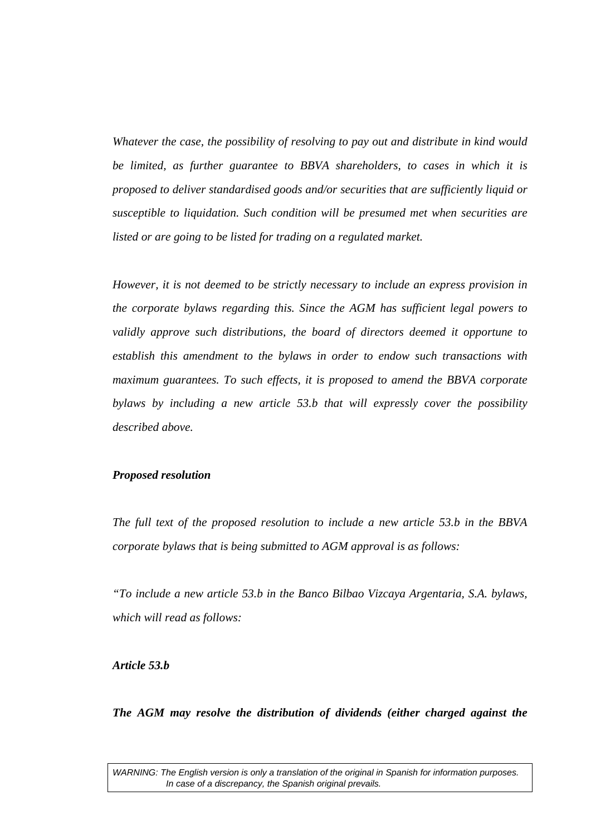*Whatever the case, the possibility of resolving to pay out and distribute in kind would be limited, as further guarantee to BBVA shareholders, to cases in which it is proposed to deliver standardised goods and/or securities that are sufficiently liquid or susceptible to liquidation. Such condition will be presumed met when securities are listed or are going to be listed for trading on a regulated market.* 

*However, it is not deemed to be strictly necessary to include an express provision in the corporate bylaws regarding this. Since the AGM has sufficient legal powers to validly approve such distributions, the board of directors deemed it opportune to establish this amendment to the bylaws in order to endow such transactions with maximum guarantees. To such effects, it is proposed to amend the BBVA corporate bylaws by including a new article 53.b that will expressly cover the possibility described above.* 

#### *Proposed resolution*

*The full text of the proposed resolution to include a new article 53.b in the BBVA corporate bylaws that is being submitted to AGM approval is as follows:* 

*"To include a new article 53.b in the Banco Bilbao Vizcaya Argentaria, S.A. bylaws, which will read as follows:* 

*Article 53.b* 

*The AGM may resolve the distribution of dividends (either charged against the*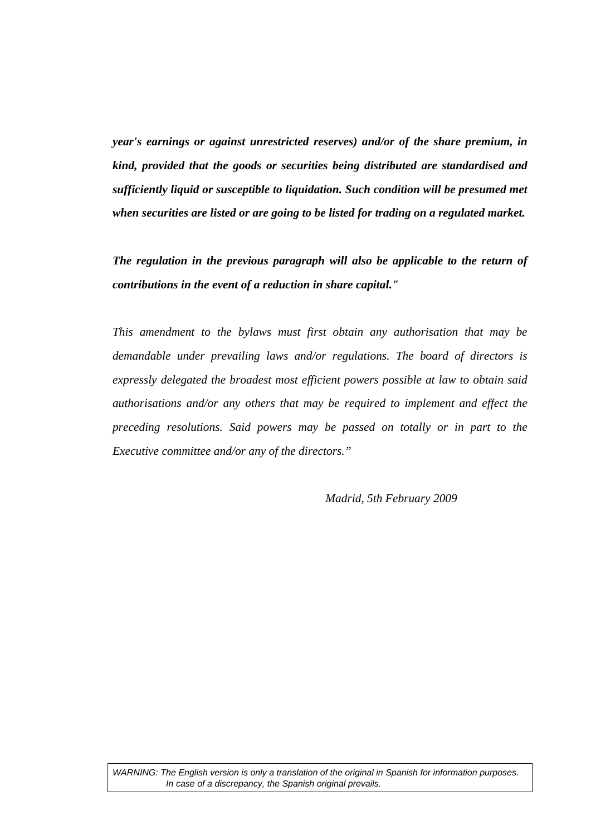*year's earnings or against unrestricted reserves) and/or of the share premium, in kind, provided that the goods or securities being distributed are standardised and sufficiently liquid or susceptible to liquidation. Such condition will be presumed met when securities are listed or are going to be listed for trading on a regulated market.* 

*The regulation in the previous paragraph will also be applicable to the return of contributions in the event of a reduction in share capital."* 

*This amendment to the bylaws must first obtain any authorisation that may be demandable under prevailing laws and/or regulations. The board of directors is expressly delegated the broadest most efficient powers possible at law to obtain said authorisations and/or any others that may be required to implement and effect the preceding resolutions. Said powers may be passed on totally or in part to the Executive committee and/or any of the directors."* 

 *Madrid, 5th February 2009*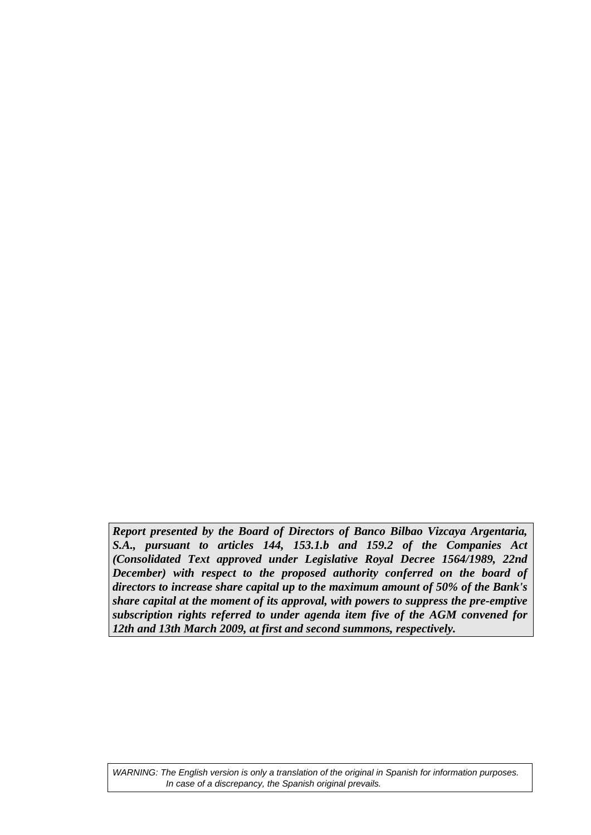*Report presented by the Board of Directors of Banco Bilbao Vizcaya Argentaria, S.A., pursuant to articles 144, 153.1.b and 159.2 of the Companies Act (Consolidated Text approved under Legislative Royal Decree 1564/1989, 22nd December*) with respect to the proposed authority conferred on the board of *directors to increase share capital up to the maximum amount of 50% of the Bank's share capital at the moment of its approval, with powers to suppress the pre-emptive subscription rights referred to under agenda item five of the AGM convened for 12th and 13th March 2009, at first and second summons, respectively.*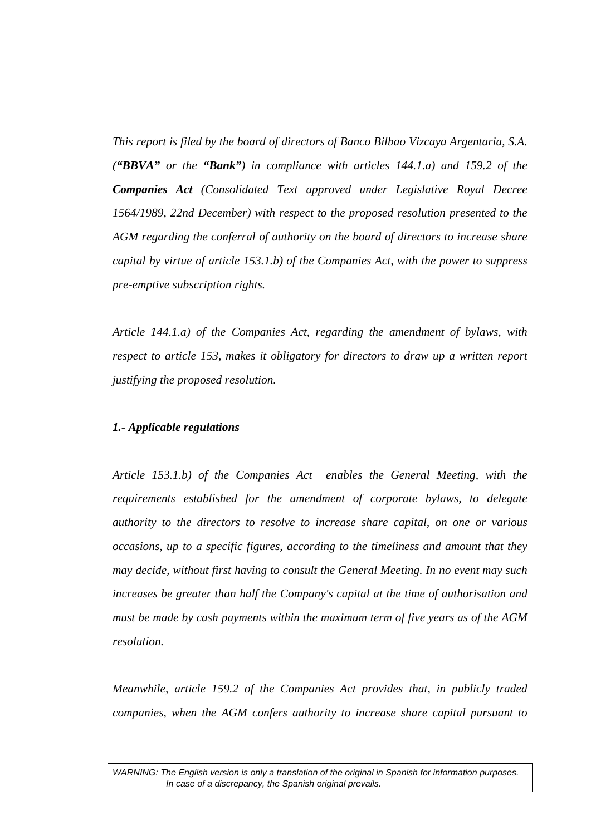*This report is filed by the board of directors of Banco Bilbao Vizcaya Argentaria, S.A. ("BBVA" or the "Bank") in compliance with articles 144.1.a) and 159.2 of the Companies Act (Consolidated Text approved under Legislative Royal Decree 1564/1989, 22nd December) with respect to the proposed resolution presented to the AGM regarding the conferral of authority on the board of directors to increase share capital by virtue of article 153.1.b) of the Companies Act, with the power to suppress pre-emptive subscription rights.* 

*Article 144.1.a) of the Companies Act, regarding the amendment of bylaws, with respect to article 153, makes it obligatory for directors to draw up a written report justifying the proposed resolution.* 

# *1.- Applicable regulations*

*Article 153.1.b) of the Companies Act enables the General Meeting, with the requirements established for the amendment of corporate bylaws, to delegate authority to the directors to resolve to increase share capital, on one or various occasions, up to a specific figures, according to the timeliness and amount that they may decide, without first having to consult the General Meeting. In no event may such increases be greater than half the Company's capital at the time of authorisation and must be made by cash payments within the maximum term of five years as of the AGM resolution.* 

*Meanwhile, article 159.2 of the Companies Act provides that, in publicly traded companies, when the AGM confers authority to increase share capital pursuant to*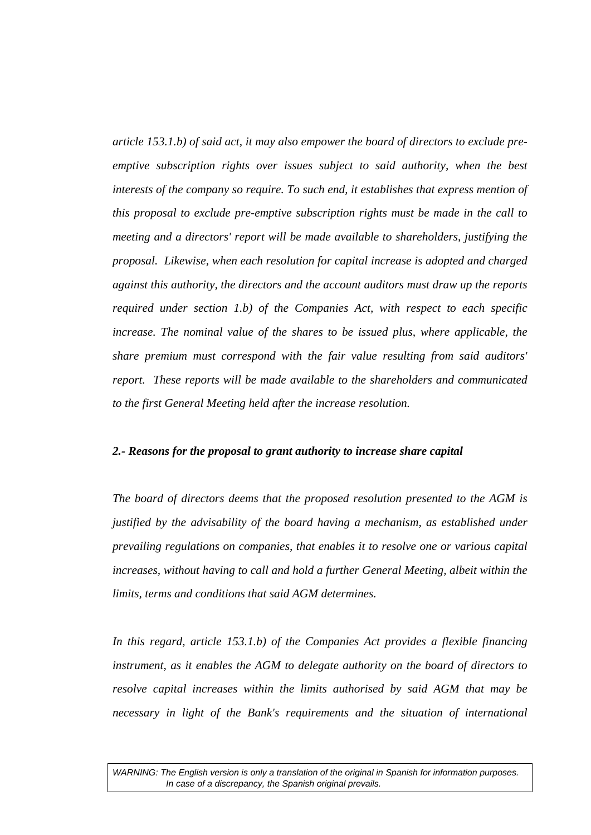*article 153.1.b) of said act, it may also empower the board of directors to exclude preemptive subscription rights over issues subject to said authority, when the best interests of the company so require. To such end, it establishes that express mention of this proposal to exclude pre-emptive subscription rights must be made in the call to meeting and a directors' report will be made available to shareholders, justifying the proposal. Likewise, when each resolution for capital increase is adopted and charged against this authority, the directors and the account auditors must draw up the reports required under section 1.b) of the Companies Act, with respect to each specific increase. The nominal value of the shares to be issued plus, where applicable, the share premium must correspond with the fair value resulting from said auditors' report. These reports will be made available to the shareholders and communicated to the first General Meeting held after the increase resolution.* 

#### *2.- Reasons for the proposal to grant authority to increase share capital*

*The board of directors deems that the proposed resolution presented to the AGM is justified by the advisability of the board having a mechanism, as established under prevailing regulations on companies, that enables it to resolve one or various capital increases, without having to call and hold a further General Meeting, albeit within the limits, terms and conditions that said AGM determines.* 

*In this regard, article 153.1.b) of the Companies Act provides a flexible financing instrument, as it enables the AGM to delegate authority on the board of directors to resolve capital increases within the limits authorised by said AGM that may be necessary in light of the Bank's requirements and the situation of international*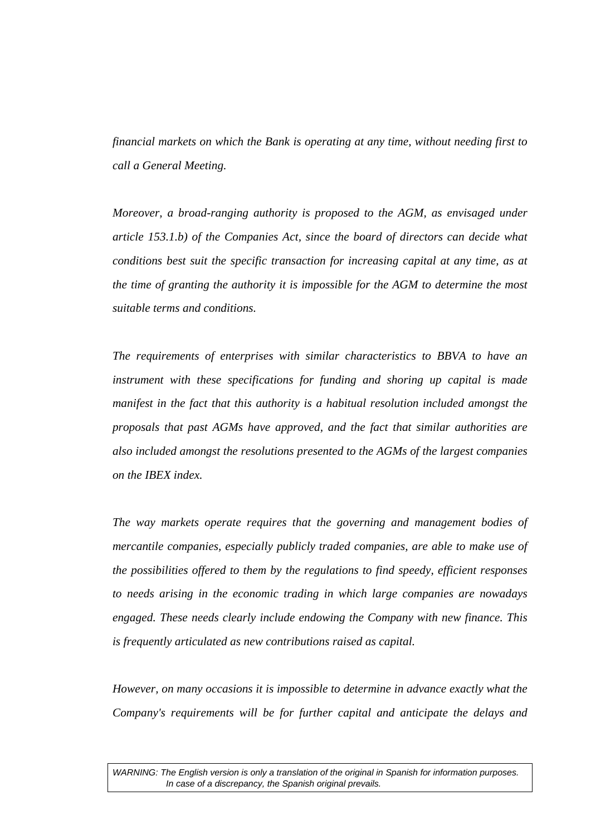*financial markets on which the Bank is operating at any time, without needing first to call a General Meeting.* 

*Moreover, a broad-ranging authority is proposed to the AGM, as envisaged under article 153.1.b) of the Companies Act, since the board of directors can decide what conditions best suit the specific transaction for increasing capital at any time, as at the time of granting the authority it is impossible for the AGM to determine the most suitable terms and conditions.* 

*The requirements of enterprises with similar characteristics to BBVA to have an instrument with these specifications for funding and shoring up capital is made manifest in the fact that this authority is a habitual resolution included amongst the proposals that past AGMs have approved, and the fact that similar authorities are also included amongst the resolutions presented to the AGMs of the largest companies on the IBEX index.* 

*The way markets operate requires that the governing and management bodies of mercantile companies, especially publicly traded companies, are able to make use of the possibilities offered to them by the regulations to find speedy, efficient responses to needs arising in the economic trading in which large companies are nowadays engaged. These needs clearly include endowing the Company with new finance. This is frequently articulated as new contributions raised as capital.* 

*However, on many occasions it is impossible to determine in advance exactly what the Company's requirements will be for further capital and anticipate the delays and*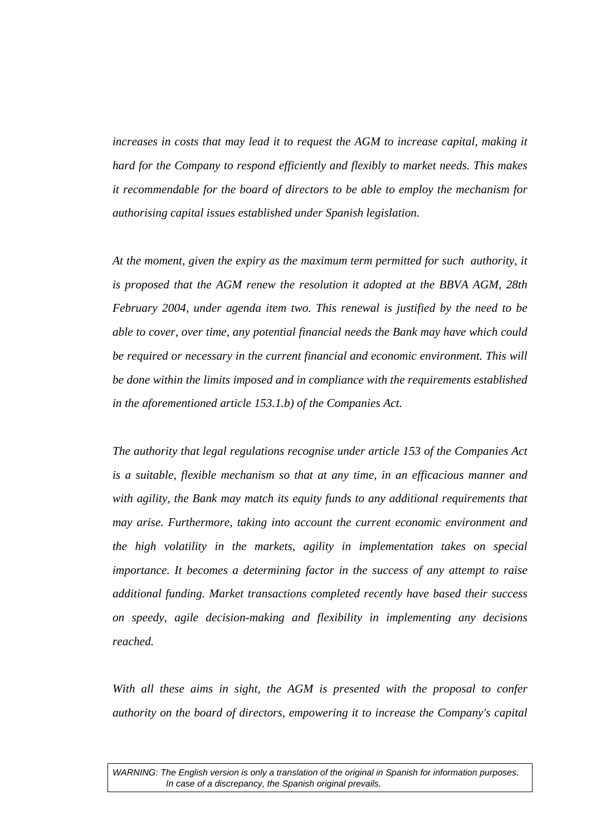*increases in costs that may lead it to request the AGM to increase capital, making it hard for the Company to respond efficiently and flexibly to market needs. This makes it recommendable for the board of directors to be able to employ the mechanism for authorising capital issues established under Spanish legislation.* 

*At the moment, given the expiry as the maximum term permitted for such authority, it is proposed that the AGM renew the resolution it adopted at the BBVA AGM, 28th February 2004, under agenda item two. This renewal is justified by the need to be able to cover, over time, any potential financial needs the Bank may have which could*  be required or necessary in the current financial and economic environment. This will *be done within the limits imposed and in compliance with the requirements established in the aforementioned article 153.1.b) of the Companies Act.* 

*The authority that legal regulations recognise under article 153 of the Companies Act is a suitable, flexible mechanism so that at any time, in an efficacious manner and with agility, the Bank may match its equity funds to any additional requirements that may arise. Furthermore, taking into account the current economic environment and the high volatility in the markets, agility in implementation takes on special importance. It becomes a determining factor in the success of any attempt to raise additional funding. Market transactions completed recently have based their success on speedy, agile decision-making and flexibility in implementing any decisions reached.* 

With all these aims in sight, the AGM is presented with the proposal to confer *authority on the board of directors, empowering it to increase the Company's capital*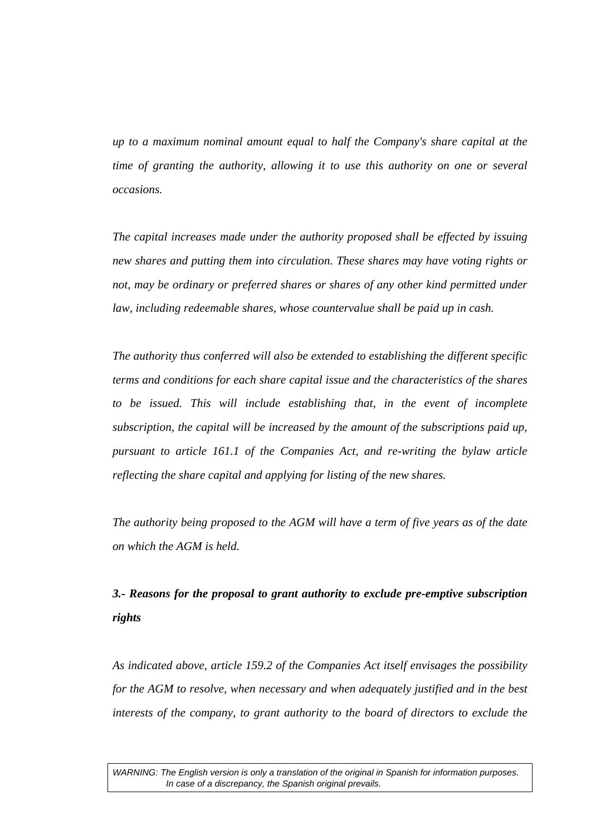*up to a maximum nominal amount equal to half the Company's share capital at the time of granting the authority, allowing it to use this authority on one or several occasions.* 

*The capital increases made under the authority proposed shall be effected by issuing new shares and putting them into circulation. These shares may have voting rights or not, may be ordinary or preferred shares or shares of any other kind permitted under law, including redeemable shares, whose countervalue shall be paid up in cash.* 

*The authority thus conferred will also be extended to establishing the different specific terms and conditions for each share capital issue and the characteristics of the shares to be issued. This will include establishing that, in the event of incomplete subscription, the capital will be increased by the amount of the subscriptions paid up, pursuant to article 161.1 of the Companies Act, and re-writing the bylaw article reflecting the share capital and applying for listing of the new shares.* 

*The authority being proposed to the AGM will have a term of five years as of the date on which the AGM is held.* 

# *3.- Reasons for the proposal to grant authority to exclude pre-emptive subscription rights*

*As indicated above, article 159.2 of the Companies Act itself envisages the possibility for the AGM to resolve, when necessary and when adequately justified and in the best interests of the company, to grant authority to the board of directors to exclude the*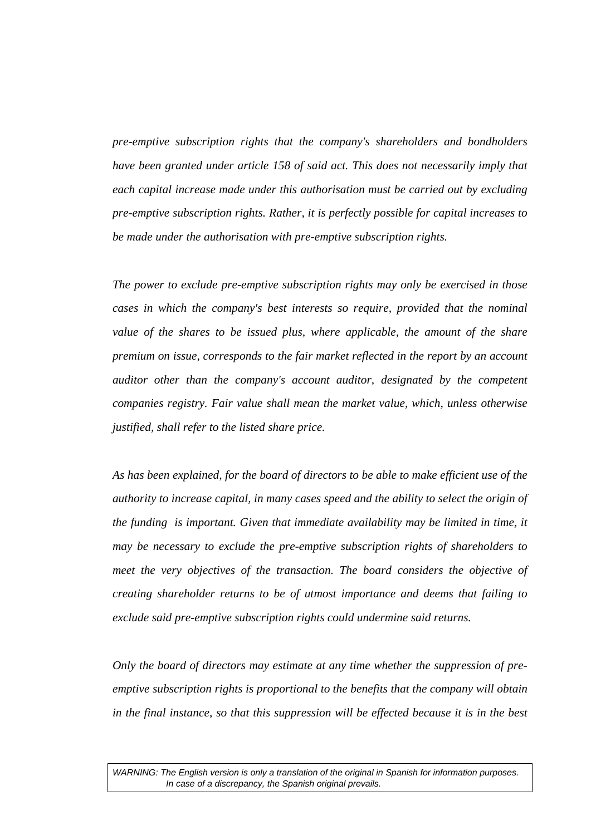*pre-emptive subscription rights that the company's shareholders and bondholders have been granted under article 158 of said act. This does not necessarily imply that each capital increase made under this authorisation must be carried out by excluding pre-emptive subscription rights. Rather, it is perfectly possible for capital increases to be made under the authorisation with pre-emptive subscription rights.* 

*The power to exclude pre-emptive subscription rights may only be exercised in those cases in which the company's best interests so require, provided that the nominal*  value of the shares to be issued plus, where applicable, the amount of the share *premium on issue, corresponds to the fair market reflected in the report by an account auditor other than the company's account auditor, designated by the competent companies registry. Fair value shall mean the market value, which, unless otherwise justified, shall refer to the listed share price.* 

*As has been explained, for the board of directors to be able to make efficient use of the authority to increase capital, in many cases speed and the ability to select the origin of the funding is important. Given that immediate availability may be limited in time, it may be necessary to exclude the pre-emptive subscription rights of shareholders to meet the very objectives of the transaction. The board considers the objective of creating shareholder returns to be of utmost importance and deems that failing to exclude said pre-emptive subscription rights could undermine said returns.* 

*Only the board of directors may estimate at any time whether the suppression of preemptive subscription rights is proportional to the benefits that the company will obtain in the final instance, so that this suppression will be effected because it is in the best*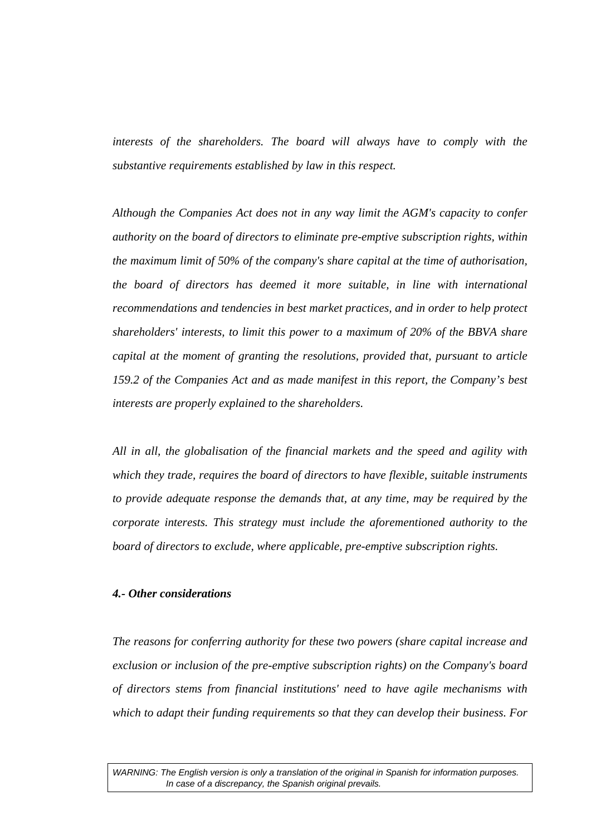*interests of the shareholders. The board will always have to comply with the substantive requirements established by law in this respect.* 

*Although the Companies Act does not in any way limit the AGM's capacity to confer authority on the board of directors to eliminate pre-emptive subscription rights, within the maximum limit of 50% of the company's share capital at the time of authorisation, the board of directors has deemed it more suitable, in line with international recommendations and tendencies in best market practices, and in order to help protect shareholders' interests, to limit this power to a maximum of 20% of the BBVA share capital at the moment of granting the resolutions, provided that, pursuant to article 159.2 of the Companies Act and as made manifest in this report, the Company's best interests are properly explained to the shareholders.* 

*All in all, the globalisation of the financial markets and the speed and agility with which they trade, requires the board of directors to have flexible, suitable instruments to provide adequate response the demands that, at any time, may be required by the corporate interests. This strategy must include the aforementioned authority to the board of directors to exclude, where applicable, pre-emptive subscription rights.* 

# *4.- Other considerations*

*The reasons for conferring authority for these two powers (share capital increase and exclusion or inclusion of the pre-emptive subscription rights) on the Company's board of directors stems from financial institutions' need to have agile mechanisms with which to adapt their funding requirements so that they can develop their business. For*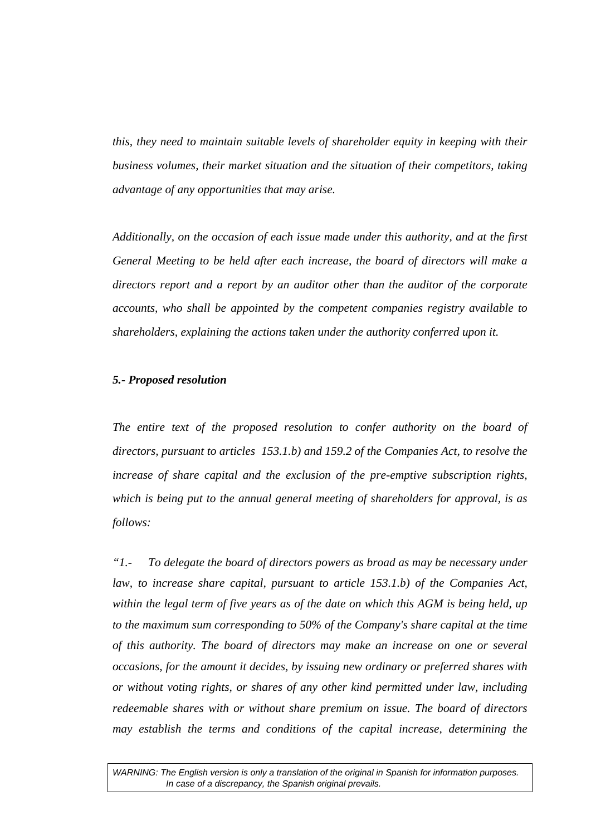*this, they need to maintain suitable levels of shareholder equity in keeping with their business volumes, their market situation and the situation of their competitors, taking advantage of any opportunities that may arise.* 

*Additionally, on the occasion of each issue made under this authority, and at the first General Meeting to be held after each increase, the board of directors will make a directors report and a report by an auditor other than the auditor of the corporate accounts, who shall be appointed by the competent companies registry available to shareholders, explaining the actions taken under the authority conferred upon it.* 

#### *5.- Proposed resolution*

The entire text of the proposed resolution to confer authority on the board of *directors, pursuant to articles 153.1.b) and 159.2 of the Companies Act, to resolve the increase of share capital and the exclusion of the pre-emptive subscription rights, which is being put to the annual general meeting of shareholders for approval, is as follows:* 

*"1.- To delegate the board of directors powers as broad as may be necessary under*  law, to increase share capital, pursuant to article 153.1.b) of the Companies Act, *within the legal term of five years as of the date on which this AGM is being held, up to the maximum sum corresponding to 50% of the Company's share capital at the time of this authority. The board of directors may make an increase on one or several occasions, for the amount it decides, by issuing new ordinary or preferred shares with or without voting rights, or shares of any other kind permitted under law, including redeemable shares with or without share premium on issue. The board of directors may establish the terms and conditions of the capital increase, determining the*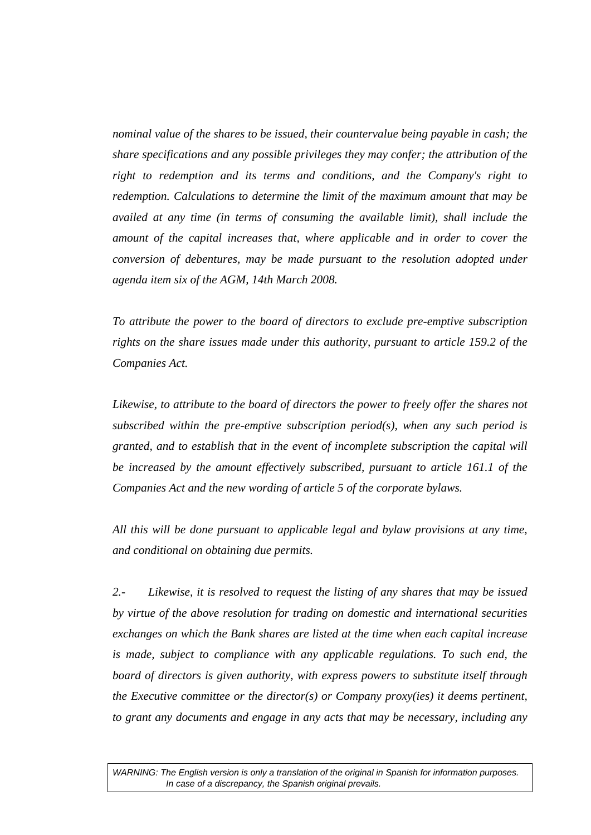*nominal value of the shares to be issued, their countervalue being payable in cash; the share specifications and any possible privileges they may confer; the attribution of the right to redemption and its terms and conditions, and the Company's right to redemption. Calculations to determine the limit of the maximum amount that may be availed at any time (in terms of consuming the available limit), shall include the amount of the capital increases that, where applicable and in order to cover the conversion of debentures, may be made pursuant to the resolution adopted under agenda item six of the AGM, 14th March 2008.* 

*To attribute the power to the board of directors to exclude pre-emptive subscription rights on the share issues made under this authority, pursuant to article 159.2 of the Companies Act.* 

*Likewise, to attribute to the board of directors the power to freely offer the shares not subscribed within the pre-emptive subscription period(s), when any such period is granted, and to establish that in the event of incomplete subscription the capital will be increased by the amount effectively subscribed, pursuant to article 161.1 of the Companies Act and the new wording of article 5 of the corporate bylaws.* 

*All this will be done pursuant to applicable legal and bylaw provisions at any time, and conditional on obtaining due permits.* 

*2.- Likewise, it is resolved to request the listing of any shares that may be issued by virtue of the above resolution for trading on domestic and international securities exchanges on which the Bank shares are listed at the time when each capital increase is made, subject to compliance with any applicable regulations. To such end, the board of directors is given authority, with express powers to substitute itself through the Executive committee or the director(s) or Company proxy(ies) it deems pertinent, to grant any documents and engage in any acts that may be necessary, including any*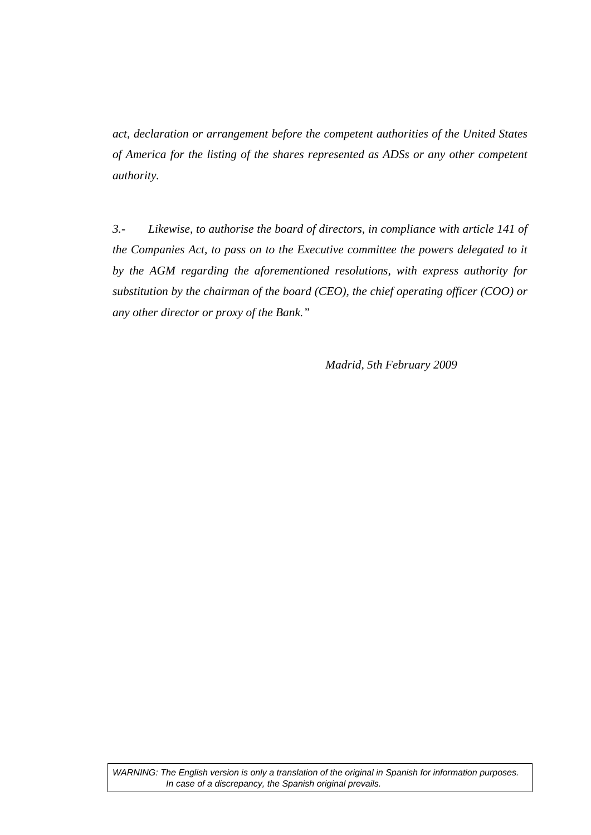*act, declaration or arrangement before the competent authorities of the United States of America for the listing of the shares represented as ADSs or any other competent authority.* 

*3.- Likewise, to authorise the board of directors, in compliance with article 141 of the Companies Act, to pass on to the Executive committee the powers delegated to it by the AGM regarding the aforementioned resolutions, with express authority for substitution by the chairman of the board (CEO), the chief operating officer (COO) or any other director or proxy of the Bank."* 

 *Madrid, 5th February 2009*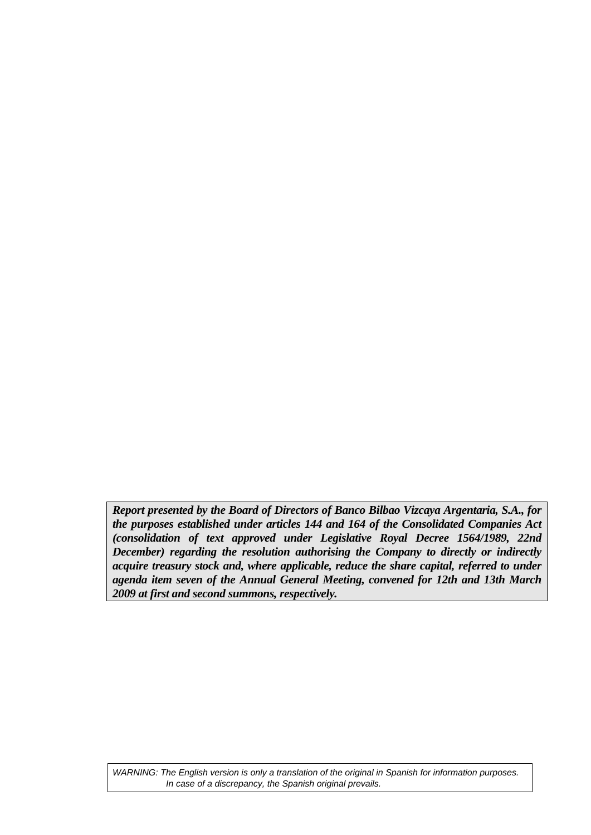*Report presented by the Board of Directors of Banco Bilbao Vizcaya Argentaria, S.A., for the purposes established under articles 144 and 164 of the Consolidated Companies Act (consolidation of text approved under Legislative Royal Decree 1564/1989, 22nd December) regarding the resolution authorising the Company to directly or indirectly acquire treasury stock and, where applicable, reduce the share capital, referred to under agenda item seven of the Annual General Meeting, convened for 12th and 13th March 2009 at first and second summons, respectively.*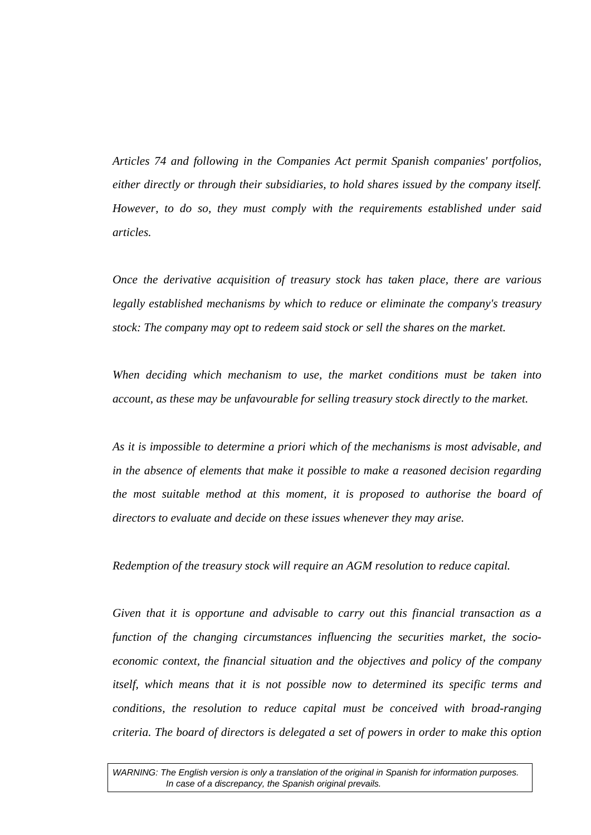*Articles 74 and following in the Companies Act permit Spanish companies' portfolios, either directly or through their subsidiaries, to hold shares issued by the company itself. However, to do so, they must comply with the requirements established under said articles.* 

*Once the derivative acquisition of treasury stock has taken place, there are various legally established mechanisms by which to reduce or eliminate the company's treasury stock: The company may opt to redeem said stock or sell the shares on the market.* 

*When deciding which mechanism to use, the market conditions must be taken into account, as these may be unfavourable for selling treasury stock directly to the market.* 

*As it is impossible to determine a priori which of the mechanisms is most advisable, and in the absence of elements that make it possible to make a reasoned decision regarding the most suitable method at this moment, it is proposed to authorise the board of directors to evaluate and decide on these issues whenever they may arise.* 

*Redemption of the treasury stock will require an AGM resolution to reduce capital.* 

*Given that it is opportune and advisable to carry out this financial transaction as a function of the changing circumstances influencing the securities market, the socioeconomic context, the financial situation and the objectives and policy of the company itself, which means that it is not possible now to determined its specific terms and conditions, the resolution to reduce capital must be conceived with broad-ranging criteria. The board of directors is delegated a set of powers in order to make this option*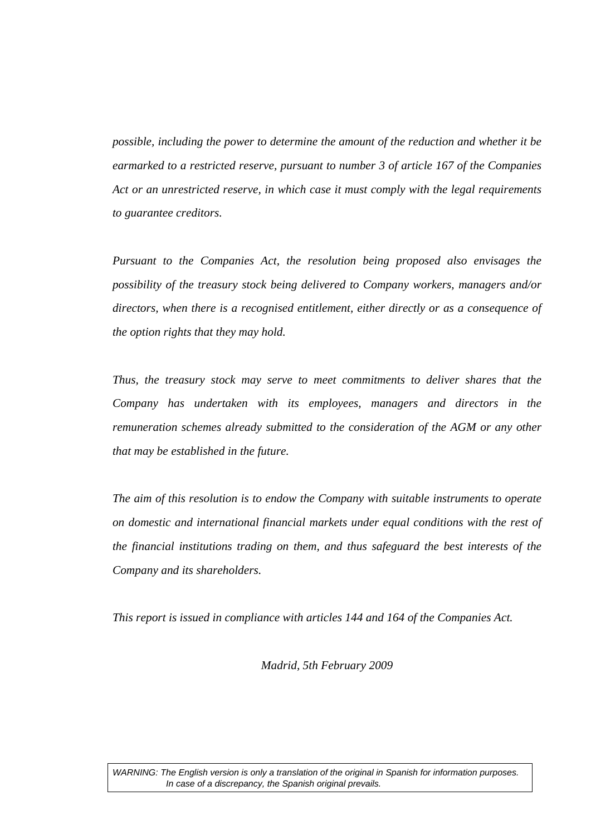*possible, including the power to determine the amount of the reduction and whether it be earmarked to a restricted reserve, pursuant to number 3 of article 167 of the Companies Act or an unrestricted reserve, in which case it must comply with the legal requirements to guarantee creditors.* 

*Pursuant to the Companies Act, the resolution being proposed also envisages the possibility of the treasury stock being delivered to Company workers, managers and/or directors, when there is a recognised entitlement, either directly or as a consequence of the option rights that they may hold.* 

*Thus, the treasury stock may serve to meet commitments to deliver shares that the Company has undertaken with its employees, managers and directors in the remuneration schemes already submitted to the consideration of the AGM or any other that may be established in the future.* 

*The aim of this resolution is to endow the Company with suitable instruments to operate on domestic and international financial markets under equal conditions with the rest of the financial institutions trading on them, and thus safeguard the best interests of the Company and its shareholders.* 

*This report is issued in compliance with articles 144 and 164 of the Companies Act.* 

*Madrid, 5th February 2009*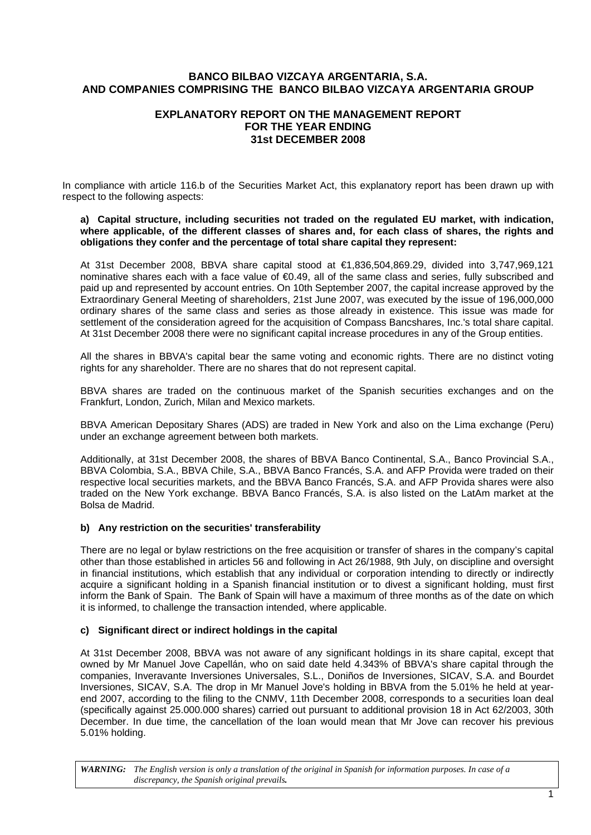#### **BANCO BILBAO VIZCAYA ARGENTARIA, S.A. AND COMPANIES COMPRISING THE BANCO BILBAO VIZCAYA ARGENTARIA GROUP**

# **EXPLANATORY REPORT ON THE MANAGEMENT REPORT FOR THE YEAR ENDING 31st DECEMBER 2008**

In compliance with article 116.b of the Securities Market Act, this explanatory report has been drawn up with respect to the following aspects:

#### **a) Capital structure, including securities not traded on the regulated EU market, with indication, where applicable, of the different classes of shares and, for each class of shares, the rights and obligations they confer and the percentage of total share capital they represent:**

At 31st December 2008, BBVA share capital stood at €1,836,504,869.29, divided into 3,747,969,121 nominative shares each with a face value of €0.49, all of the same class and series, fully subscribed and paid up and represented by account entries. On 10th September 2007, the capital increase approved by the Extraordinary General Meeting of shareholders, 21st June 2007, was executed by the issue of 196,000,000 ordinary shares of the same class and series as those already in existence. This issue was made for settlement of the consideration agreed for the acquisition of Compass Bancshares, Inc.'s total share capital. At 31st December 2008 there were no significant capital increase procedures in any of the Group entities.

All the shares in BBVA's capital bear the same voting and economic rights. There are no distinct voting rights for any shareholder. There are no shares that do not represent capital.

BBVA shares are traded on the continuous market of the Spanish securities exchanges and on the Frankfurt, London, Zurich, Milan and Mexico markets.

BBVA American Depositary Shares (ADS) are traded in New York and also on the Lima exchange (Peru) under an exchange agreement between both markets.

Additionally, at 31st December 2008, the shares of BBVA Banco Continental, S.A., Banco Provincial S.A., BBVA Colombia, S.A., BBVA Chile, S.A., BBVA Banco Francés, S.A. and AFP Provida were traded on their respective local securities markets, and the BBVA Banco Francés, S.A. and AFP Provida shares were also traded on the New York exchange. BBVA Banco Francés, S.A. is also listed on the LatAm market at the Bolsa de Madrid.

#### **b) Any restriction on the securities' transferability**

There are no legal or bylaw restrictions on the free acquisition or transfer of shares in the company's capital other than those established in articles 56 and following in Act 26/1988, 9th July, on discipline and oversight in financial institutions, which establish that any individual or corporation intending to directly or indirectly acquire a significant holding in a Spanish financial institution or to divest a significant holding, must first inform the Bank of Spain. The Bank of Spain will have a maximum of three months as of the date on which it is informed, to challenge the transaction intended, where applicable.

#### **c) Significant direct or indirect holdings in the capital**

At 31st December 2008, BBVA was not aware of any significant holdings in its share capital, except that owned by Mr Manuel Jove Capellán, who on said date held 4.343% of BBVA's share capital through the companies, Inveravante Inversiones Universales, S.L., Doniños de Inversiones, SICAV, S.A. and Bourdet Inversiones, SICAV, S.A. The drop in Mr Manuel Jove's holding in BBVA from the 5.01% he held at yearend 2007, according to the filing to the CNMV, 11th December 2008, corresponds to a securities loan deal (specifically against 25.000.000 shares) carried out pursuant to additional provision 18 in Act 62/2003, 30th December. In due time, the cancellation of the loan would mean that Mr Jove can recover his previous 5.01% holding.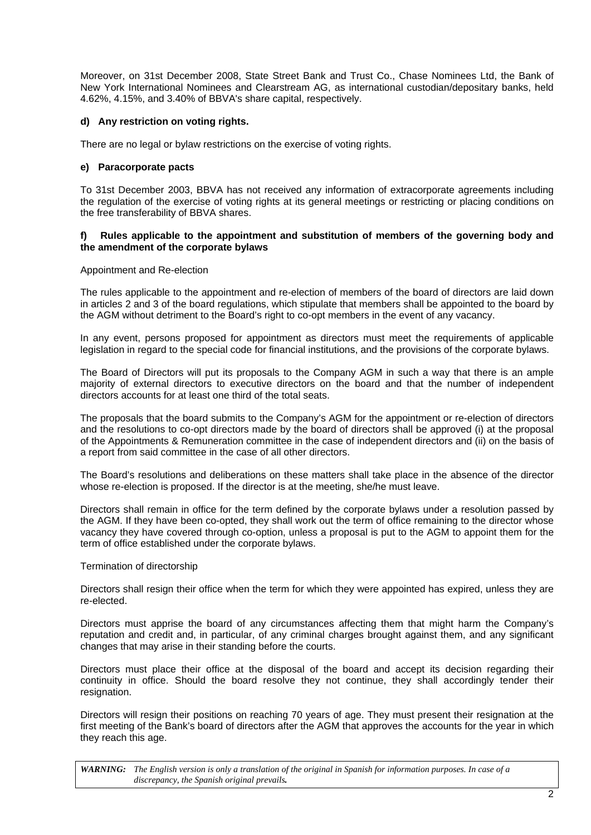Moreover, on 31st December 2008, State Street Bank and Trust Co., Chase Nominees Ltd, the Bank of New York International Nominees and Clearstream AG, as international custodian/depositary banks, held 4.62%, 4.15%, and 3.40% of BBVA's share capital, respectively.

#### **d) Any restriction on voting rights.**

There are no legal or bylaw restrictions on the exercise of voting rights.

#### **e) Paracorporate pacts**

To 31st December 2003, BBVA has not received any information of extracorporate agreements including the regulation of the exercise of voting rights at its general meetings or restricting or placing conditions on the free transferability of BBVA shares.

#### **f) Rules applicable to the appointment and substitution of members of the governing body and the amendment of the corporate bylaws**

#### Appointment and Re-election

The rules applicable to the appointment and re-election of members of the board of directors are laid down in articles 2 and 3 of the board regulations, which stipulate that members shall be appointed to the board by the AGM without detriment to the Board's right to co-opt members in the event of any vacancy.

In any event, persons proposed for appointment as directors must meet the requirements of applicable legislation in regard to the special code for financial institutions, and the provisions of the corporate bylaws.

The Board of Directors will put its proposals to the Company AGM in such a way that there is an ample majority of external directors to executive directors on the board and that the number of independent directors accounts for at least one third of the total seats.

The proposals that the board submits to the Company's AGM for the appointment or re-election of directors and the resolutions to co-opt directors made by the board of directors shall be approved (i) at the proposal of the Appointments & Remuneration committee in the case of independent directors and (ii) on the basis of a report from said committee in the case of all other directors.

The Board's resolutions and deliberations on these matters shall take place in the absence of the director whose re-election is proposed. If the director is at the meeting, she/he must leave.

Directors shall remain in office for the term defined by the corporate bylaws under a resolution passed by the AGM. If they have been co-opted, they shall work out the term of office remaining to the director whose vacancy they have covered through co-option, unless a proposal is put to the AGM to appoint them for the term of office established under the corporate bylaws.

#### Termination of directorship

Directors shall resign their office when the term for which they were appointed has expired, unless they are re-elected.

Directors must apprise the board of any circumstances affecting them that might harm the Company's reputation and credit and, in particular, of any criminal charges brought against them, and any significant changes that may arise in their standing before the courts.

Directors must place their office at the disposal of the board and accept its decision regarding their continuity in office. Should the board resolve they not continue, they shall accordingly tender their resignation.

Directors will resign their positions on reaching 70 years of age. They must present their resignation at the first meeting of the Bank's board of directors after the AGM that approves the accounts for the year in which they reach this age.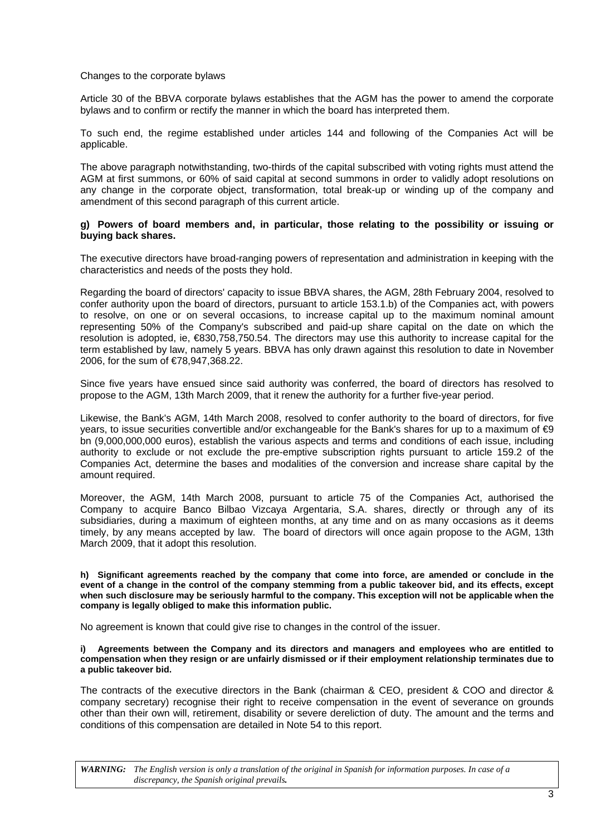#### Changes to the corporate bylaws

Article 30 of the BBVA corporate bylaws establishes that the AGM has the power to amend the corporate bylaws and to confirm or rectify the manner in which the board has interpreted them.

To such end, the regime established under articles 144 and following of the Companies Act will be applicable.

The above paragraph notwithstanding, two-thirds of the capital subscribed with voting rights must attend the AGM at first summons, or 60% of said capital at second summons in order to validly adopt resolutions on any change in the corporate object, transformation, total break-up or winding up of the company and amendment of this second paragraph of this current article.

#### **g) Powers of board members and, in particular, those relating to the possibility or issuing or buying back shares.**

The executive directors have broad-ranging powers of representation and administration in keeping with the characteristics and needs of the posts they hold.

Regarding the board of directors' capacity to issue BBVA shares, the AGM, 28th February 2004, resolved to confer authority upon the board of directors, pursuant to article 153.1.b) of the Companies act, with powers to resolve, on one or on several occasions, to increase capital up to the maximum nominal amount representing 50% of the Company's subscribed and paid-up share capital on the date on which the resolution is adopted, ie, €830,758,750.54. The directors may use this authority to increase capital for the term established by law, namely 5 years. BBVA has only drawn against this resolution to date in November 2006, for the sum of €78,947,368.22.

Since five years have ensued since said authority was conferred, the board of directors has resolved to propose to the AGM, 13th March 2009, that it renew the authority for a further five-year period.

Likewise, the Bank's AGM, 14th March 2008, resolved to confer authority to the board of directors, for five years, to issue securities convertible and/or exchangeable for the Bank's shares for up to a maximum of  $\bigcirc$ bn (9,000,000,000 euros), establish the various aspects and terms and conditions of each issue, including authority to exclude or not exclude the pre-emptive subscription rights pursuant to article 159.2 of the Companies Act, determine the bases and modalities of the conversion and increase share capital by the amount required.

Moreover, the AGM, 14th March 2008, pursuant to article 75 of the Companies Act, authorised the Company to acquire Banco Bilbao Vizcaya Argentaria, S.A. shares, directly or through any of its subsidiaries, during a maximum of eighteen months, at any time and on as many occasions as it deems timely, by any means accepted by law. The board of directors will once again propose to the AGM, 13th March 2009, that it adopt this resolution.

**h) Significant agreements reached by the company that come into force, are amended or conclude in the event of a change in the control of the company stemming from a public takeover bid, and its effects, except when such disclosure may be seriously harmful to the company. This exception will not be applicable when the company is legally obliged to make this information public.** 

No agreement is known that could give rise to changes in the control of the issuer.

**i) Agreements between the Company and its directors and managers and employees who are entitled to compensation when they resign or are unfairly dismissed or if their employment relationship terminates due to a public takeover bid.** 

The contracts of the executive directors in the Bank (chairman & CEO, president & COO and director & company secretary) recognise their right to receive compensation in the event of severance on grounds other than their own will, retirement, disability or severe dereliction of duty. The amount and the terms and conditions of this compensation are detailed in Note 54 to this report.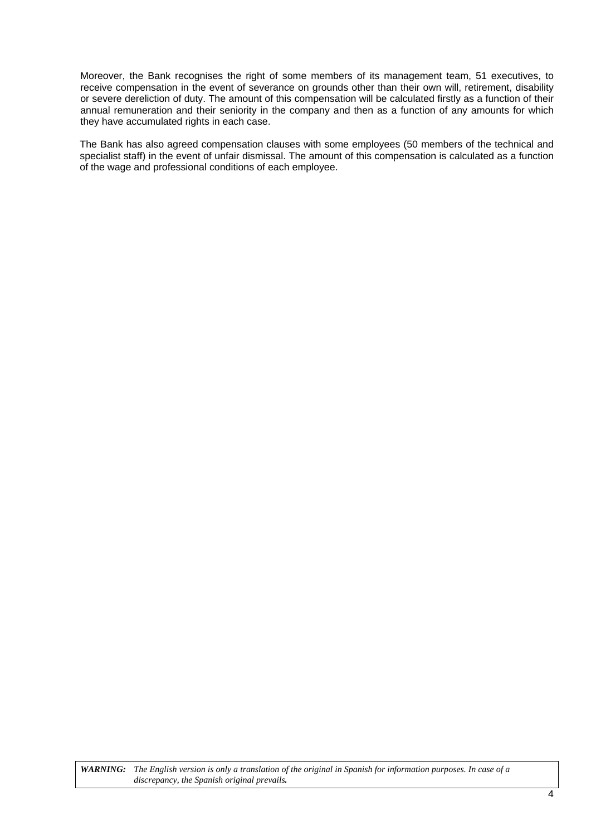Moreover, the Bank recognises the right of some members of its management team, 51 executives, to receive compensation in the event of severance on grounds other than their own will, retirement, disability or severe dereliction of duty. The amount of this compensation will be calculated firstly as a function of their annual remuneration and their seniority in the company and then as a function of any amounts for which they have accumulated rights in each case.

The Bank has also agreed compensation clauses with some employees (50 members of the technical and specialist staff) in the event of unfair dismissal. The amount of this compensation is calculated as a function of the wage and professional conditions of each employee.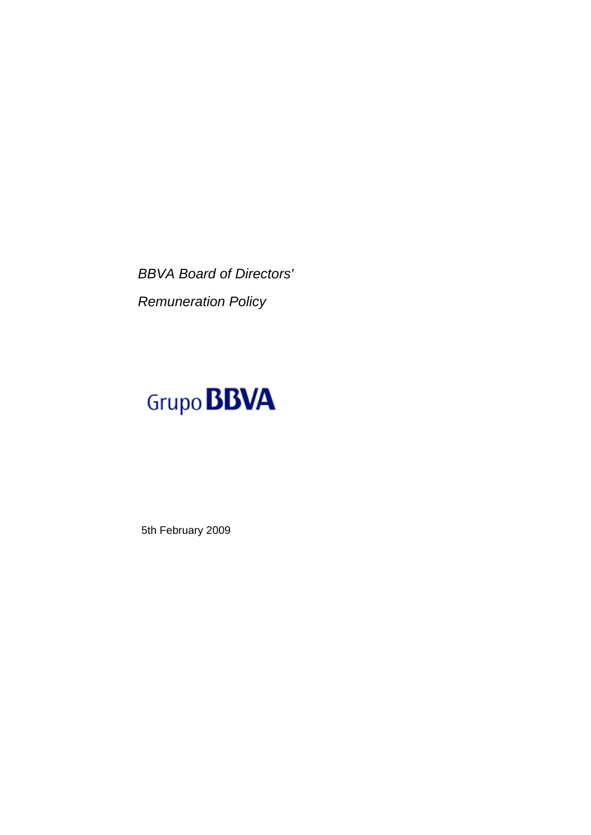*BBVA Board of Directors' Remuneration Policy* 

# Grupo **BBVA**

5th February 2009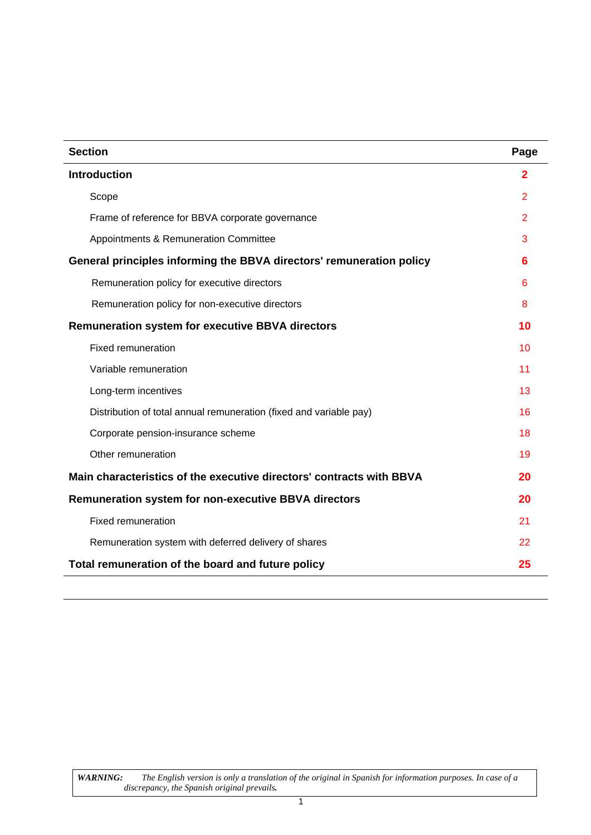| <b>Section</b>                                                       | Page           |
|----------------------------------------------------------------------|----------------|
| <b>Introduction</b>                                                  | $\mathbf{2}$   |
| Scope                                                                | 2              |
| Frame of reference for BBVA corporate governance                     | $\overline{2}$ |
| Appointments & Remuneration Committee                                | 3              |
| General principles informing the BBVA directors' remuneration policy | 6              |
| Remuneration policy for executive directors                          | 6              |
| Remuneration policy for non-executive directors                      | 8              |
| <b>Remuneration system for executive BBVA directors</b>              | 10             |
| <b>Fixed remuneration</b>                                            | 10             |
| Variable remuneration                                                | 11             |
| Long-term incentives                                                 | 13             |
| Distribution of total annual remuneration (fixed and variable pay)   | 16             |
| Corporate pension-insurance scheme                                   | 18             |
| Other remuneration                                                   | 19             |
| Main characteristics of the executive directors' contracts with BBVA | 20             |
| Remuneration system for non-executive BBVA directors                 | 20             |
| <b>Fixed remuneration</b>                                            | 21             |
| Remuneration system with deferred delivery of shares                 | 22             |
| Total remuneration of the board and future policy                    | 25             |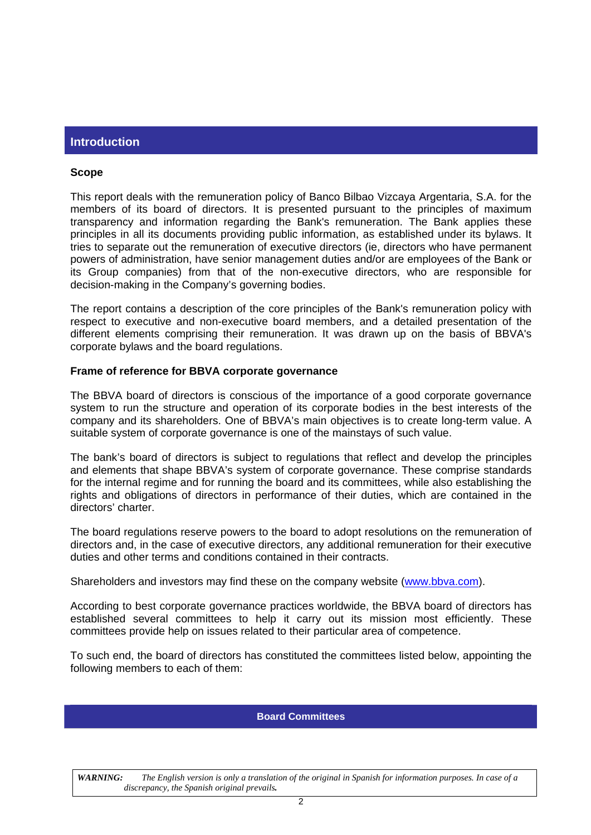# <span id="page-47-0"></span>**Introduction**

#### <span id="page-47-1"></span>**Scope**

This report deals with the remuneration policy of Banco Bilbao Vizcaya Argentaria, S.A. for the members of its board of directors. It is presented pursuant to the principles of maximum transparency and information regarding the Bank's remuneration. The Bank applies these principles in all its documents providing public information, as established under its bylaws. It tries to separate out the remuneration of executive directors (ie, directors who have permanent powers of administration, have senior management duties and/or are employees of the Bank or its Group companies) from that of the non-executive directors, who are responsible for decision-making in the Company's governing bodies.

The report contains a description of the core principles of the Bank's remuneration policy with respect to executive and non-executive board members, and a detailed presentation of the different elements comprising their remuneration. It was drawn up on the basis of BBVA's corporate bylaws and the board regulations.

#### <span id="page-47-2"></span>**Frame of reference for BBVA corporate governance**

The BBVA board of directors is conscious of the importance of a good corporate governance system to run the structure and operation of its corporate bodies in the best interests of the company and its shareholders. One of BBVA's main objectives is to create long-term value. A suitable system of corporate governance is one of the mainstays of such value.

The bank's board of directors is subject to regulations that reflect and develop the principles and elements that shape BBVA's system of corporate governance. These comprise standards for the internal regime and for running the board and its committees, while also establishing the rights and obligations of directors in performance of their duties, which are contained in the directors' charter.

The board regulations reserve powers to the board to adopt resolutions on the remuneration of directors and, in the case of executive directors, any additional remuneration for their executive duties and other terms and conditions contained in their contracts.

Shareholders and investors may find these on the company website ([www.bbva.com](http://www.bbva.com/)).

According to best corporate governance practices worldwide, the BBVA board of directors has established several committees to help it carry out its mission most efficiently. These committees provide help on issues related to their particular area of competence.

To such end, the board of directors has constituted the committees listed below, appointing the following members to each of them:

#### **Board Committees**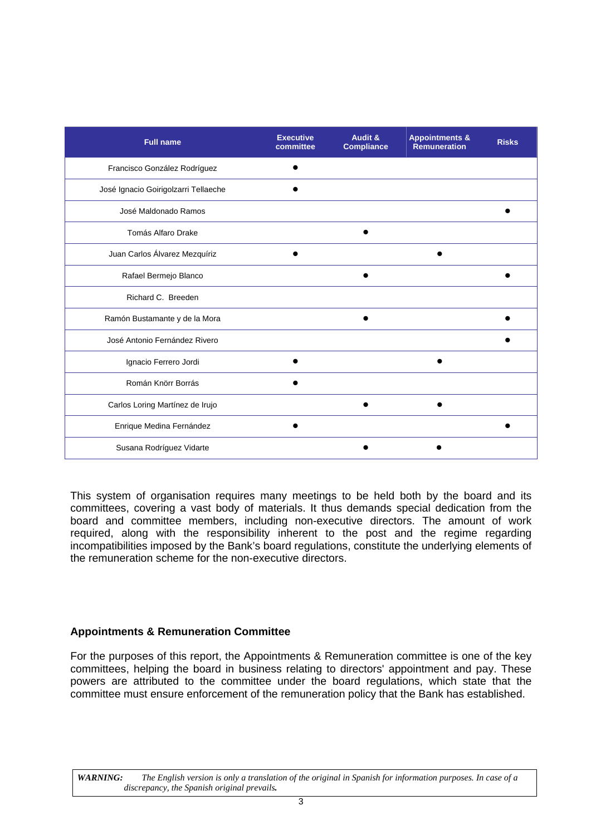| <b>Full name</b>                     | <b>Executive</b><br>committee | Audit &<br><b>Compliance</b> | <b>Appointments &amp;</b><br>Remuneration | <b>Risks</b> |
|--------------------------------------|-------------------------------|------------------------------|-------------------------------------------|--------------|
| Francisco González Rodríguez         |                               |                              |                                           |              |
| José Ignacio Goirigolzarri Tellaeche |                               |                              |                                           |              |
| José Maldonado Ramos                 |                               |                              |                                           |              |
| Tomás Alfaro Drake                   |                               |                              |                                           |              |
| Juan Carlos Álvarez Mezquíriz        |                               |                              |                                           |              |
| Rafael Bermejo Blanco                |                               |                              |                                           |              |
| Richard C. Breeden                   |                               |                              |                                           |              |
| Ramón Bustamante y de la Mora        |                               |                              |                                           |              |
| José Antonio Fernández Rivero        |                               |                              |                                           |              |
| Ignacio Ferrero Jordi                |                               |                              |                                           |              |
| Román Knörr Borrás                   |                               |                              |                                           |              |
| Carlos Loring Martínez de Irujo      |                               |                              |                                           |              |
| Enrique Medina Fernández             |                               |                              |                                           |              |
| Susana Rodríguez Vidarte             |                               |                              |                                           |              |

This system of organisation requires many meetings to be held both by the board and its committees, covering a vast body of materials. It thus demands special dedication from the board and committee members, including non-executive directors. The amount of work required, along with the responsibility inherent to the post and the regime regarding incompatibilities imposed by the Bank's board regulations, constitute the underlying elements of the remuneration scheme for the non-executive directors.

# <span id="page-48-0"></span>**Appointments & Remuneration Committee**

For the purposes of this report, the Appointments & Remuneration committee is one of the key committees, helping the board in business relating to directors' appointment and pay. These powers are attributed to the committee under the board regulations, which state that the committee must ensure enforcement of the remuneration policy that the Bank has established.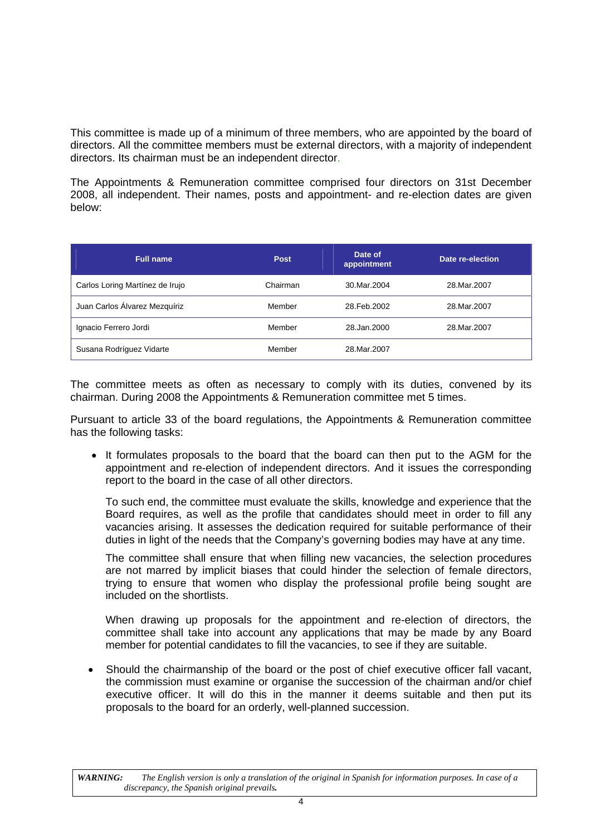This committee is made up of a minimum of three members, who are appointed by the board of directors. All the committee members must be external directors, with a majority of independent directors. Its chairman must be an independent director.

The Appointments & Remuneration committee comprised four directors on 31st December 2008, all independent. Their names, posts and appointment- and re-election dates are given below:

| <b>Full name</b>                | <b>Post</b> | Date of<br>appointment | Date re-election |
|---------------------------------|-------------|------------------------|------------------|
| Carlos Loring Martínez de Irujo | Chairman    | 30.Mar.2004            | 28. Mar. 2007    |
| Juan Carlos Álvarez Mezquíriz   | Member      | 28. Feb. 2002          | 28.Mar.2007      |
| Ignacio Ferrero Jordi           | Member      | 28.Jan.2000            | 28. Mar. 2007    |
| Susana Rodríguez Vidarte        | Member      | 28. Mar. 2007          |                  |

The committee meets as often as necessary to comply with its duties, convened by its chairman. During 2008 the Appointments & Remuneration committee met 5 times.

Pursuant to article 33 of the board regulations, the Appointments & Remuneration committee has the following tasks:

It formulates proposals to the board that the board can then put to the AGM for the appointment and re-election of independent directors. And it issues the corresponding report to the board in the case of all other directors.

To such end, the committee must evaluate the skills, knowledge and experience that the Board requires, as well as the profile that candidates should meet in order to fill any vacancies arising. It assesses the dedication required for suitable performance of their duties in light of the needs that the Company's governing bodies may have at any time.

The committee shall ensure that when filling new vacancies, the selection procedures are not marred by implicit biases that could hinder the selection of female directors, trying to ensure that women who display the professional profile being sought are included on the shortlists.

When drawing up proposals for the appointment and re-election of directors, the committee shall take into account any applications that may be made by any Board member for potential candidates to fill the vacancies, to see if they are suitable.

• Should the chairmanship of the board or the post of chief executive officer fall vacant, the commission must examine or organise the succession of the chairman and/or chief executive officer. It will do this in the manner it deems suitable and then put its proposals to the board for an orderly, well-planned succession.

*WARNING: The English version is only a translation of the original in Spanish for information purposes. In case of a discrepancy, the Spanish original prevails.*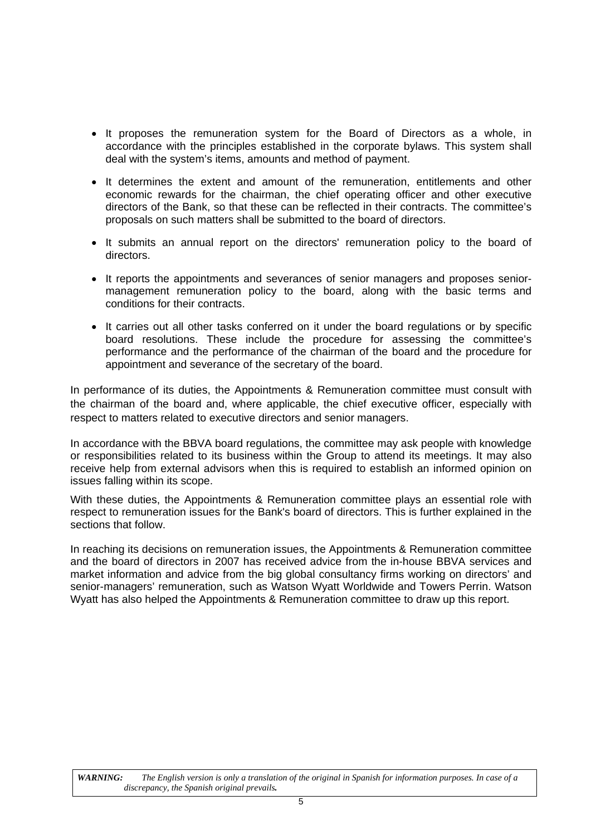- It proposes the remuneration system for the Board of Directors as a whole, in accordance with the principles established in the corporate bylaws. This system shall deal with the system's items, amounts and method of payment.
- It determines the extent and amount of the remuneration, entitlements and other economic rewards for the chairman, the chief operating officer and other executive directors of the Bank, so that these can be reflected in their contracts. The committee's proposals on such matters shall be submitted to the board of directors.
- It submits an annual report on the directors' remuneration policy to the board of directors.
- It reports the appointments and severances of senior managers and proposes seniormanagement remuneration policy to the board, along with the basic terms and conditions for their contracts.
- It carries out all other tasks conferred on it under the board regulations or by specific board resolutions. These include the procedure for assessing the committee's performance and the performance of the chairman of the board and the procedure for appointment and severance of the secretary of the board.

In performance of its duties, the Appointments & Remuneration committee must consult with the chairman of the board and, where applicable, the chief executive officer, especially with respect to matters related to executive directors and senior managers.

In accordance with the BBVA board regulations, the committee may ask people with knowledge or responsibilities related to its business within the Group to attend its meetings. It may also receive help from external advisors when this is required to establish an informed opinion on issues falling within its scope.

With these duties, the Appointments & Remuneration committee plays an essential role with respect to remuneration issues for the Bank's board of directors. This is further explained in the sections that follow.

In reaching its decisions on remuneration issues, the Appointments & Remuneration committee and the board of directors in 2007 has received advice from the in-house BBVA services and market information and advice from the big global consultancy firms working on directors' and senior-managers' remuneration, such as Watson Wyatt Worldwide and Towers Perrin. Watson Wyatt has also helped the Appointments & Remuneration committee to draw up this report.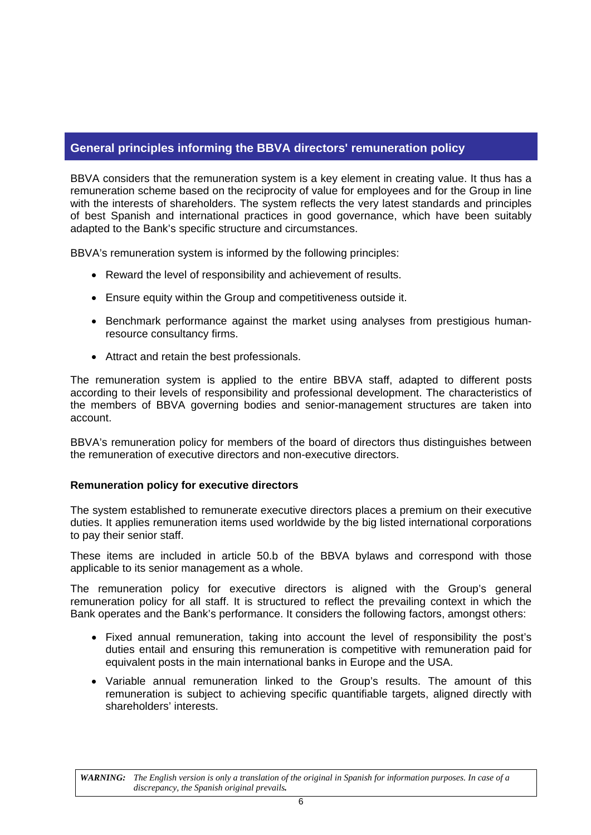# <span id="page-51-0"></span>**General principles informing the BBVA directors' remuneration policy**

BBVA considers that the remuneration system is a key element in creating value. It thus has a remuneration scheme based on the reciprocity of value for employees and for the Group in line with the interests of shareholders. The system reflects the very latest standards and principles of best Spanish and international practices in good governance, which have been suitably adapted to the Bank's specific structure and circumstances.

BBVA's remuneration system is informed by the following principles:

- Reward the level of responsibility and achievement of results.
- Ensure equity within the Group and competitiveness outside it.
- Benchmark performance against the market using analyses from prestigious humanresource consultancy firms.
- Attract and retain the best professionals.

The remuneration system is applied to the entire BBVA staff, adapted to different posts according to their levels of responsibility and professional development. The characteristics of the members of BBVA governing bodies and senior-management structures are taken into account.

BBVA's remuneration policy for members of the board of directors thus distinguishes between the remuneration of executive directors and non-executive directors.

#### <span id="page-51-1"></span>**Remuneration policy for executive directors**

The system established to remunerate executive directors places a premium on their executive duties. It applies remuneration items used worldwide by the big listed international corporations to pay their senior staff.

These items are included in article 50.b of the BBVA bylaws and correspond with those applicable to its senior management as a whole.

The remuneration policy for executive directors is aligned with the Group's general remuneration policy for all staff. It is structured to reflect the prevailing context in which the Bank operates and the Bank's performance. It considers the following factors, amongst others:

- Fixed annual remuneration, taking into account the level of responsibility the post's duties entail and ensuring this remuneration is competitive with remuneration paid for equivalent posts in the main international banks in Europe and the USA.
- Variable annual remuneration linked to the Group's results. The amount of this remuneration is subject to achieving specific quantifiable targets, aligned directly with shareholders' interests.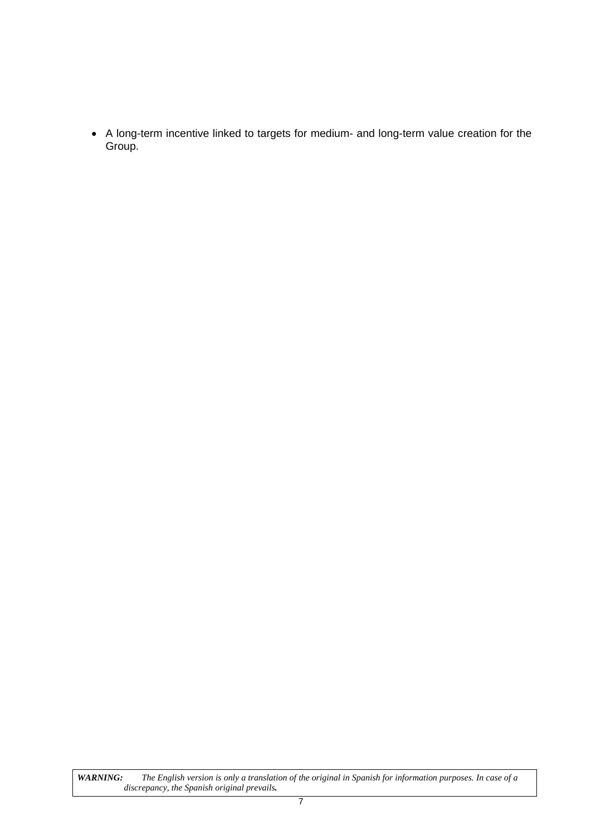• A long-term incentive linked to targets for medium- and long-term value creation for the Group.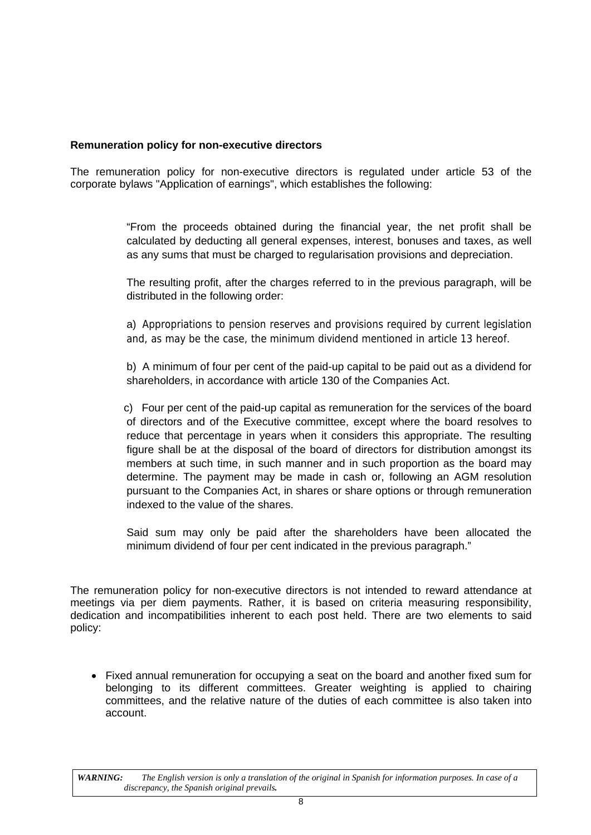# <span id="page-53-0"></span>**Remuneration policy for non-executive directors**

The remuneration policy for non-executive directors is regulated under article 53 of the corporate bylaws "Application of earnings", which establishes the following:

> "From the proceeds obtained during the financial year, the net profit shall be calculated by deducting all general expenses, interest, bonuses and taxes, as well as any sums that must be charged to regularisation provisions and depreciation.

> The resulting profit, after the charges referred to in the previous paragraph, will be distributed in the following order:

> a) Appropriations to pension reserves and provisions required by current legislation and, as may be the case, the minimum dividend mentioned in article 13 hereof.

> b) A minimum of four per cent of the paid-up capital to be paid out as a dividend for shareholders, in accordance with article 130 of the Companies Act.

> c) Four per cent of the paid-up capital as remuneration for the services of the board of directors and of the Executive committee, except where the board resolves to reduce that percentage in years when it considers this appropriate. The resulting figure shall be at the disposal of the board of directors for distribution amongst its members at such time, in such manner and in such proportion as the board may determine. The payment may be made in cash or, following an AGM resolution pursuant to the Companies Act, in shares or share options or through remuneration indexed to the value of the shares.

> Said sum may only be paid after the shareholders have been allocated the minimum dividend of four per cent indicated in the previous paragraph."

The remuneration policy for non-executive directors is not intended to reward attendance at meetings via per diem payments. Rather, it is based on criteria measuring responsibility, dedication and incompatibilities inherent to each post held. There are two elements to said policy:

• Fixed annual remuneration for occupying a seat on the board and another fixed sum for belonging to its different committees. Greater weighting is applied to chairing committees, and the relative nature of the duties of each committee is also taken into account.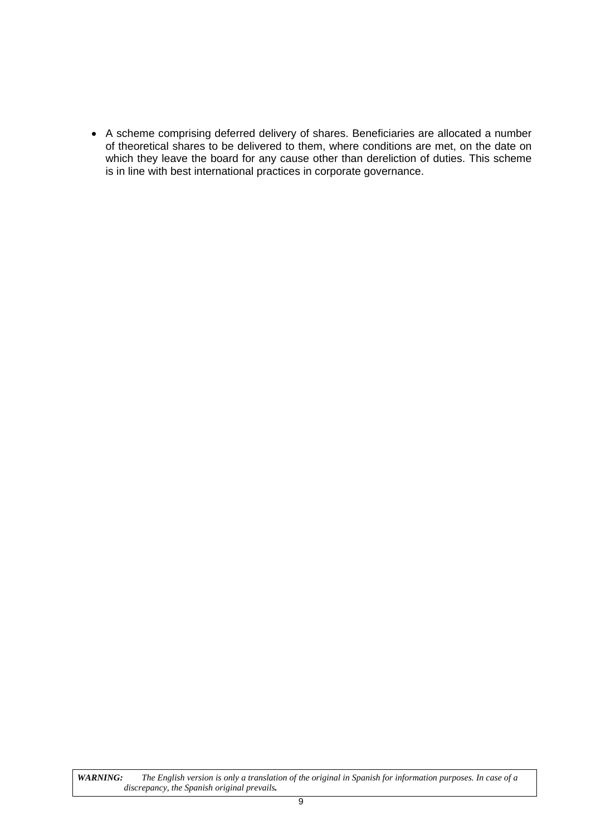• A scheme comprising deferred delivery of shares. Beneficiaries are allocated a number of theoretical shares to be delivered to them, where conditions are met, on the date on which they leave the board for any cause other than dereliction of duties. This scheme is in line with best international practices in corporate governance.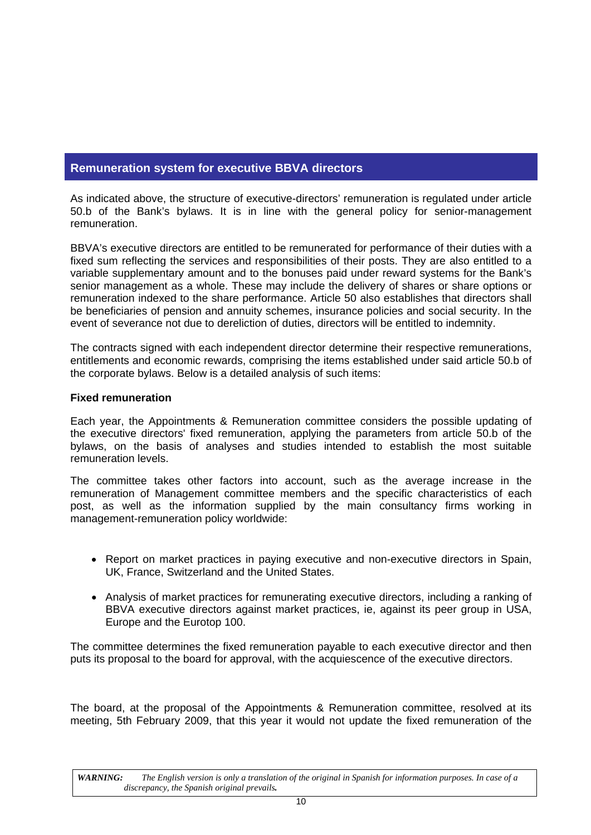# <span id="page-55-0"></span>**Remuneration system for executive BBVA directors**

As indicated above, the structure of executive-directors' remuneration is regulated under article 50.b of the Bank's bylaws. It is in line with the general policy for senior-management remuneration.

BBVA's executive directors are entitled to be remunerated for performance of their duties with a fixed sum reflecting the services and responsibilities of their posts. They are also entitled to a variable supplementary amount and to the bonuses paid under reward systems for the Bank's senior management as a whole. These may include the delivery of shares or share options or remuneration indexed to the share performance. Article 50 also establishes that directors shall be beneficiaries of pension and annuity schemes, insurance policies and social security. In the event of severance not due to dereliction of duties, directors will be entitled to indemnity.

The contracts signed with each independent director determine their respective remunerations, entitlements and economic rewards, comprising the items established under said article 50.b of the corporate bylaws. Below is a detailed analysis of such items:

# <span id="page-55-1"></span>**Fixed remuneration**

Each year, the Appointments & Remuneration committee considers the possible updating of the executive directors' fixed remuneration, applying the parameters from article 50.b of the bylaws, on the basis of analyses and studies intended to establish the most suitable remuneration levels.

The committee takes other factors into account, such as the average increase in the remuneration of Management committee members and the specific characteristics of each post, as well as the information supplied by the main consultancy firms working in management-remuneration policy worldwide:

- Report on market practices in paying executive and non-executive directors in Spain, UK, France, Switzerland and the United States.
- Analysis of market practices for remunerating executive directors, including a ranking of BBVA executive directors against market practices, ie, against its peer group in USA, Europe and the Eurotop 100.

The committee determines the fixed remuneration payable to each executive director and then puts its proposal to the board for approval, with the acquiescence of the executive directors.

The board, at the proposal of the Appointments & Remuneration committee, resolved at its meeting, 5th February 2009, that this year it would not update the fixed remuneration of the

*WARNING: The English version is only a translation of the original in Spanish for information purposes. In case of a discrepancy, the Spanish original prevails.*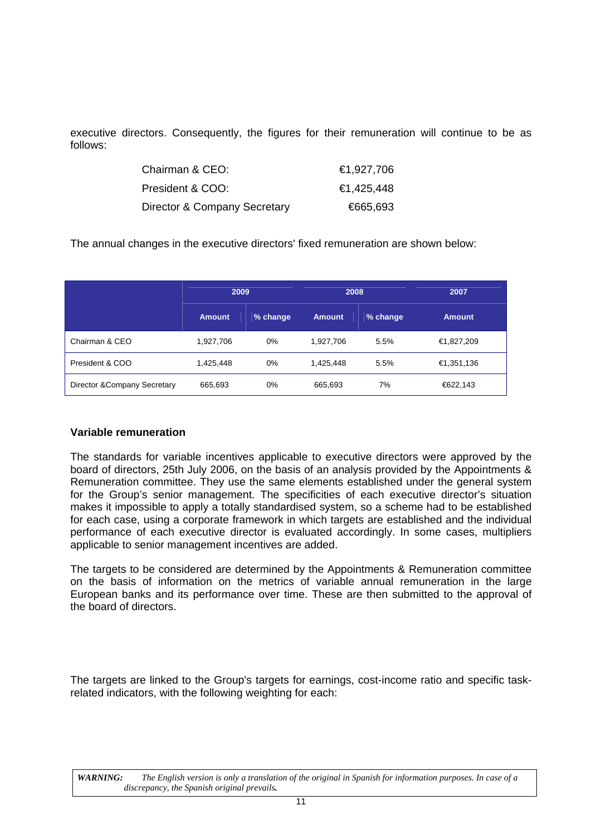executive directors. Consequently, the figures for their remuneration will continue to be as follows:

| Chairman & CEO:              | €1,927,706 |
|------------------------------|------------|
| President & COO:             | €1,425,448 |
| Director & Company Secretary | €665,693   |

The annual changes in the executive directors' fixed remuneration are shown below:

|                              | 2009          |          | 2008          |          | 2007          |
|------------------------------|---------------|----------|---------------|----------|---------------|
|                              | <b>Amount</b> | % change | <b>Amount</b> | % change | <b>Amount</b> |
| Chairman & CEO               | 1,927,706     | 0%       | 1,927,706     | 5.5%     | €1,827,209    |
| President & COO              | 1,425,448     | $0\%$    | 1,425,448     | 5.5%     | €1,351,136    |
| Director & Company Secretary | 665,693       | 0%       | 665,693       | 7%       | €622,143      |

#### <span id="page-56-0"></span>**Variable remuneration**

The standards for variable incentives applicable to executive directors were approved by the board of directors, 25th July 2006, on the basis of an analysis provided by the Appointments & Remuneration committee. They use the same elements established under the general system for the Group's senior management. The specificities of each executive director's situation makes it impossible to apply a totally standardised system, so a scheme had to be established for each case, using a corporate framework in which targets are established and the individual performance of each executive director is evaluated accordingly. In some cases, multipliers applicable to senior management incentives are added.

The targets to be considered are determined by the Appointments & Remuneration committee on the basis of information on the metrics of variable annual remuneration in the large European banks and its performance over time. These are then submitted to the approval of the board of directors.

The targets are linked to the Group's targets for earnings, cost-income ratio and specific taskrelated indicators, with the following weighting for each: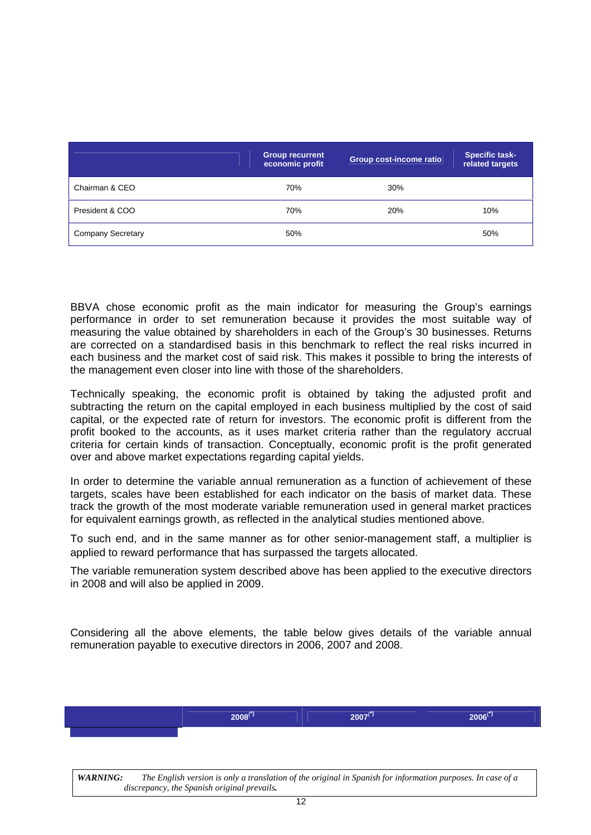|                          | <b>Group recurrent</b><br>economic profit | Group cost-income ratio | <b>Specific task-</b><br>related targets |
|--------------------------|-------------------------------------------|-------------------------|------------------------------------------|
| Chairman & CEO           | 70%                                       | 30%                     |                                          |
| President & COO          | 70%                                       | 20%                     | 10%                                      |
| <b>Company Secretary</b> | 50%                                       |                         | 50%                                      |

BBVA chose economic profit as the main indicator for measuring the Group's earnings performance in order to set remuneration because it provides the most suitable way of measuring the value obtained by shareholders in each of the Group's 30 businesses. Returns are corrected on a standardised basis in this benchmark to reflect the real risks incurred in each business and the market cost of said risk. This makes it possible to bring the interests of the management even closer into line with those of the shareholders.

Technically speaking, the economic profit is obtained by taking the adjusted profit and subtracting the return on the capital employed in each business multiplied by the cost of said capital, or the expected rate of return for investors. The economic profit is different from the profit booked to the accounts, as it uses market criteria rather than the regulatory accrual criteria for certain kinds of transaction. Conceptually, economic profit is the profit generated over and above market expectations regarding capital yields.

In order to determine the variable annual remuneration as a function of achievement of these targets, scales have been established for each indicator on the basis of market data. These track the growth of the most moderate variable remuneration used in general market practices for equivalent earnings growth, as reflected in the analytical studies mentioned above.

To such end, and in the same manner as for other senior-management staff, a multiplier is applied to reward performance that has surpassed the targets allocated.

The variable remuneration system described above has been applied to the executive directors in 2008 and will also be applied in 2009.

Considering all the above elements, the table below gives details of the variable annual remuneration payable to executive directors in 2006, 2007 and 2008.

| $2008(*)$ | $\mathbf{r}$<br>2007'<br>___ | mmey<br>__ |
|-----------|------------------------------|------------|
|           |                              |            |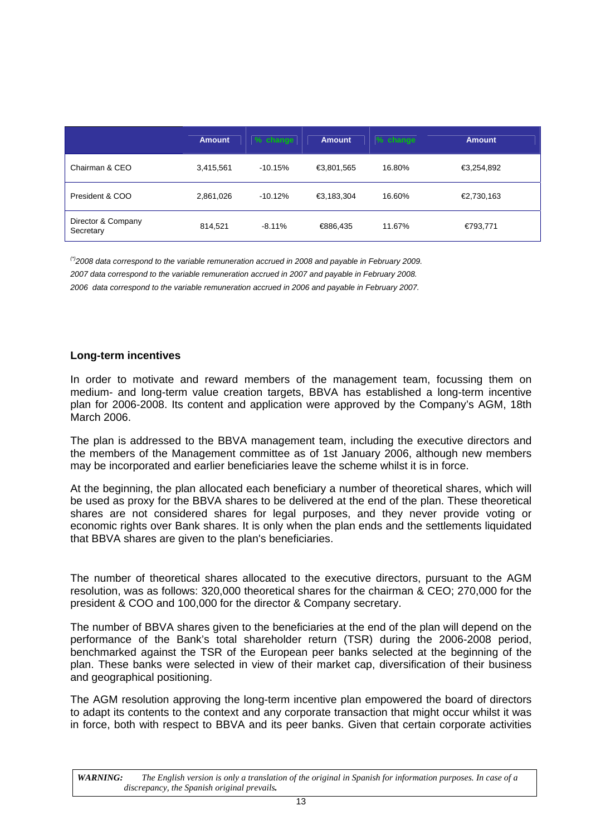|                                 | <b>Amount</b> | % change  | <b>Amount</b> | $%$ change | <b>Amount</b> |
|---------------------------------|---------------|-----------|---------------|------------|---------------|
| Chairman & CEO                  | 3,415,561     | $-10.15%$ | €3,801,565    | 16.80%     | €3,254,892    |
| President & COO                 | 2,861,026     | $-10.12%$ | €3,183,304    | 16.60%     | €2,730,163    |
| Director & Company<br>Secretary | 814,521       | $-8.11%$  | €886,435      | 11.67%     | €793,771      |

*(\*)2008 data correspond to the variable remuneration accrued in 2008 and payable in February 2009. 2007 data correspond to the variable remuneration accrued in 2007 and payable in February 2008. 2006 data correspond to the variable remuneration accrued in 2006 and payable in February 2007.* 

# <span id="page-58-0"></span>**Long-term incentives**

In order to motivate and reward members of the management team, focussing them on medium- and long-term value creation targets, BBVA has established a long-term incentive plan for 2006-2008. Its content and application were approved by the Company's AGM, 18th March 2006.

The plan is addressed to the BBVA management team, including the executive directors and the members of the Management committee as of 1st January 2006, although new members may be incorporated and earlier beneficiaries leave the scheme whilst it is in force.

At the beginning, the plan allocated each beneficiary a number of theoretical shares, which will be used as proxy for the BBVA shares to be delivered at the end of the plan. These theoretical shares are not considered shares for legal purposes, and they never provide voting or economic rights over Bank shares. It is only when the plan ends and the settlements liquidated that BBVA shares are given to the plan's beneficiaries.

The number of theoretical shares allocated to the executive directors, pursuant to the AGM resolution, was as follows: 320,000 theoretical shares for the chairman & CEO; 270,000 for the president & COO and 100,000 for the director & Company secretary.

The number of BBVA shares given to the beneficiaries at the end of the plan will depend on the performance of the Bank's total shareholder return (TSR) during the 2006-2008 period, benchmarked against the TSR of the European peer banks selected at the beginning of the plan. These banks were selected in view of their market cap, diversification of their business and geographical positioning.

The AGM resolution approving the long-term incentive plan empowered the board of directors to adapt its contents to the context and any corporate transaction that might occur whilst it was in force, both with respect to BBVA and its peer banks. Given that certain corporate activities

*WARNING: The English version is only a translation of the original in Spanish for information purposes. In case of a discrepancy, the Spanish original prevails.*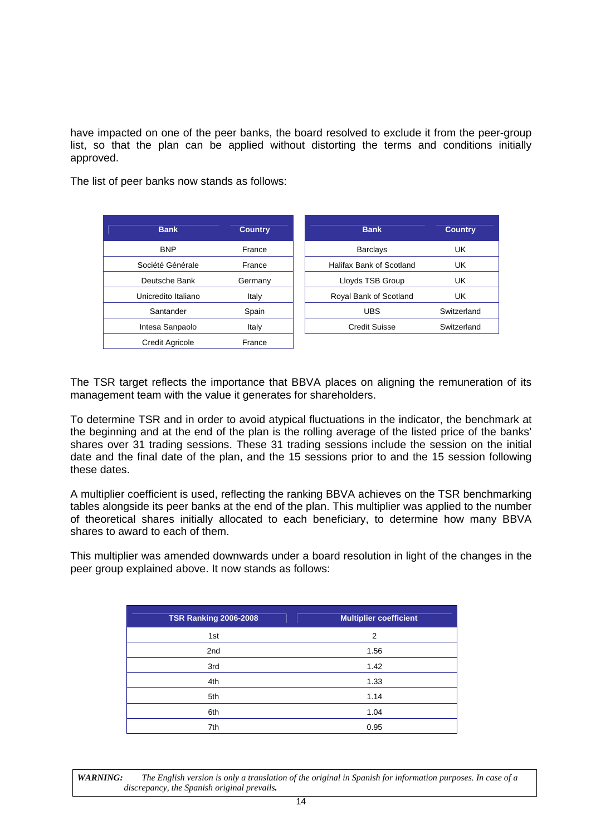have impacted on one of the peer banks, the board resolved to exclude it from the peer-group list, so that the plan can be applied without distorting the terms and conditions initially approved.

The list of peer banks now stands as follows:

| <b>Bank</b>            | <b>Country</b> |
|------------------------|----------------|
| <b>BNP</b>             | France         |
| Société Générale       | France         |
| Deutsche Bank          | Germany        |
| Unicredito Italiano    | Italy          |
| Santander              | Spain          |
| Intesa Sanpaolo        | Italy          |
| <b>Credit Agricole</b> | France         |

| <b>Bank</b>         | <b>Country</b> | <b>Bank</b>              | <b>Country</b> |
|---------------------|----------------|--------------------------|----------------|
|                     |                |                          |                |
| <b>BNP</b>          | France         | <b>Barclays</b>          | UK             |
| Société Générale    | France         | Halifax Bank of Scotland | UK             |
| Deutsche Bank       | Germany        | Lloyds TSB Group         | UK             |
| Unicredito Italiano | Italy          | Royal Bank of Scotland   | UK             |
| Santander           | Spain          | <b>UBS</b>               | Switzerland    |
| Intesa Sanpaolo     | Italy          | <b>Credit Suisse</b>     | Switzerland    |
|                     |                |                          |                |

The TSR target reflects the importance that BBVA places on aligning the remuneration of its management team with the value it generates for shareholders.

To determine TSR and in order to avoid atypical fluctuations in the indicator, the benchmark at the beginning and at the end of the plan is the rolling average of the listed price of the banks' shares over 31 trading sessions. These 31 trading sessions include the session on the initial date and the final date of the plan, and the 15 sessions prior to and the 15 session following these dates.

A multiplier coefficient is used, reflecting the ranking BBVA achieves on the TSR benchmarking tables alongside its peer banks at the end of the plan. This multiplier was applied to the number of theoretical shares initially allocated to each beneficiary, to determine how many BBVA shares to award to each of them.

This multiplier was amended downwards under a board resolution in light of the changes in the peer group explained above. It now stands as follows:

| <b>TSR Ranking 2006-2008</b> | <b>Multiplier coefficient</b> |
|------------------------------|-------------------------------|
| 1st                          | 2                             |
| 2nd                          | 1.56                          |
| 3rd                          | 1.42                          |
| 4th                          | 1.33                          |
| 5th                          | 1.14                          |
| 6th                          | 1.04                          |
| 7th                          | 0.95                          |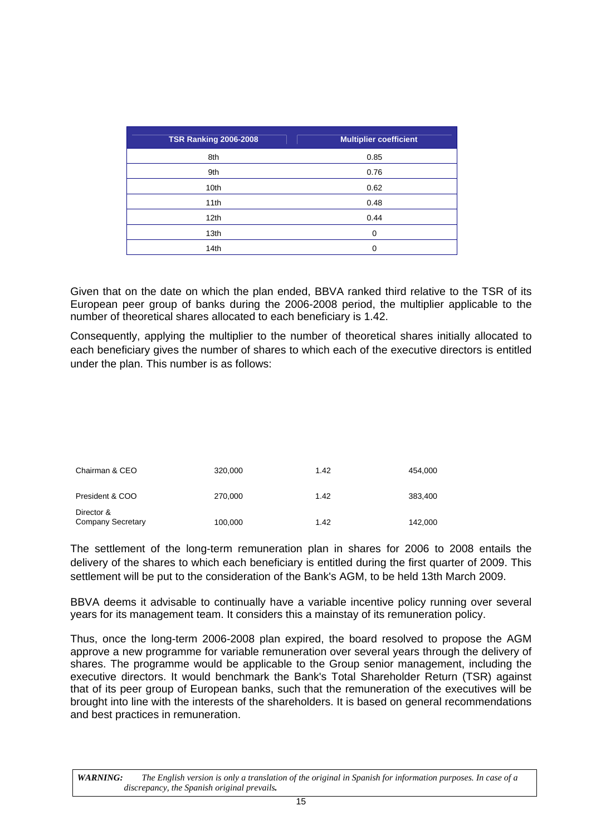| <b>TSR Ranking 2006-2008</b> | <b>Multiplier coefficient</b> |
|------------------------------|-------------------------------|
| 8th                          | 0.85                          |
| 9th                          | 0.76                          |
| 10th                         | 0.62                          |
| 11th                         | 0.48                          |
| 12 <sub>th</sub>             | 0.44                          |
| 13th                         | ∩                             |
| 14th                         |                               |

Given that on the date on which the plan ended, BBVA ranked third relative to the TSR of its European peer group of banks during the 2006-2008 period, the multiplier applicable to the number of theoretical shares allocated to each beneficiary is 1.42.

Consequently, applying the multiplier to the number of theoretical shares initially allocated to each beneficiary gives the number of shares to which each of the executive directors is entitled under the plan. This number is as follows:

| Chairman & CEO                         | 320,000 | 1.42 | 454.000 |
|----------------------------------------|---------|------|---------|
| President & COO                        | 270,000 | 1.42 | 383,400 |
| Director &<br><b>Company Secretary</b> | 100,000 | 1.42 | 142,000 |

The settlement of the long-term remuneration plan in shares for 2006 to 2008 entails the delivery of the shares to which each beneficiary is entitled during the first quarter of 2009. This settlement will be put to the consideration of the Bank's AGM, to be held 13th March 2009.

BBVA deems it advisable to continually have a variable incentive policy running over several years for its management team. It considers this a mainstay of its remuneration policy.

Thus, once the long-term 2006-2008 plan expired, the board resolved to propose the AGM approve a new programme for variable remuneration over several years through the delivery of shares. The programme would be applicable to the Group senior management, including the executive directors. It would benchmark the Bank's Total Shareholder Return (TSR) against that of its peer group of European banks, such that the remuneration of the executives will be brought into line with the interests of the shareholders. It is based on general recommendations and best practices in remuneration.

*WARNING: The English version is only a translation of the original in Spanish for information purposes. In case of a discrepancy, the Spanish original prevails.*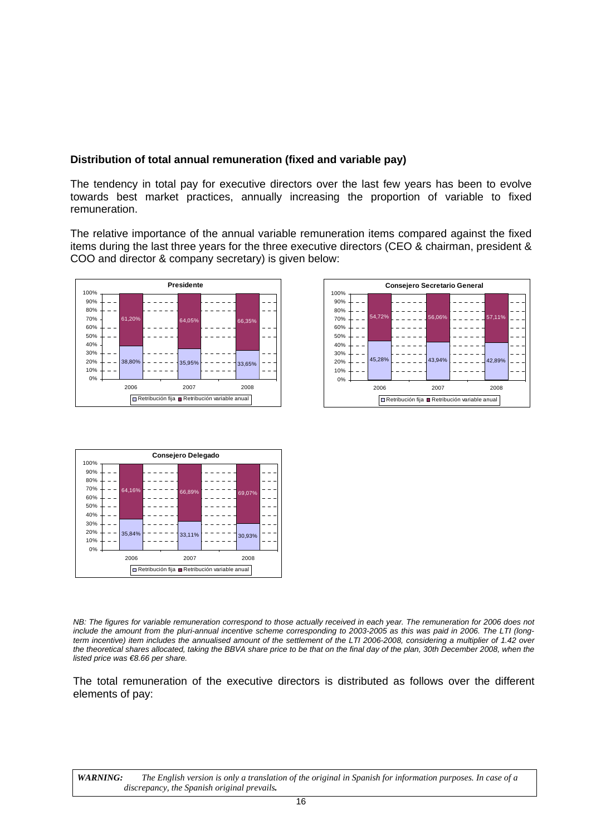# <span id="page-61-0"></span>**Distribution of total annual remuneration (fixed and variable pay)**

The tendency in total pay for executive directors over the last few years has been to evolve towards best market practices, annually increasing the proportion of variable to fixed remuneration.

The relative importance of the annual variable remuneration items compared against the fixed items during the last three years for the three executive directors (CEO & chairman, president & COO and director & company secretary) is given below:







*NB: The figures for variable remuneration correspond to those actually received in each year. The remuneration for 2006 does not include the amount from the pluri-annual incentive scheme corresponding to 2003-2005 as this was paid in 2006. The LTI (longterm incentive) item includes the annualised amount of the settlement of the LTI 2006-2008, considering a multiplier of 1.42 over*  the theoretical shares allocated, taking the BBVA share price to be that on the final day of the plan, 30th December 2008, when the *listed price was €8.66 per share.* 

The total remuneration of the executive directors is distributed as follows over the different elements of pay: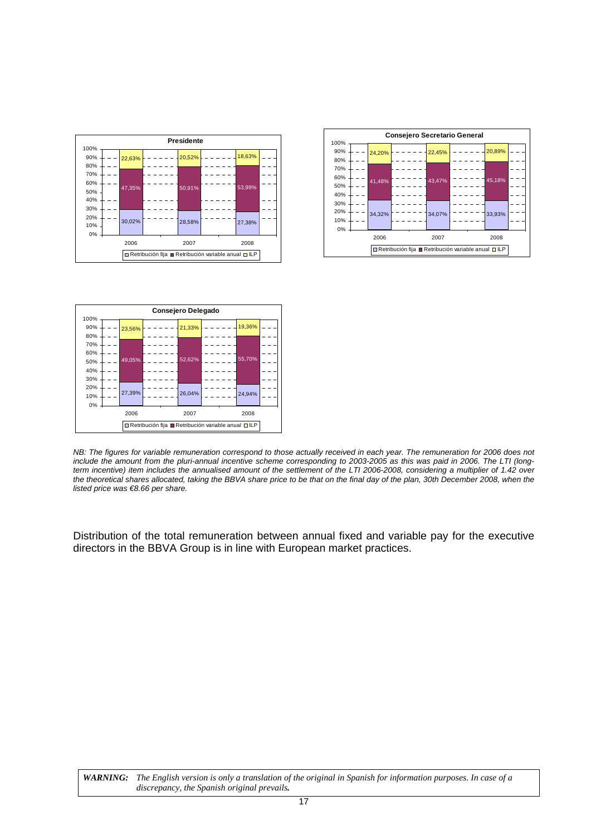





*NB: The figures for variable remuneration correspond to those actually received in each year. The remuneration for 2006 does not include the amount from the pluri-annual incentive scheme corresponding to 2003-2005 as this was paid in 2006. The LTI (longterm incentive) item includes the annualised amount of the settlement of the LTI 2006-2008, considering a multiplier of 1.42 over the theoretical shares allocated, taking the BBVA share price to be that on the final day of the plan, 30th December 2008, when the listed price was €8.66 per share.* 

Distribution of the total remuneration between annual fixed and variable pay for the executive directors in the BBVA Group is in line with European market practices.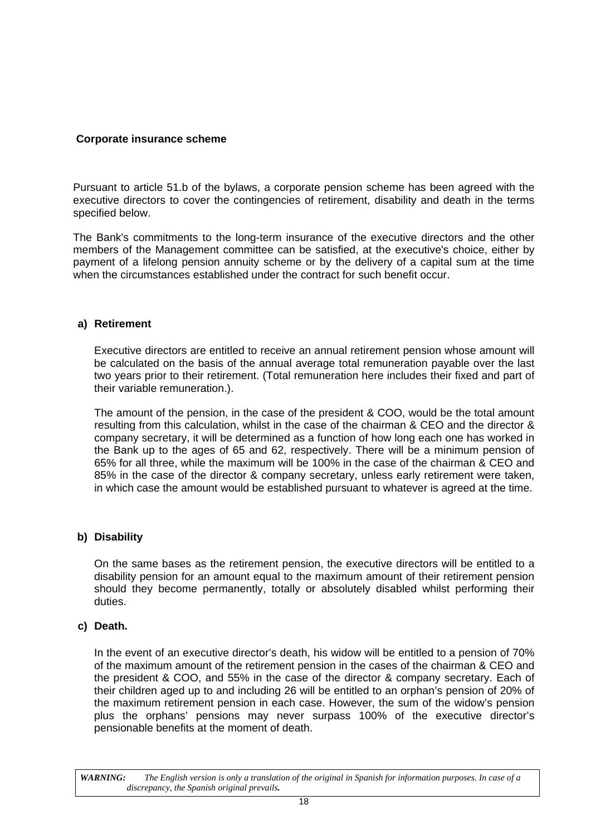# <span id="page-63-0"></span> **Corporate insurance scheme**

Pursuant to article 51.b of the bylaws, a corporate pension scheme has been agreed with the executive directors to cover the contingencies of retirement, disability and death in the terms specified below.

The Bank's commitments to the long-term insurance of the executive directors and the other members of the Management committee can be satisfied, at the executive's choice, either by payment of a lifelong pension annuity scheme or by the delivery of a capital sum at the time when the circumstances established under the contract for such benefit occur.

#### **a) Retirement**

Executive directors are entitled to receive an annual retirement pension whose amount will be calculated on the basis of the annual average total remuneration payable over the last two years prior to their retirement. (Total remuneration here includes their fixed and part of their variable remuneration.).

The amount of the pension, in the case of the president & COO, would be the total amount resulting from this calculation, whilst in the case of the chairman & CEO and the director & company secretary, it will be determined as a function of how long each one has worked in the Bank up to the ages of 65 and 62, respectively. There will be a minimum pension of 65% for all three, while the maximum will be 100% in the case of the chairman & CEO and 85% in the case of the director & company secretary, unless early retirement were taken, in which case the amount would be established pursuant to whatever is agreed at the time.

# **b) Disability**

On the same bases as the retirement pension, the executive directors will be entitled to a disability pension for an amount equal to the maximum amount of their retirement pension should they become permanently, totally or absolutely disabled whilst performing their duties.

# **c) Death.**

In the event of an executive director's death, his widow will be entitled to a pension of 70% of the maximum amount of the retirement pension in the cases of the chairman & CEO and the president & COO, and 55% in the case of the director & company secretary. Each of their children aged up to and including 26 will be entitled to an orphan's pension of 20% of the maximum retirement pension in each case. However, the sum of the widow's pension plus the orphans' pensions may never surpass 100% of the executive director's pensionable benefits at the moment of death.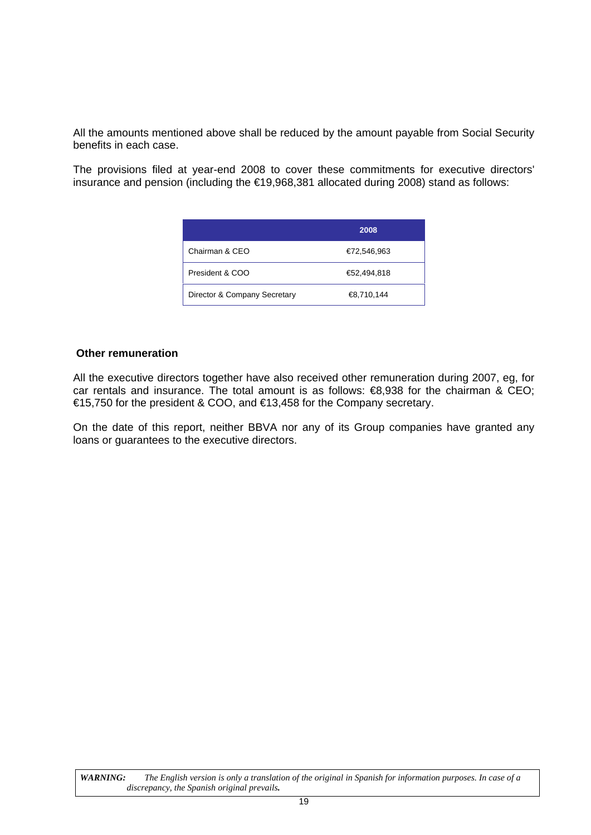All the amounts mentioned above shall be reduced by the amount payable from Social Security benefits in each case.

The provisions filed at year-end 2008 to cover these commitments for executive directors' insurance and pension (including the €19,968,381 allocated during 2008) stand as follows:

|                              | 2008        |
|------------------------------|-------------|
| Chairman & CEO               | €72,546,963 |
| President & COO              | €52,494,818 |
| Director & Company Secretary | €8,710,144  |

#### <span id="page-64-0"></span>**Other remuneration**

All the executive directors together have also received other remuneration during 2007, eg, for car rentals and insurance. The total amount is as follows: €8,938 for the chairman & CEO; €15,750 for the president & COO, and €13,458 for the Company secretary.

On the date of this report, neither BBVA nor any of its Group companies have granted any loans or guarantees to the executive directors.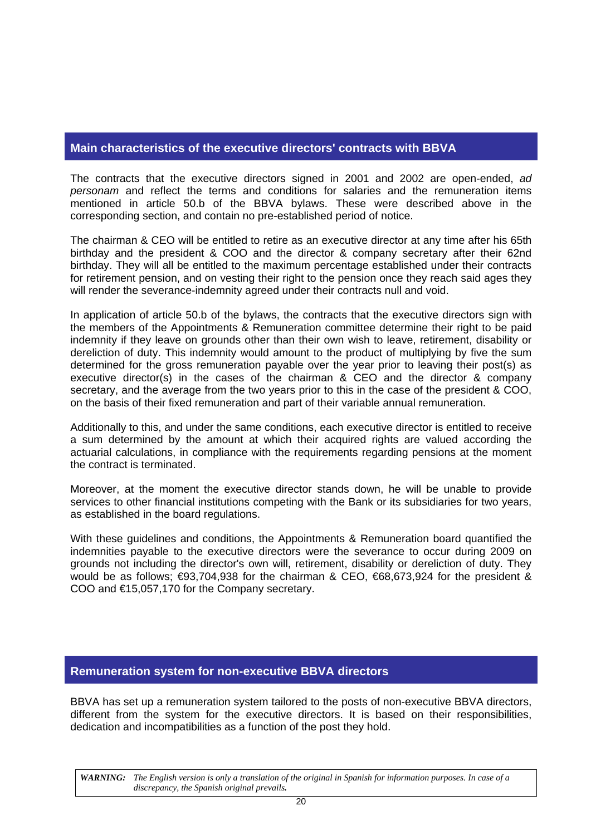# <span id="page-65-0"></span>**Main characteristics of the executive directors' contracts with BBVA**

The contracts that the executive directors signed in 2001 and 2002 are open-ended, *ad personam* and reflect the terms and conditions for salaries and the remuneration items mentioned in article 50.b of the BBVA bylaws. These were described above in the corresponding section, and contain no pre-established period of notice.

The chairman & CEO will be entitled to retire as an executive director at any time after his 65th birthday and the president & COO and the director & company secretary after their 62nd birthday. They will all be entitled to the maximum percentage established under their contracts for retirement pension, and on vesting their right to the pension once they reach said ages they will render the severance-indemnity agreed under their contracts null and void.

In application of article 50.b of the bylaws, the contracts that the executive directors sign with the members of the Appointments & Remuneration committee determine their right to be paid indemnity if they leave on grounds other than their own wish to leave, retirement, disability or dereliction of duty. This indemnity would amount to the product of multiplying by five the sum determined for the gross remuneration payable over the year prior to leaving their post(s) as executive director(s) in the cases of the chairman & CEO and the director & company secretary, and the average from the two years prior to this in the case of the president & COO, on the basis of their fixed remuneration and part of their variable annual remuneration.

Additionally to this, and under the same conditions, each executive director is entitled to receive a sum determined by the amount at which their acquired rights are valued according the actuarial calculations, in compliance with the requirements regarding pensions at the moment the contract is terminated.

Moreover, at the moment the executive director stands down, he will be unable to provide services to other financial institutions competing with the Bank or its subsidiaries for two years, as established in the board regulations.

With these guidelines and conditions, the Appointments & Remuneration board quantified the indemnities payable to the executive directors were the severance to occur during 2009 on grounds not including the director's own will, retirement, disability or dereliction of duty. They would be as follows; €93,704,938 for the chairman & CEO, €68,673,924 for the president & COO and €15,057,170 for the Company secretary.

# <span id="page-65-1"></span>**Remuneration system for non-executive BBVA directors**

BBVA has set up a remuneration system tailored to the posts of non-executive BBVA directors, different from the system for the executive directors. It is based on their responsibilities, dedication and incompatibilities as a function of the post they hold.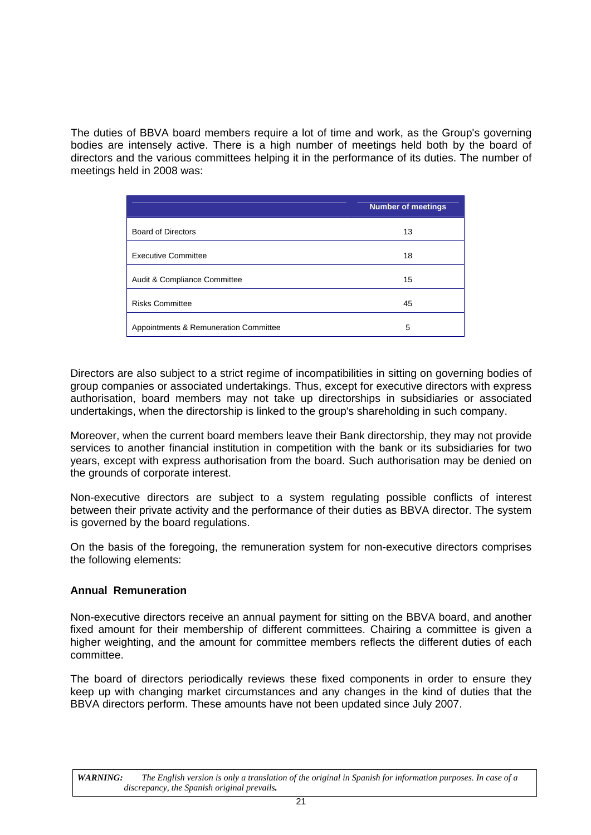The duties of BBVA board members require a lot of time and work, as the Group's governing bodies are intensely active. There is a high number of meetings held both by the board of directors and the various committees helping it in the performance of its duties. The number of meetings held in 2008 was:

|                                       | <b>Number of meetings</b> |
|---------------------------------------|---------------------------|
| <b>Board of Directors</b>             | 13                        |
| <b>Executive Committee</b>            | 18                        |
| Audit & Compliance Committee          | 15                        |
| <b>Risks Committee</b>                | 45                        |
| Appointments & Remuneration Committee | 5                         |

Directors are also subject to a strict regime of incompatibilities in sitting on governing bodies of group companies or associated undertakings. Thus, except for executive directors with express authorisation, board members may not take up directorships in subsidiaries or associated undertakings, when the directorship is linked to the group's shareholding in such company.

Moreover, when the current board members leave their Bank directorship, they may not provide services to another financial institution in competition with the bank or its subsidiaries for two years, except with express authorisation from the board. Such authorisation may be denied on the grounds of corporate interest.

Non-executive directors are subject to a system regulating possible conflicts of interest between their private activity and the performance of their duties as BBVA director. The system is governed by the board regulations.

On the basis of the foregoing, the remuneration system for non-executive directors comprises the following elements:

# <span id="page-66-0"></span>**Annual Remuneration**

Non-executive directors receive an annual payment for sitting on the BBVA board, and another fixed amount for their membership of different committees. Chairing a committee is given a higher weighting, and the amount for committee members reflects the different duties of each committee.

The board of directors periodically reviews these fixed components in order to ensure they keep up with changing market circumstances and any changes in the kind of duties that the BBVA directors perform. These amounts have not been updated since July 2007.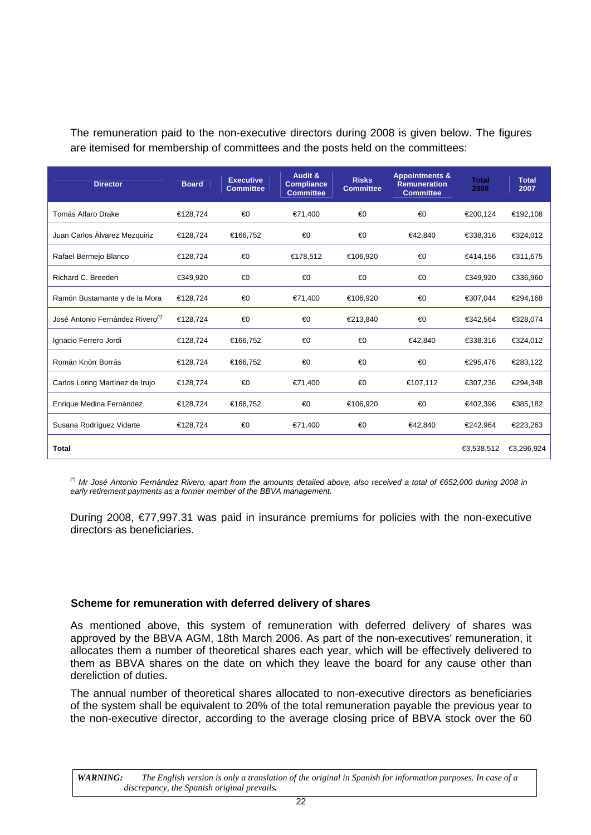The remuneration paid to the non-executive directors during 2008 is given below. The figures are itemised for membership of committees and the posts held on the committees:

| <b>Director</b>                              | <b>Board</b> | <b>Executive</b><br><b>Committee</b> | Audit &<br><b>Compliance</b><br><b>Committee</b> | <b>Risks</b><br><b>Committee</b> | <b>Appointments &amp;</b><br><b>Remuneration</b><br><b>Committee</b> | <b>Total</b><br>2008 | <b>Total</b><br>2007 |
|----------------------------------------------|--------------|--------------------------------------|--------------------------------------------------|----------------------------------|----------------------------------------------------------------------|----------------------|----------------------|
| Tomás Alfaro Drake                           | €128,724     | €0                                   | €71,400                                          | €0                               | €0                                                                   | €200,124             | €192,108             |
| Juan Carlos Álvarez Mezquiriz                | €128,724     | €166,752                             | €0                                               | €0                               | €42,840                                                              | €338,316             | €324,012             |
| Rafael Bermejo Blanco                        | €128,724     | €0                                   | €178,512                                         | €106,920                         | €0                                                                   | €414,156             | €311,675             |
| Richard C. Breeden                           | €349,920     | €0                                   | €0                                               | €0                               | €0                                                                   | €349,920             | €336,960             |
| Ramón Bustamante y de la Mora                | €128,724     | €0                                   | €71,400                                          | €106,920                         | €0                                                                   | €307,044             | €294,168             |
| José Antonio Fernández Rivero <sup>(*)</sup> | €128.724     | €0                                   | €0                                               | €213,840                         | €0                                                                   | €342.564             | €328,074             |
| Ignacio Ferrero Jordi                        | €128,724     | €166,752                             | €0                                               | €0                               | €42,840                                                              | €338.316             | €324,012             |
| Román Knörr Borrás                           | €128,724     | €166,752                             | €0                                               | €0                               | €0                                                                   | €295,476             | €283,122             |
| Carlos Loring Martínez de Irujo              | €128,724     | €0                                   | €71,400                                          | €0                               | €107,112                                                             | €307,236             | €294,348             |
| Enrique Medina Fernández                     | €128,724     | €166,752                             | €0                                               | €106,920                         | €0                                                                   | €402,396             | €385,182             |
| Susana Rodríguez Vidarte                     | €128,724     | €0                                   | €71,400                                          | €0                               | €42,840                                                              | €242,964             | €223,263             |
| <b>Total</b>                                 |              |                                      |                                                  |                                  |                                                                      | €3,538,512           | €3,296,924           |

*(\*) Mr José Antonio Fernández Rivero, apart from the amounts detailed above, also received a total of €652,000 during 2008 in early retirement payments as a former member of the BBVA management.* 

During 2008, €77,997.31 was paid in insurance premiums for policies with the non-executive directors as beneficiaries.

# <span id="page-67-0"></span>**Scheme for remuneration with deferred delivery of shares**

As mentioned above, this system of remuneration with deferred delivery of shares was approved by the BBVA AGM, 18th March 2006. As part of the non-executives' remuneration, it allocates them a number of theoretical shares each year, which will be effectively delivered to them as BBVA shares on the date on which they leave the board for any cause other than dereliction of duties.

The annual number of theoretical shares allocated to non-executive directors as beneficiaries of the system shall be equivalent to 20% of the total remuneration payable the previous year to the non-executive director, according to the average closing price of BBVA stock over the 60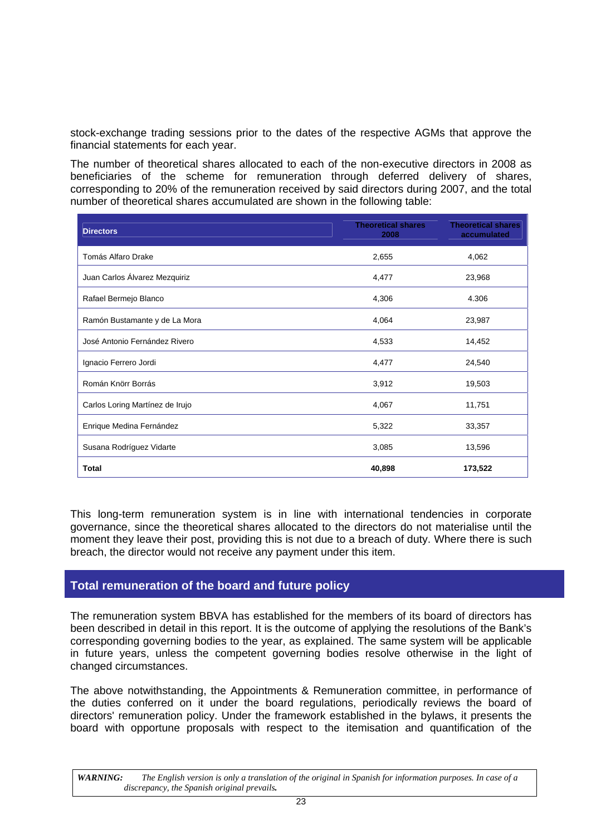stock-exchange trading sessions prior to the dates of the respective AGMs that approve the financial statements for each year.

The number of theoretical shares allocated to each of the non-executive directors in 2008 as beneficiaries of the scheme for remuneration through deferred delivery of shares, corresponding to 20% of the remuneration received by said directors during 2007, and the total number of theoretical shares accumulated are shown in the following table:

| <b>Directors</b>                | <b>Theoretical shares</b><br>2008 | <b>Theoretical shares</b><br>accumulated |
|---------------------------------|-----------------------------------|------------------------------------------|
| Tomás Alfaro Drake              | 2,655                             | 4,062                                    |
| Juan Carlos Álvarez Mezquiriz   | 4,477                             | 23,968                                   |
| Rafael Bermejo Blanco           | 4,306                             | 4.306                                    |
| Ramón Bustamante y de La Mora   | 4,064                             | 23,987                                   |
| José Antonio Fernández Rivero   | 4,533                             | 14,452                                   |
| Ignacio Ferrero Jordi           | 4,477                             | 24,540                                   |
| Román Knörr Borrás              | 3,912                             | 19,503                                   |
| Carlos Loring Martínez de Irujo | 4,067                             | 11,751                                   |
| Enrique Medina Fernández        | 5,322                             | 33,357                                   |
| Susana Rodríguez Vidarte        | 3,085                             | 13,596                                   |
| <b>Total</b>                    | 40,898                            | 173,522                                  |

This long-term remuneration system is in line with international tendencies in corporate governance, since the theoretical shares allocated to the directors do not materialise until the moment they leave their post, providing this is not due to a breach of duty. Where there is such breach, the director would not receive any payment under this item.

# **Total remuneration of the board and future policy**

The remuneration system BBVA has established for the members of its board of directors has been described in detail in this report. It is the outcome of applying the resolutions of the Bank's corresponding governing bodies to the year, as explained. The same system will be applicable in future years, unless the competent governing bodies resolve otherwise in the light of changed circumstances.

The above notwithstanding, the Appointments & Remuneration committee, in performance of the duties conferred on it under the board regulations, periodically reviews the board of directors' remuneration policy. Under the framework established in the bylaws, it presents the board with opportune proposals with respect to the itemisation and quantification of the